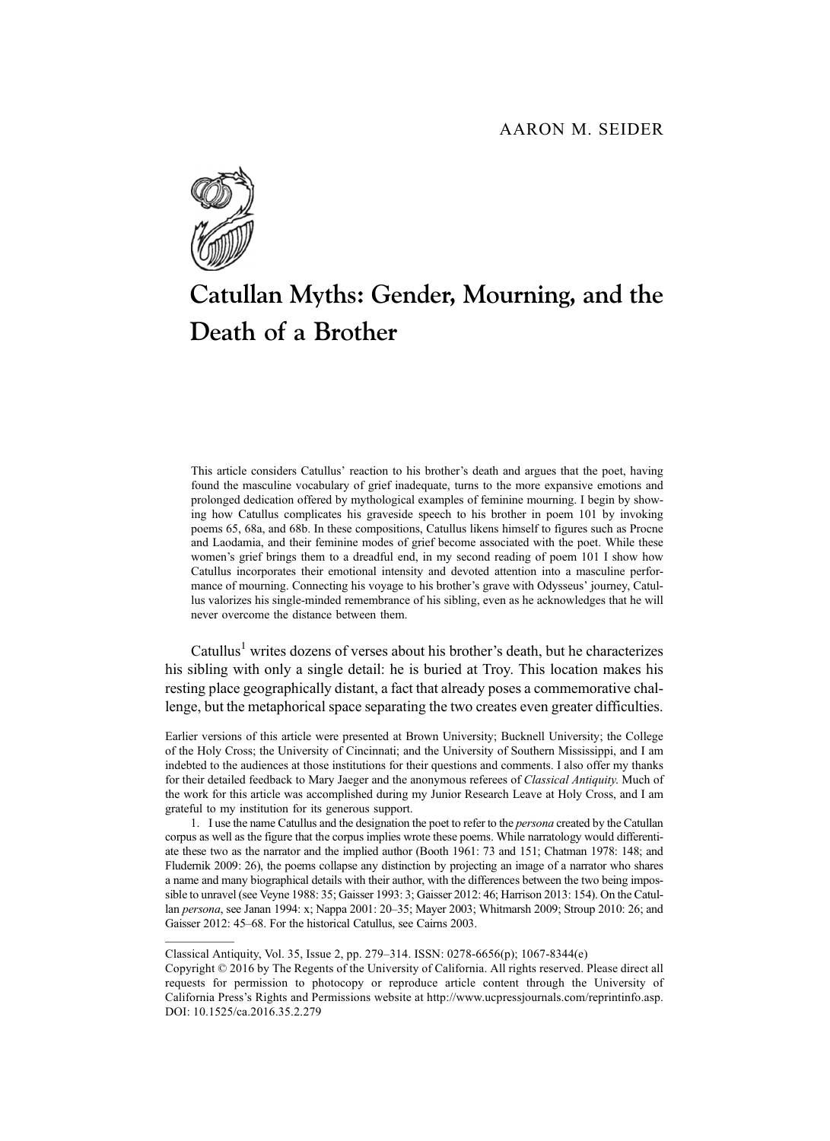

# Catullan Myths: Gender, Mourning, and the Death of a Brother

This article considers Catullus' reaction to his brother's death and argues that the poet, having found the masculine vocabulary of grief inadequate, turns to the more expansive emotions and prolonged dedication offered by mythological examples of feminine mourning. I begin by showing how Catullus complicates his graveside speech to his brother in poem 101 by invoking poems 65, 68a, and 68b. In these compositions, Catullus likens himself to figures such as Procne and Laodamia, and their feminine modes of grief become associated with the poet. While these women's grief brings them to a dreadful end, in my second reading of poem 101 I show how Catullus incorporates their emotional intensity and devoted attention into a masculine performance of mourning. Connecting his voyage to his brother's grave with Odysseus' journey, Catullus valorizes his single-minded remembrance of his sibling, even as he acknowledges that he will never overcome the distance between them.

Catullus<sup>1</sup> writes dozens of verses about his brother's death, but he characterizes his sibling with only a single detail: he is buried at Troy. This location makes his resting place geographically distant, a fact that already poses a commemorative challenge, but the metaphorical space separating the two creates even greater difficulties.

Earlier versions of this article were presented at Brown University; Bucknell University; the College of the Holy Cross; the University of Cincinnati; and the University of Southern Mississippi, and I am indebted to the audiences at those institutions for their questions and comments. I also offer my thanks for their detailed feedback to Mary Jaeger and the anonymous referees of Classical Antiquity. Much of the work for this article was accomplished during my Junior Research Leave at Holy Cross, and I am grateful to my institution for its generous support.

1. I use the name Catullus and the designation the poet to refer to the *persona* created by the Catullan corpus as well as the figure that the corpus implies wrote these poems. While narratology would differentiate these two as the narrator and the implied author (Booth 1961: 73 and 151; Chatman 1978: 148; and Fludernik 2009: 26), the poems collapse any distinction by projecting an image of a narrator who shares a name and many biographical details with their author, with the differences between the two being impossible to unravel (see Veyne 1988: 35; Gaisser 1993: 3; Gaisser 2012: 46; Harrison 2013: 154). On the Catullan persona, see Janan 1994: x; Nappa 2001: 20–35; Mayer 2003; Whitmarsh 2009; Stroup 2010: 26; and Gaisser 2012: 45–68. For the historical Catullus, see Cairns 2003.

Classical Antiquity, Vol. 35, Issue 2, pp. 279–314. ISSN: 0278-6656(p); 1067-8344(e)

Copyright © 2016 by The Regents of the University of California. All rights reserved. Please direct all requests for permission to photocopy or reproduce article content through the University of California Press's Rights and Permissions website at http://www.ucpressjournals.com/reprintinfo.asp. DOI: 10.1525/ca.2016.35.2.279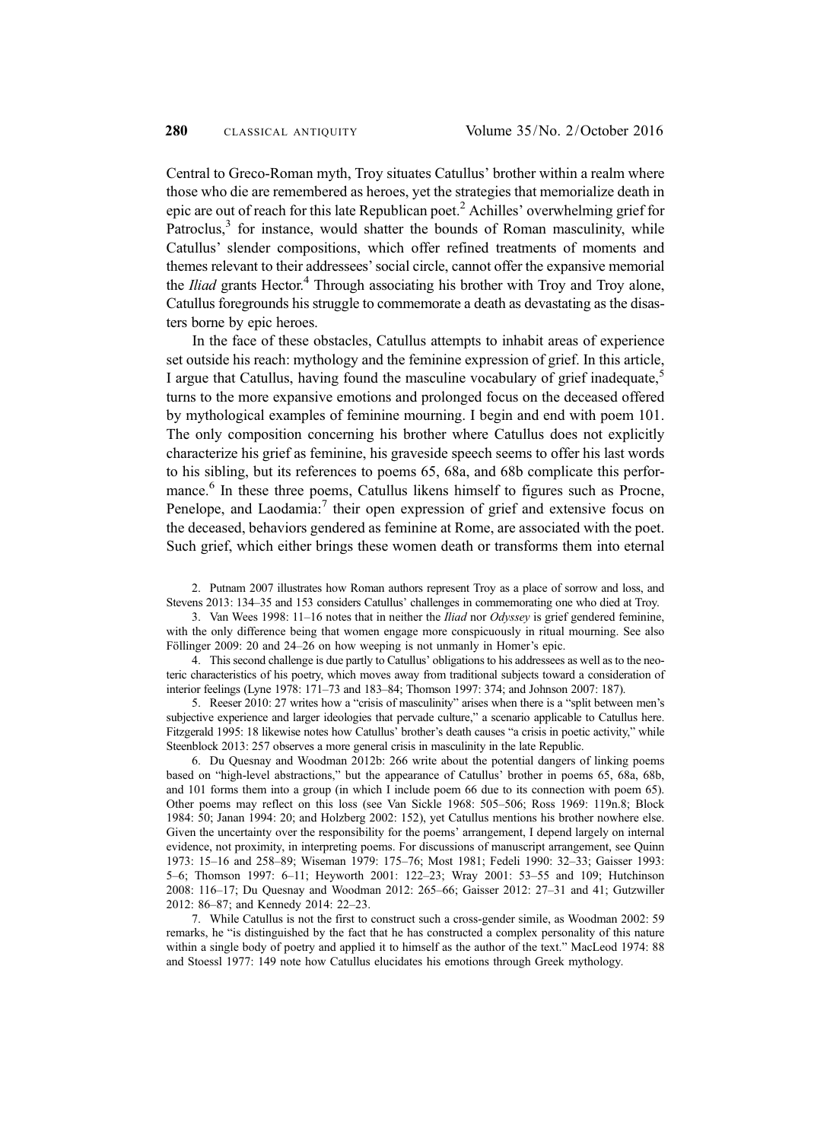Central to Greco-Roman myth, Troy situates Catullus' brother within a realm where those who die are remembered as heroes, yet the strategies that memorialize death in epic are out of reach for this late Republican poet.<sup>2</sup> Achilles' overwhelming grief for Patroclus, $3$  for instance, would shatter the bounds of Roman masculinity, while Catullus' slender compositions, which offer refined treatments of moments and themes relevant to their addressees'social circle, cannot offer the expansive memorial the *Iliad* grants Hector.<sup>4</sup> Through associating his brother with Troy and Troy alone, Catullus foregrounds his struggle to commemorate a death as devastating as the disasters borne by epic heroes.

In the face of these obstacles, Catullus attempts to inhabit areas of experience set outside his reach: mythology and the feminine expression of grief. In this article, I argue that Catullus, having found the masculine vocabulary of grief inadequate,<sup>5</sup> turns to the more expansive emotions and prolonged focus on the deceased offered by mythological examples of feminine mourning. I begin and end with poem 101. The only composition concerning his brother where Catullus does not explicitly characterize his grief as feminine, his graveside speech seems to offer his last words to his sibling, but its references to poems 65, 68a, and 68b complicate this performance.<sup>6</sup> In these three poems, Catullus likens himself to figures such as Procne, Penelope, and Laodamia:<sup>7</sup> their open expression of grief and extensive focus on the deceased, behaviors gendered as feminine at Rome, are associated with the poet. Such grief, which either brings these women death or transforms them into eternal

2. Putnam 2007 illustrates how Roman authors represent Troy as a place of sorrow and loss, and Stevens 2013: 134–35 and 153 considers Catullus' challenges in commemorating one who died at Troy.

3. Van Wees 1998: 11–16 notes that in neither the Iliad nor Odyssey is grief gendered feminine, with the only difference being that women engage more conspicuously in ritual mourning. See also Föllinger 2009: 20 and 24–26 on how weeping is not unmanly in Homer's epic.

4. This second challenge is due partly to Catullus' obligations to his addressees as well as to the neoteric characteristics of his poetry, which moves away from traditional subjects toward a consideration of interior feelings (Lyne 1978: 171–73 and 183–84; Thomson 1997: 374; and Johnson 2007: 187).

5. Reeser 2010: 27 writes how a "crisis of masculinity" arises when there is a "split between men's subjective experience and larger ideologies that pervade culture," a scenario applicable to Catullus here. Fitzgerald 1995: 18 likewise notes how Catullus' brother's death causes "a crisis in poetic activity," while Steenblock 2013: 257 observes a more general crisis in masculinity in the late Republic.

6. Du Quesnay and Woodman 2012b: 266 write about the potential dangers of linking poems based on "high-level abstractions," but the appearance of Catullus' brother in poems 65, 68a, 68b, and 101 forms them into a group (in which I include poem 66 due to its connection with poem 65). Other poems may reflect on this loss (see Van Sickle 1968: 505–506; Ross 1969: 119n.8; Block 1984: 50; Janan 1994: 20; and Holzberg 2002: 152), yet Catullus mentions his brother nowhere else. Given the uncertainty over the responsibility for the poems' arrangement, I depend largely on internal evidence, not proximity, in interpreting poems. For discussions of manuscript arrangement, see Quinn 1973: 15–16 and 258–89; Wiseman 1979: 175–76; Most 1981; Fedeli 1990: 32–33; Gaisser 1993: 5–6; Thomson 1997: 6–11; Heyworth 2001: 122–23; Wray 2001: 53–55 and 109; Hutchinson 2008: 116–17; Du Quesnay and Woodman 2012: 265–66; Gaisser 2012: 27–31 and 41; Gutzwiller 2012: 86–87; and Kennedy 2014: 22–23.

7. While Catullus is not the first to construct such a cross-gender simile, as Woodman 2002: 59 remarks, he "is distinguished by the fact that he has constructed a complex personality of this nature within a single body of poetry and applied it to himself as the author of the text." MacLeod 1974: 88 and Stoessl 1977: 149 note how Catullus elucidates his emotions through Greek mythology.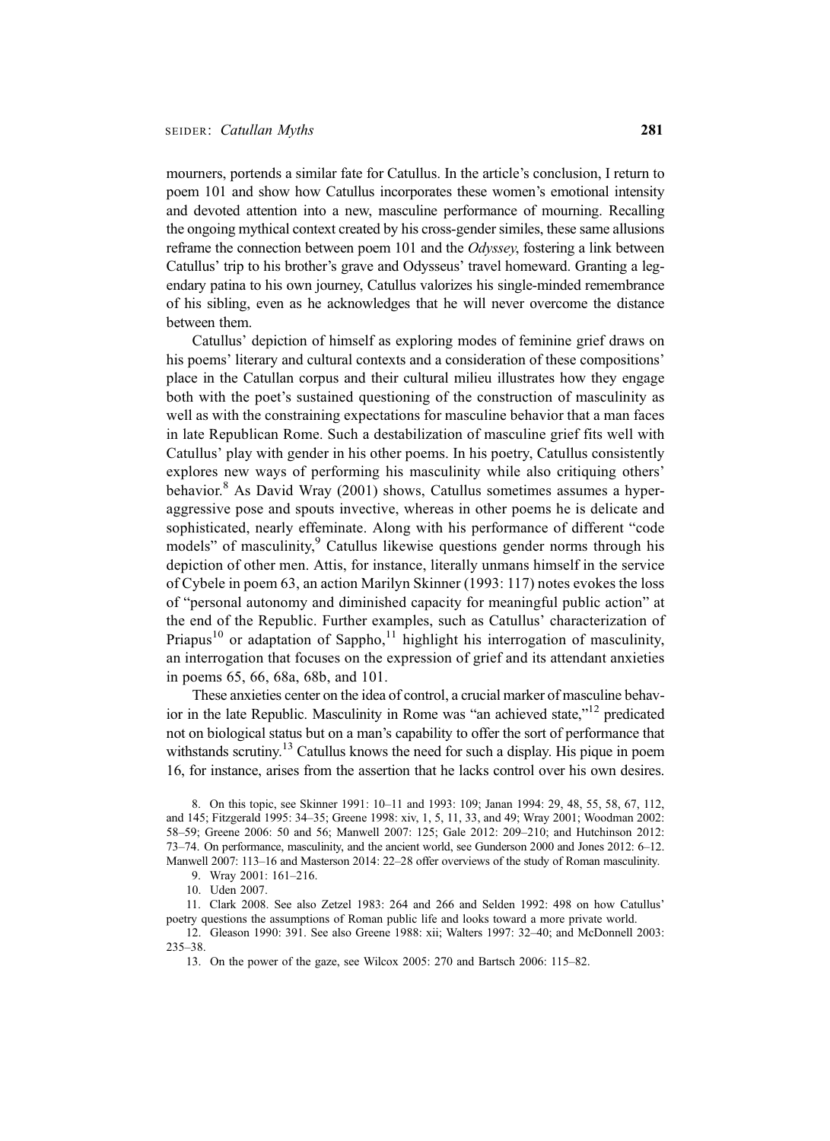mourners, portends a similar fate for Catullus. In the article's conclusion, I return to poem 101 and show how Catullus incorporates these women's emotional intensity and devoted attention into a new, masculine performance of mourning. Recalling the ongoing mythical context created by his cross-gender similes, these same allusions reframe the connection between poem 101 and the *Odyssey*, fostering a link between Catullus' trip to his brother's grave and Odysseus' travel homeward. Granting a legendary patina to his own journey, Catullus valorizes his single-minded remembrance of his sibling, even as he acknowledges that he will never overcome the distance between them.

Catullus' depiction of himself as exploring modes of feminine grief draws on his poems' literary and cultural contexts and a consideration of these compositions' place in the Catullan corpus and their cultural milieu illustrates how they engage both with the poet's sustained questioning of the construction of masculinity as well as with the constraining expectations for masculine behavior that a man faces in late Republican Rome. Such a destabilization of masculine grief fits well with Catullus' play with gender in his other poems. In his poetry, Catullus consistently explores new ways of performing his masculinity while also critiquing others' behavior.<sup>8</sup> As David Wray (2001) shows, Catullus sometimes assumes a hyperaggressive pose and spouts invective, whereas in other poems he is delicate and sophisticated, nearly effeminate. Along with his performance of different "code models" of masculinity,<sup>9</sup> Catullus likewise questions gender norms through his depiction of other men. Attis, for instance, literally unmans himself in the service of Cybele in poem 63, an action Marilyn Skinner (1993: 117) notes evokes the loss of "personal autonomy and diminished capacity for meaningful public action" at the end of the Republic. Further examples, such as Catullus' characterization of Priapus<sup>10</sup> or adaptation of Sappho,<sup>11</sup> highlight his interrogation of masculinity, an interrogation that focuses on the expression of grief and its attendant anxieties in poems 65, 66, 68a, 68b, and 101.

These anxieties center on the idea of control, a crucial marker of masculine behavior in the late Republic. Masculinity in Rome was "an achieved state," <sup>12</sup> predicated not on biological status but on a man's capability to offer the sort of performance that withstands scrutiny.<sup>13</sup> Catullus knows the need for such a display. His pique in poem 16, for instance, arises from the assertion that he lacks control over his own desires.

8. On this topic, see Skinner 1991: 10–11 and 1993: 109; Janan 1994: 29, 48, 55, 58, 67, 112, and 145; Fitzgerald 1995: 34–35; Greene 1998: xiv, 1, 5, 11, 33, and 49; Wray 2001; Woodman 2002: 58–59; Greene 2006: 50 and 56; Manwell 2007: 125; Gale 2012: 209–210; and Hutchinson 2012: 73–74. On performance, masculinity, and the ancient world, see Gunderson 2000 and Jones 2012: 6–12. Manwell 2007: 113–16 and Masterson 2014: 22–28 offer overviews of the study of Roman masculinity.

9. Wray 2001: 161–216.

10. Uden 2007.

11. Clark 2008. See also Zetzel 1983: 264 and 266 and Selden 1992: 498 on how Catullus' poetry questions the assumptions of Roman public life and looks toward a more private world.

12. Gleason 1990: 391. See also Greene 1988: xii; Walters 1997: 32–40; and McDonnell 2003: 235–38.

13. On the power of the gaze, see Wilcox 2005: 270 and Bartsch 2006: 115–82.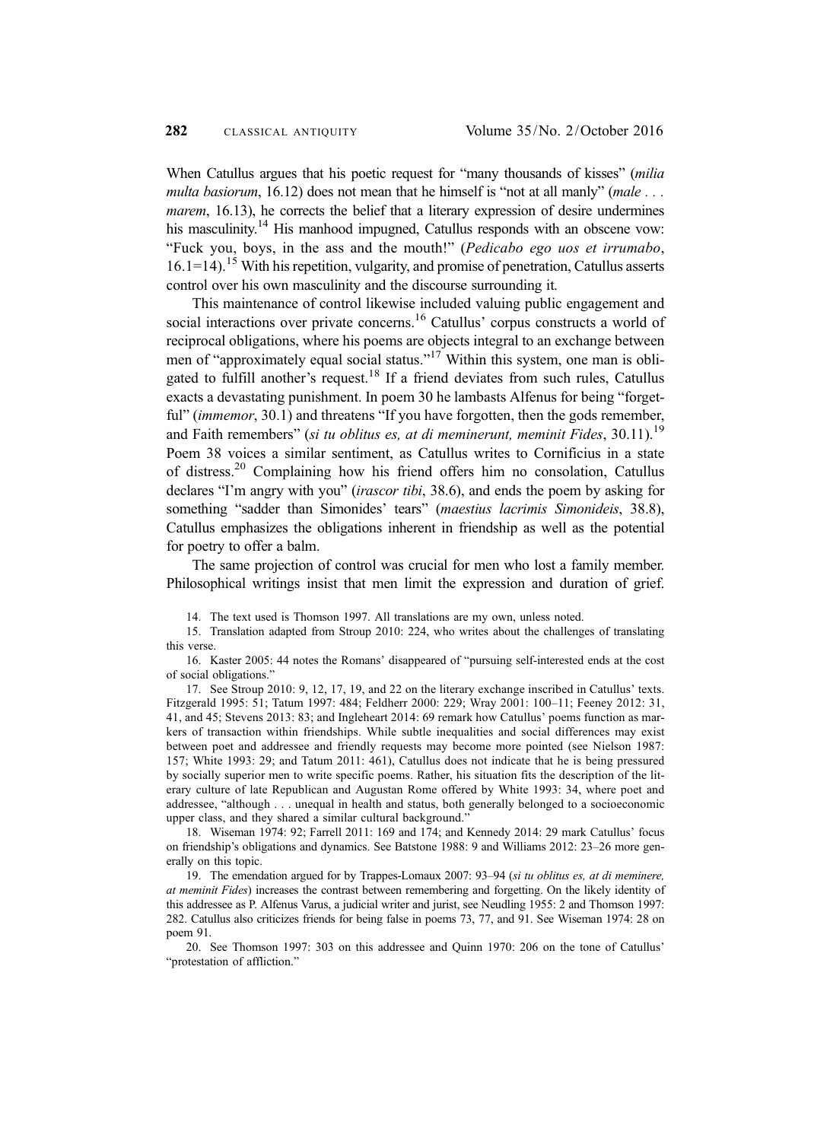When Catullus argues that his poetic request for "many thousands of kisses" (milia multa basiorum, 16.12) does not mean that he himself is "not at all manly" (male  $\dots$ marem, 16.13), he corrects the belief that a literary expression of desire undermines his masculinity.<sup>14</sup> His manhood impugned, Catullus responds with an obscene vow: "Fuck you, boys, in the ass and the mouth!" (Pedicabo ego uos et irrumabo,  $16.1=14$ ).<sup>15</sup> With his repetition, vulgarity, and promise of penetration, Catullus asserts control over his own masculinity and the discourse surrounding it.

This maintenance of control likewise included valuing public engagement and social interactions over private concerns.<sup>16</sup> Catullus' corpus constructs a world of reciprocal obligations, where his poems are objects integral to an exchange between men of "approximately equal social status."<sup>17</sup> Within this system, one man is obligated to fulfill another's request.18 If a friend deviates from such rules, Catullus exacts a devastating punishment. In poem 30 he lambasts Alfenus for being "forgetful" (*immemor*, 30.1) and threatens "If you have forgotten, then the gods remember, and Faith remembers" (si tu oblitus es, at di meminerunt, meminit Fides,  $30.11$ ).<sup>19</sup> Poem 38 voices a similar sentiment, as Catullus writes to Cornificius in a state of distress.20 Complaining how his friend offers him no consolation, Catullus declares "I'm angry with you" (irascor tibi, 38.6), and ends the poem by asking for something "sadder than Simonides' tears" (maestius lacrimis Simonideis, 38.8), Catullus emphasizes the obligations inherent in friendship as well as the potential for poetry to offer a balm.

The same projection of control was crucial for men who lost a family member. Philosophical writings insist that men limit the expression and duration of grief.

16. Kaster 2005: 44 notes the Romans' disappeared of "pursuing self-interested ends at the cost of social obligations."

17. See Stroup 2010: 9, 12, 17, 19, and 22 on the literary exchange inscribed in Catullus' texts. Fitzgerald 1995: 51; Tatum 1997: 484; Feldherr 2000: 229; Wray 2001: 100–11; Feeney 2012: 31, 41, and 45; Stevens 2013: 83; and Ingleheart 2014: 69 remark how Catullus' poems function as markers of transaction within friendships. While subtle inequalities and social differences may exist between poet and addressee and friendly requests may become more pointed (see Nielson 1987: 157; White 1993: 29; and Tatum 2011: 461), Catullus does not indicate that he is being pressured by socially superior men to write specific poems. Rather, his situation fits the description of the literary culture of late Republican and Augustan Rome offered by White 1993: 34, where poet and addressee, "although . . . unequal in health and status, both generally belonged to a socioeconomic upper class, and they shared a similar cultural background."

18. Wiseman 1974: 92; Farrell 2011: 169 and 174; and Kennedy 2014: 29 mark Catullus' focus on friendship's obligations and dynamics. See Batstone 1988: 9 and Williams 2012: 23–26 more generally on this topic.

19. The emendation argued for by Trappes-Lomaux 2007: 93–94 (si tu oblitus es, at di meminere, at meminit Fides) increases the contrast between remembering and forgetting. On the likely identity of this addressee as P. Alfenus Varus, a judicial writer and jurist, see Neudling 1955: 2 and Thomson 1997: 282. Catullus also criticizes friends for being false in poems 73, 77, and 91. See Wiseman 1974: 28 on poem 91.

20. See Thomson 1997: 303 on this addressee and Quinn 1970: 206 on the tone of Catullus' "protestation of affliction."

<sup>14.</sup> The text used is Thomson 1997. All translations are my own, unless noted.

<sup>15.</sup> Translation adapted from Stroup 2010: 224, who writes about the challenges of translating this verse.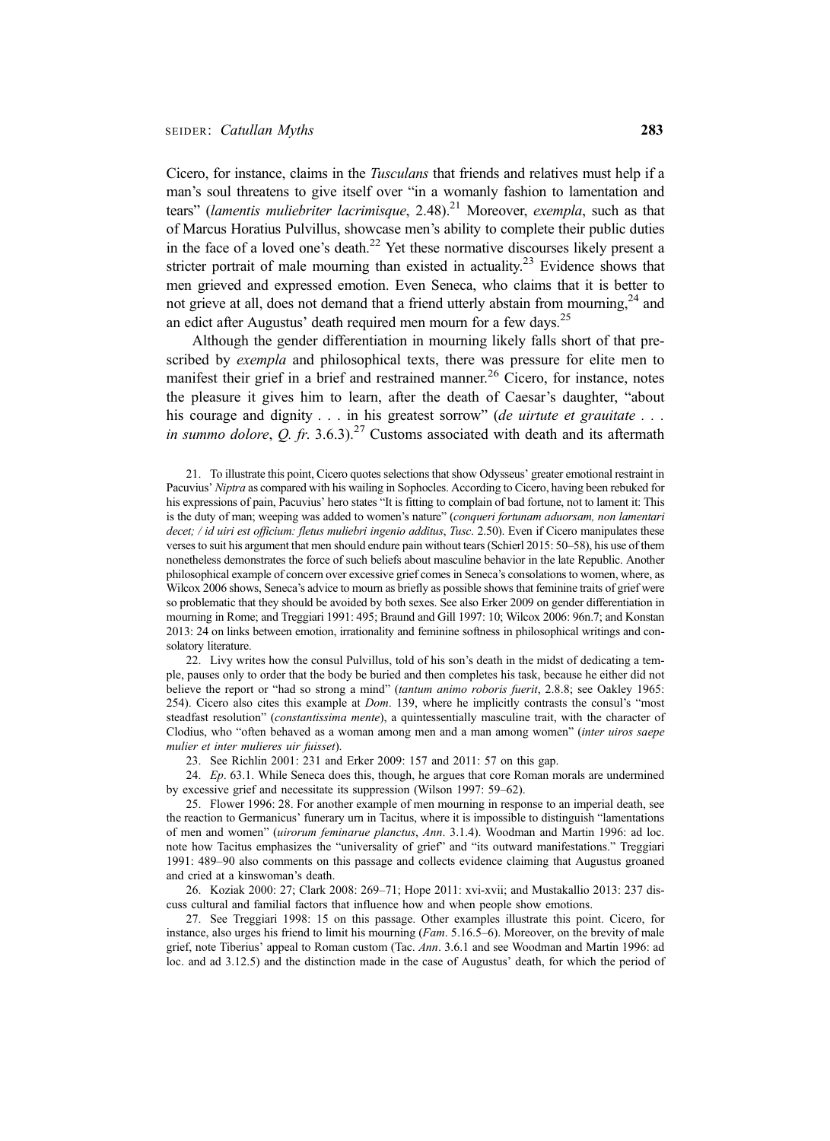Cicero, for instance, claims in the Tusculans that friends and relatives must help if a man's soul threatens to give itself over "in a womanly fashion to lamentation and tears" (lamentis muliebriter lacrimisque, 2.48).<sup>21</sup> Moreover, exempla, such as that of Marcus Horatius Pulvillus, showcase men's ability to complete their public duties in the face of a loved one's death.<sup>22</sup> Yet these normative discourses likely present a stricter portrait of male mourning than existed in actuality.<sup>23</sup> Evidence shows that men grieved and expressed emotion. Even Seneca, who claims that it is better to not grieve at all, does not demand that a friend utterly abstain from mourning, $24$  and an edict after Augustus' death required men mourn for a few days.<sup>25</sup>

Although the gender differentiation in mourning likely falls short of that prescribed by exempla and philosophical texts, there was pressure for elite men to manifest their grief in a brief and restrained manner.<sup>26</sup> Cicero, for instance, notes the pleasure it gives him to learn, after the death of Caesar's daughter, "about his courage and dignity . . . in his greatest sorrow" (de uirtute et grauitate . . . in summo dolore, Q. fr. 3.6.3).<sup>27</sup> Customs associated with death and its aftermath

21. To illustrate this point, Cicero quotes selections that show Odysseus' greater emotional restraint in Pacuvius' Niptra as compared with his wailing in Sophocles. According to Cicero, having been rebuked for his expressions of pain, Pacuvius' hero states "It is fitting to complain of bad fortune, not to lament it: This is the duty of man; weeping was added to women's nature" (conqueri fortunam aduorsam, non lamentari decet; / id uiri est officium: fletus muliebri ingenio additus, Tusc. 2.50). Even if Cicero manipulates these verses to suit his argument that men should endure pain without tears (Schierl 2015: 50–58), his use of them nonetheless demonstrates the force of such beliefs about masculine behavior in the late Republic. Another philosophical example of concern over excessive grief comes in Seneca's consolations to women, where, as Wilcox 2006 shows, Seneca's advice to mourn as briefly as possible shows that feminine traits of grief were so problematic that they should be avoided by both sexes. See also Erker 2009 on gender differentiation in mourning in Rome; and Treggiari 1991: 495; Braund and Gill 1997: 10; Wilcox 2006: 96n.7; and Konstan 2013: 24 on links between emotion, irrationality and feminine softness in philosophical writings and consolatory literature.

22. Livy writes how the consul Pulvillus, told of his son's death in the midst of dedicating a temple, pauses only to order that the body be buried and then completes his task, because he either did not believe the report or "had so strong a mind" (tantum animo roboris fuerit, 2.8.8; see Oakley 1965: 254). Cicero also cites this example at *Dom.* 139, where he implicitly contrasts the consul's "most steadfast resolution" (*constantissima mente*), a quintessentially masculine trait, with the character of Clodius, who "often behaved as a woman among men and a man among women" (inter uiros saepe mulier et inter mulieres uir fuisset).

23. See Richlin 2001: 231 and Erker 2009: 157 and 2011: 57 on this gap.

24. Ep. 63.1. While Seneca does this, though, he argues that core Roman morals are undermined by excessive grief and necessitate its suppression (Wilson 1997: 59–62).

25. Flower 1996: 28. For another example of men mourning in response to an imperial death, see the reaction to Germanicus' funerary urn in Tacitus, where it is impossible to distinguish "lamentations of men and women" (uirorum feminarue planctus, Ann. 3.1.4). Woodman and Martin 1996: ad loc. note how Tacitus emphasizes the "universality of grief" and "its outward manifestations." Treggiari 1991: 489–90 also comments on this passage and collects evidence claiming that Augustus groaned and cried at a kinswoman's death.

26. Koziak 2000: 27; Clark 2008: 269–71; Hope 2011: xvi-xvii; and Mustakallio 2013: 237 discuss cultural and familial factors that influence how and when people show emotions.

27. See Treggiari 1998: 15 on this passage. Other examples illustrate this point. Cicero, for instance, also urges his friend to limit his mourning (*Fam.* 5.16.5–6). Moreover, on the brevity of male grief, note Tiberius' appeal to Roman custom (Tac. Ann. 3.6.1 and see Woodman and Martin 1996: ad loc. and ad 3.12.5) and the distinction made in the case of Augustus' death, for which the period of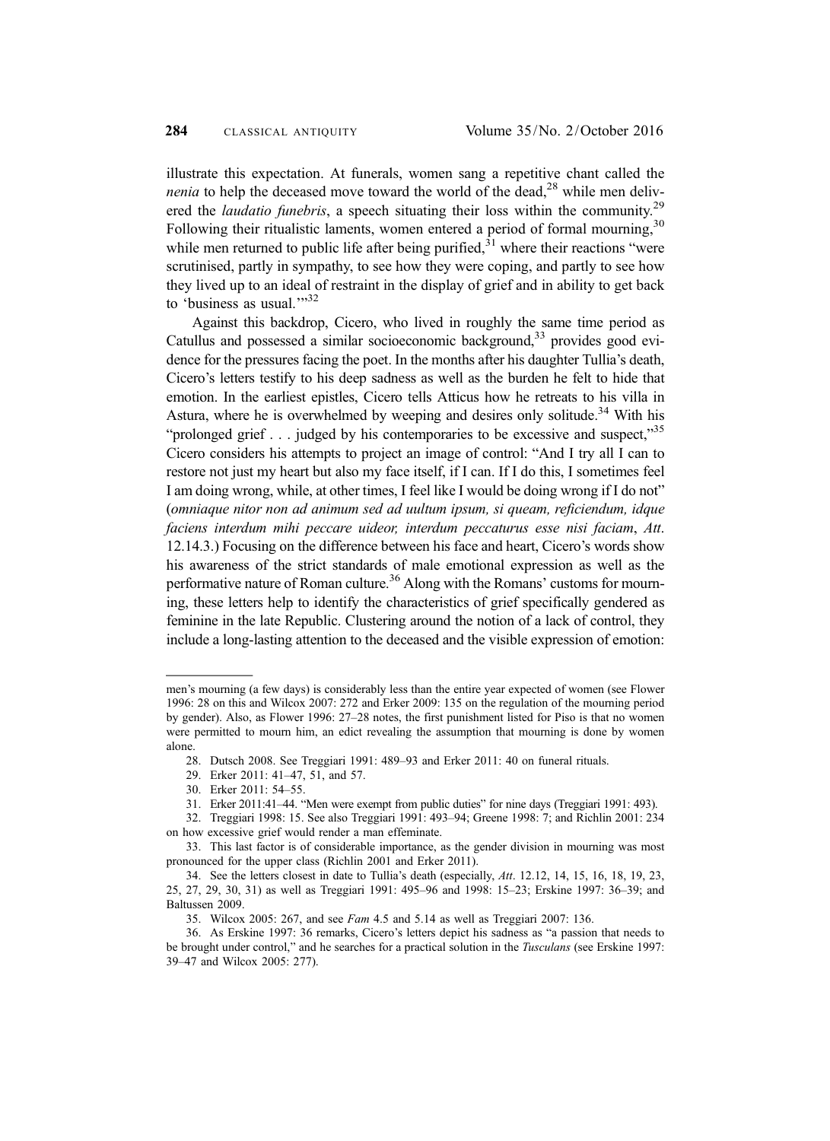illustrate this expectation. At funerals, women sang a repetitive chant called the *nenia* to help the deceased move toward the world of the dead,<sup>28</sup> while men delivered the *laudatio funebris*, a speech situating their loss within the community.<sup>29</sup> Following their ritualistic laments, women entered a period of formal mourning,  $30$ while men returned to public life after being purified,  $31$  where their reactions "were scrutinised, partly in sympathy, to see how they were coping, and partly to see how they lived up to an ideal of restraint in the display of grief and in ability to get back to 'business as usual."<sup>32</sup>

Against this backdrop, Cicero, who lived in roughly the same time period as Catullus and possessed a similar socioeconomic background,<sup>33</sup> provides good evidence for the pressures facing the poet. In the months after his daughter Tullia's death, Cicero's letters testify to his deep sadness as well as the burden he felt to hide that emotion. In the earliest epistles, Cicero tells Atticus how he retreats to his villa in Astura, where he is overwhelmed by weeping and desires only solitude.<sup>34</sup> With his "prolonged grief . . . judged by his contemporaries to be excessive and suspect,"<sup>35</sup> Cicero considers his attempts to project an image of control: "And I try all I can to restore not just my heart but also my face itself, if I can. If I do this, I sometimes feel I am doing wrong, while, at other times, I feel like I would be doing wrong if I do not" (omniaque nitor non ad animum sed ad uultum ipsum, si queam, reficiendum, idque faciens interdum mihi peccare uideor, interdum peccaturus esse nisi faciam, Att. 12.14.3.) Focusing on the difference between his face and heart, Cicero's words show his awareness of the strict standards of male emotional expression as well as the performative nature of Roman culture.<sup>36</sup> Along with the Romans' customs for mourning, these letters help to identify the characteristics of grief specifically gendered as feminine in the late Republic. Clustering around the notion of a lack of control, they include a long-lasting attention to the deceased and the visible expression of emotion:

men's mourning (a few days) is considerably less than the entire year expected of women (see Flower 1996: 28 on this and Wilcox 2007: 272 and Erker 2009: 135 on the regulation of the mourning period by gender). Also, as Flower 1996: 27–28 notes, the first punishment listed for Piso is that no women were permitted to mourn him, an edict revealing the assumption that mourning is done by women alone.

<sup>28.</sup> Dutsch 2008. See Treggiari 1991: 489–93 and Erker 2011: 40 on funeral rituals.

<sup>29.</sup> Erker 2011: 41–47, 51, and 57.

<sup>30.</sup> Erker 2011: 54–55.

<sup>31.</sup> Erker 2011:41–44. "Men were exempt from public duties" for nine days (Treggiari 1991: 493).

<sup>32.</sup> Treggiari 1998: 15. See also Treggiari 1991: 493–94; Greene 1998: 7; and Richlin 2001: 234 on how excessive grief would render a man effeminate.

<sup>33.</sup> This last factor is of considerable importance, as the gender division in mourning was most pronounced for the upper class (Richlin 2001 and Erker 2011).

<sup>34.</sup> See the letters closest in date to Tullia's death (especially, Att. 12.12, 14, 15, 16, 18, 19, 23, 25, 27, 29, 30, 31) as well as Treggiari 1991: 495–96 and 1998: 15–23; Erskine 1997: 36–39; and Baltussen 2009.

<sup>35.</sup> Wilcox 2005: 267, and see Fam 4.5 and 5.14 as well as Treggiari 2007: 136.

<sup>36.</sup> As Erskine 1997: 36 remarks, Cicero's letters depict his sadness as "a passion that needs to be brought under control," and he searches for a practical solution in the *Tusculans* (see Erskine 1997: 39–47 and Wilcox 2005: 277).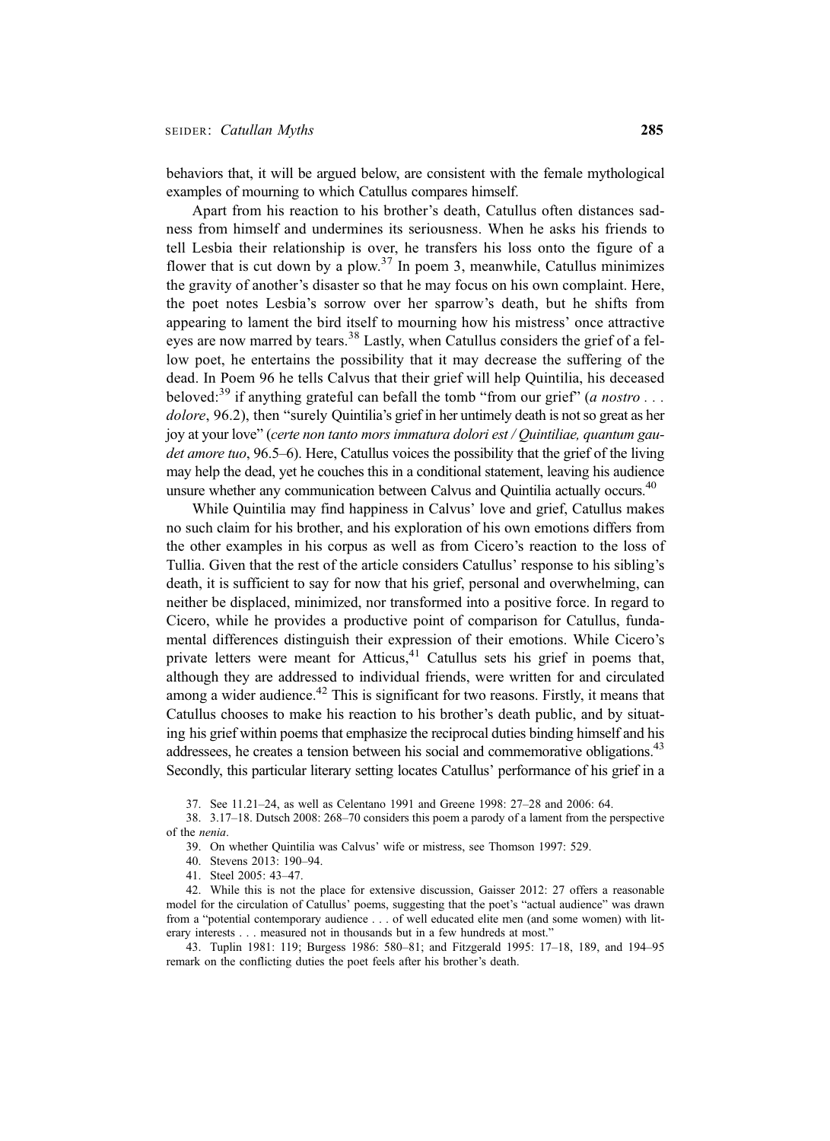behaviors that, it will be argued below, are consistent with the female mythological examples of mourning to which Catullus compares himself.

Apart from his reaction to his brother's death, Catullus often distances sadness from himself and undermines its seriousness. When he asks his friends to tell Lesbia their relationship is over, he transfers his loss onto the figure of a flower that is cut down by a plow.<sup>37</sup> In poem 3, meanwhile, Catullus minimizes the gravity of another's disaster so that he may focus on his own complaint. Here, the poet notes Lesbia's sorrow over her sparrow's death, but he shifts from appearing to lament the bird itself to mourning how his mistress' once attractive eyes are now marred by tears.<sup>38</sup> Lastly, when Catullus considers the grief of a fellow poet, he entertains the possibility that it may decrease the suffering of the dead. In Poem 96 he tells Calvus that their grief will help Quintilia, his deceased beloved:<sup>39</sup> if anything grateful can befall the tomb "from our grief" (*a nostro* ... dolore, 96.2), then "surely Quintilia's grief in her untimely death is not so great as her joy at your love" (certe non tanto mors immatura dolori est / Quintiliae, quantum gaudet amore tuo, 96.5–6). Here, Catullus voices the possibility that the grief of the living may help the dead, yet he couches this in a conditional statement, leaving his audience unsure whether any communication between Calvus and Quintilia actually occurs.<sup>40</sup>

While Quintilia may find happiness in Calvus' love and grief, Catullus makes no such claim for his brother, and his exploration of his own emotions differs from the other examples in his corpus as well as from Cicero's reaction to the loss of Tullia. Given that the rest of the article considers Catullus' response to his sibling's death, it is sufficient to say for now that his grief, personal and overwhelming, can neither be displaced, minimized, nor transformed into a positive force. In regard to Cicero, while he provides a productive point of comparison for Catullus, fundamental differences distinguish their expression of their emotions. While Cicero's private letters were meant for Atticus,<sup>41</sup> Catullus sets his grief in poems that, although they are addressed to individual friends, were written for and circulated among a wider audience.<sup>42</sup> This is significant for two reasons. Firstly, it means that Catullus chooses to make his reaction to his brother's death public, and by situating his grief within poems that emphasize the reciprocal duties binding himself and his addressees, he creates a tension between his social and commemorative obligations.<sup>43</sup> Secondly, this particular literary setting locates Catullus' performance of his grief in a

37. See 11.21–24, as well as Celentano 1991 and Greene 1998: 27–28 and 2006: 64.

38. 3.17–18. Dutsch 2008: 268–70 considers this poem a parody of a lament from the perspective of the nenia.

39. On whether Quintilia was Calvus' wife or mistress, see Thomson 1997: 529.

40. Stevens 2013: 190–94.

41. Steel 2005: 43–47.

42. While this is not the place for extensive discussion, Gaisser 2012: 27 offers a reasonable model for the circulation of Catullus' poems, suggesting that the poet's "actual audience" was drawn from a "potential contemporary audience . . . of well educated elite men (and some women) with literary interests . . . measured not in thousands but in a few hundreds at most."

43. Tuplin 1981: 119; Burgess 1986: 580–81; and Fitzgerald 1995: 17–18, 189, and 194–95 remark on the conflicting duties the poet feels after his brother's death.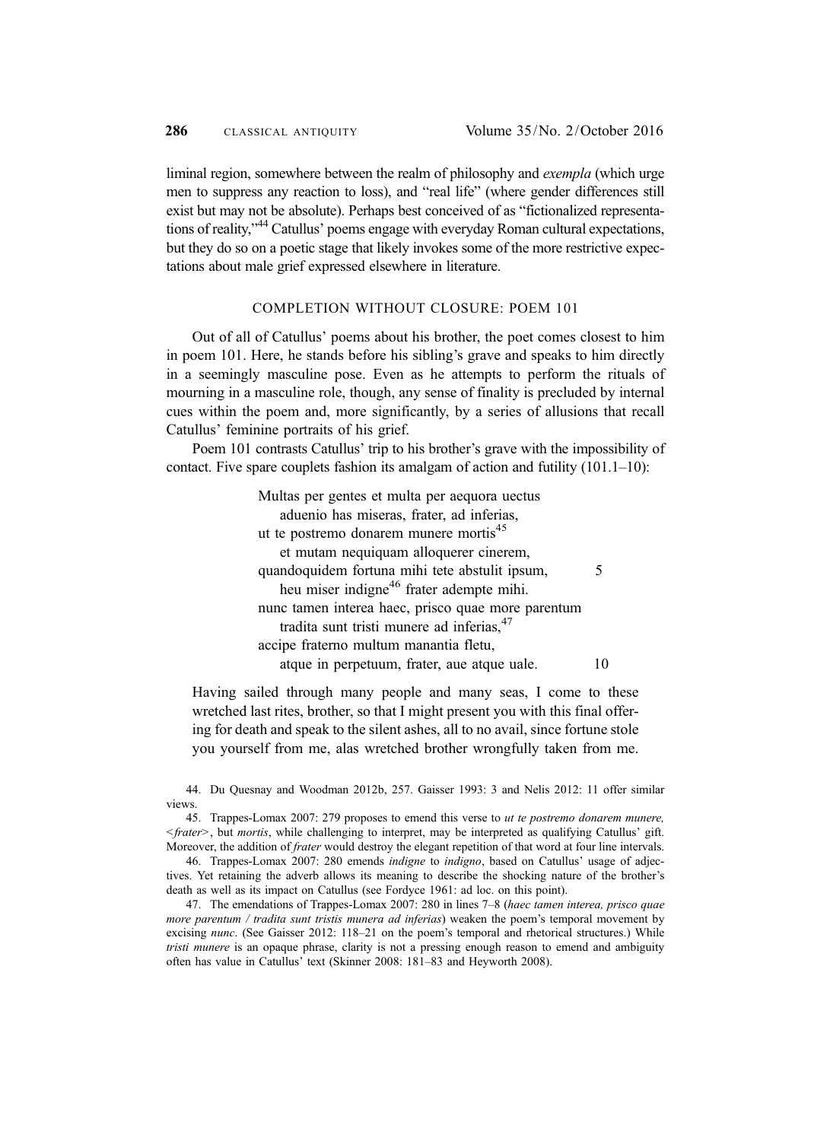liminal region, somewhere between the realm of philosophy and *exempla* (which urge men to suppress any reaction to loss), and "real life" (where gender differences still exist but may not be absolute). Perhaps best conceived of as "fictionalized representations of reality," <sup>44</sup> Catullus' poems engage with everyday Roman cultural expectations, but they do so on a poetic stage that likely invokes some of the more restrictive expectations about male grief expressed elsewhere in literature.

#### COMPLETION WITHOUT CLOSURE: POEM 101

Out of all of Catullus' poems about his brother, the poet comes closest to him in poem 101. Here, he stands before his sibling's grave and speaks to him directly in a seemingly masculine pose. Even as he attempts to perform the rituals of mourning in a masculine role, though, any sense of finality is precluded by internal cues within the poem and, more significantly, by a series of allusions that recall Catullus' feminine portraits of his grief.

Poem 101 contrasts Catullus' trip to his brother's grave with the impossibility of contact. Five spare couplets fashion its amalgam of action and futility (101.1–10):

> Multas per gentes et multa per aequora uectus aduenio has miseras, frater, ad inferias, ut te postremo donarem munere mortis<sup>45</sup> et mutam nequiquam alloquerer cinerem, quandoquidem fortuna mihi tete abstulit ipsum, 5 heu miser indigne<sup>46</sup> frater adempte mihi. nunc tamen interea haec, prisco quae more parentum tradita sunt tristi munere ad inferias, <sup>47</sup> accipe fraterno multum manantia fletu, atque in perpetuum, frater, aue atque uale. 10

Having sailed through many people and many seas, I come to these wretched last rites, brother, so that I might present you with this final offering for death and speak to the silent ashes, all to no avail, since fortune stole you yourself from me, alas wretched brother wrongfully taken from me.

44. Du Quesnay and Woodman 2012b, 257. Gaisser 1993: 3 and Nelis 2012: 11 offer similar views.

45. Trappes-Lomax 2007: 279 proposes to emend this verse to ut te postremo donarem munere,  $\langle$ frater>, but *mortis*, while challenging to interpret, may be interpreted as qualifying Catullus' gift. Moreover, the addition of *frater* would destroy the elegant repetition of that word at four line intervals.

46. Trappes-Lomax 2007: 280 emends indigne to indigno, based on Catullus' usage of adjectives. Yet retaining the adverb allows its meaning to describe the shocking nature of the brother's death as well as its impact on Catullus (see Fordyce 1961: ad loc. on this point).

47. The emendations of Trappes-Lomax 2007: 280 in lines 7-8 (haec tamen interea, prisco quae more parentum / tradita sunt tristis munera ad inferias) weaken the poem's temporal movement by excising nunc. (See Gaisser 2012: 118–21 on the poem's temporal and rhetorical structures.) While *tristi munere* is an opaque phrase, clarity is not a pressing enough reason to emend and ambiguity often has value in Catullus' text (Skinner 2008: 181–83 and Heyworth 2008).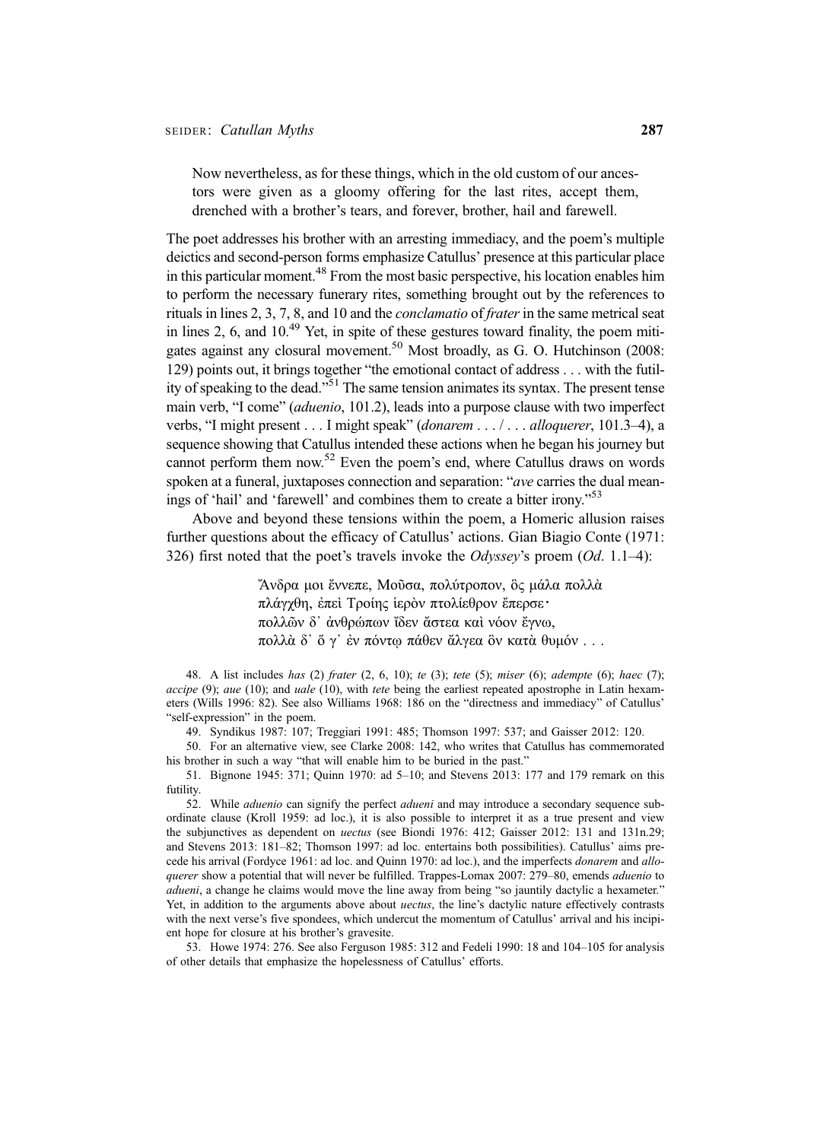Now nevertheless, as for these things, which in the old custom of our ancestors were given as a gloomy offering for the last rites, accept them, drenched with a brother's tears, and forever, brother, hail and farewell.

The poet addresses his brother with an arresting immediacy, and the poem's multiple deictics and second-person forms emphasize Catullus' presence at this particular place in this particular moment.<sup>48</sup> From the most basic perspective, his location enables him to perform the necessary funerary rites, something brought out by the references to rituals in lines 2, 3, 7, 8, and 10 and the conclamatio of frater in the same metrical seat in lines 2, 6, and  $10^{49}$  Yet, in spite of these gestures toward finality, the poem mitigates against any closural movement.<sup>50</sup> Most broadly, as G. O. Hutchinson (2008: 129) points out, it brings together "the emotional contact of address . . . with the futility of speaking to the dead."<sup>51</sup> The same tension animates its syntax. The present tense main verb, "I come" (aduenio, 101.2), leads into a purpose clause with two imperfect verbs, "I might present . . . I might speak" (donarem . . . / . . . alloquerer, 101.3–4), a sequence showing that Catullus intended these actions when he began his journey but cannot perform them now.<sup>52</sup> Even the poem's end, where Catullus draws on words spoken at a funeral, juxtaposes connection and separation: "*ave* carries the dual meanings of 'hail' and 'farewell' and combines them to create a bitter irony."<sup>53</sup>

Above and beyond these tensions within the poem, a Homeric allusion raises further questions about the efficacy of Catullus' actions. Gian Biagio Conte (1971: 326) first noted that the poet's travels invoke the *Odyssey*'s proem  $(Od. 1.1-4)$ :

> Ἄνδρα μοι ἔννεπε, Μοῦσα, πολύτροπον, ὃς μάλα πολλὰ πλάγχθη, ἐπεὶ Τροίης ἱερὸν πτολίεθρον ἔπερσε・ πολλῶν δ᾽ ἀνθρώπων ἴδεν ἄστεα καὶ νόον ἔγνω, πολλὰ δ᾽ ὅ γ᾽ ἐν πόντῳ πάθεν ἄλγεα ὃν κατὰ θυμόν ...

48. A list includes has (2) frater (2, 6, 10); te (3); tete (5); miser (6); adempte (6); haec (7);  $accepto(9)$ ; aue (10); and uale (10), with tete being the earliest repeated apostrophe in Latin hexameters (Wills 1996: 82). See also Williams 1968: 186 on the "directness and immediacy" of Catullus' "self-expression" in the poem.

49. Syndikus 1987: 107; Treggiari 1991: 485; Thomson 1997: 537; and Gaisser 2012: 120.

50. For an alternative view, see Clarke 2008: 142, who writes that Catullus has commemorated his brother in such a way "that will enable him to be buried in the past."

51. Bignone 1945: 371; Quinn 1970: ad 5–10; and Stevens 2013: 177 and 179 remark on this futility.

52. While *aduenio* can signify the perfect *adueni* and may introduce a secondary sequence subordinate clause (Kroll 1959: ad loc.), it is also possible to interpret it as a true present and view the subjunctives as dependent on uectus (see Biondi 1976: 412; Gaisser 2012: 131 and 131n.29; and Stevens 2013: 181–82; Thomson 1997: ad loc. entertains both possibilities). Catullus' aims precede his arrival (Fordyce 1961: ad loc. and Quinn 1970: ad loc.), and the imperfects *donarem* and *allo*querer show a potential that will never be fulfilled. Trappes-Lomax 2007: 279–80, emends *aduenio* to adueni, a change he claims would move the line away from being "so jauntily dactylic a hexameter." Yet, in addition to the arguments above about *uectus*, the line's dactylic nature effectively contrasts with the next verse's five spondees, which undercut the momentum of Catullus' arrival and his incipient hope for closure at his brother's gravesite.

53. Howe 1974: 276. See also Ferguson 1985: 312 and Fedeli 1990: 18 and 104–105 for analysis of other details that emphasize the hopelessness of Catullus' efforts.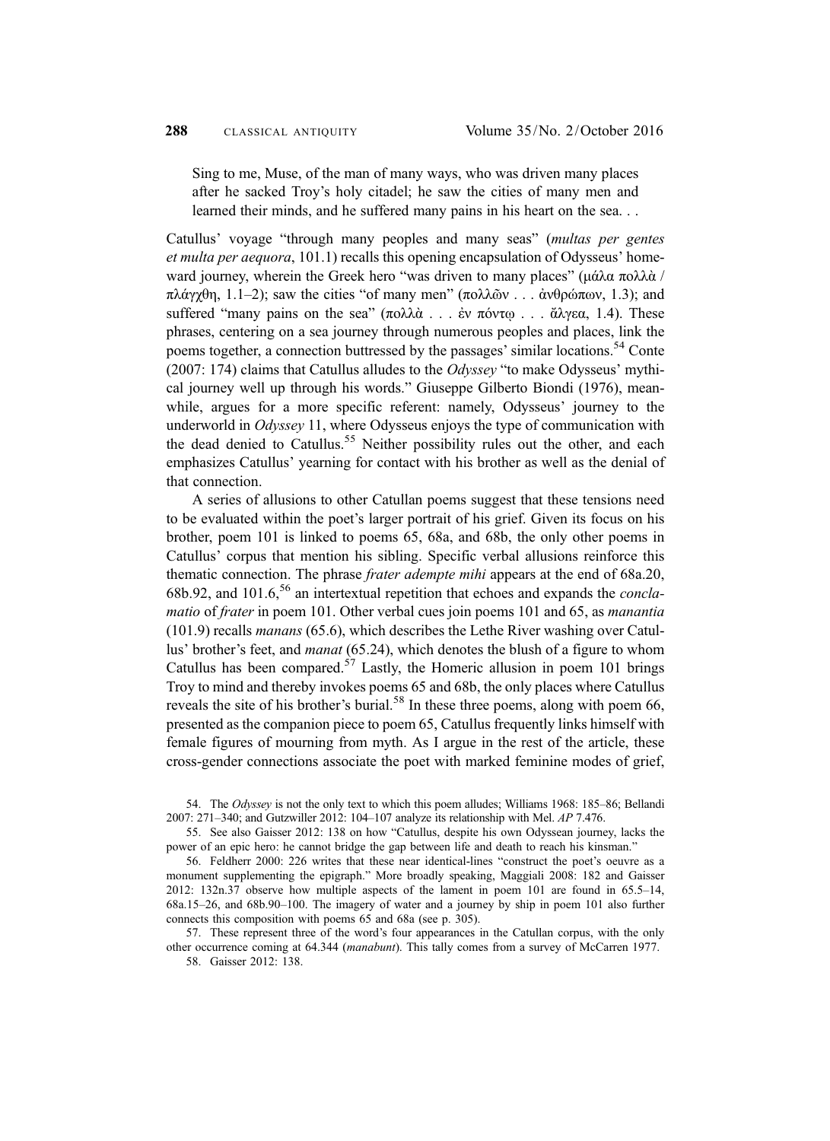Sing to me, Muse, of the man of many ways, who was driven many places after he sacked Troy's holy citadel; he saw the cities of many men and learned their minds, and he suffered many pains in his heart on the sea. . .

Catullus' voyage "through many peoples and many seas" (multas per gentes et multa per aequora, 101.1) recalls this opening encapsulation of Odysseus' homeward journey, wherein the Greek hero "was driven to many places" (μάλα πολλά / πλάγχθη, 1.1–2); saw the cities "of many men" (πολλῶν ... ἀνθρώπων, 1.3); and suffered "many pains on the sea" (πολλά ... ἐν πόντω ... ἄλγεα, 1.4). These phrases, centering on a sea journey through numerous peoples and places, link the poems together, a connection buttressed by the passages' similar locations.<sup>54</sup> Conte (2007: 174) claims that Catullus alludes to the *Odyssey* "to make Odysseus' mythical journey well up through his words." Giuseppe Gilberto Biondi (1976), meanwhile, argues for a more specific referent: namely, Odysseus' journey to the underworld in Odyssey 11, where Odysseus enjoys the type of communication with the dead denied to Catullus.<sup>55</sup> Neither possibility rules out the other, and each emphasizes Catullus' yearning for contact with his brother as well as the denial of that connection.

A series of allusions to other Catullan poems suggest that these tensions need to be evaluated within the poet's larger portrait of his grief. Given its focus on his brother, poem 101 is linked to poems 65, 68a, and 68b, the only other poems in Catullus' corpus that mention his sibling. Specific verbal allusions reinforce this thematic connection. The phrase *frater adempte mihi* appears at the end of 68a.20, 68b.92, and  $101.6$ ,<sup>56</sup> an intertextual repetition that echoes and expands the *concla*matio of frater in poem 101. Other verbal cues join poems 101 and 65, as *manantia* (101.9) recalls manans (65.6), which describes the Lethe River washing over Catullus' brother's feet, and manat (65.24), which denotes the blush of a figure to whom Catullus has been compared.<sup>57</sup> Lastly, the Homeric allusion in poem 101 brings Troy to mind and thereby invokes poems 65 and 68b, the only places where Catullus reveals the site of his brother's burial.<sup>58</sup> In these three poems, along with poem 66, presented as the companion piece to poem 65, Catullus frequently links himself with female figures of mourning from myth. As I argue in the rest of the article, these cross-gender connections associate the poet with marked feminine modes of grief,

54. The Odyssey is not the only text to which this poem alludes; Williams 1968: 185–86; Bellandi 2007: 271–340; and Gutzwiller 2012:  $104-107$  analyze its relationship with Mel.  $AP$  7.476.

55. See also Gaisser 2012: 138 on how "Catullus, despite his own Odyssean journey, lacks the power of an epic hero: he cannot bridge the gap between life and death to reach his kinsman."

56. Feldherr 2000: 226 writes that these near identical-lines "construct the poet's oeuvre as a monument supplementing the epigraph." More broadly speaking, Maggiali 2008: 182 and Gaisser 2012: 132n.37 observe how multiple aspects of the lament in poem 101 are found in 65.5–14, 68a.15–26, and 68b.90–100. The imagery of water and a journey by ship in poem 101 also further connects this composition with poems 65 and 68a (see p. 305).

57. These represent three of the word's four appearances in the Catullan corpus, with the only other occurrence coming at 64.344 (manabunt). This tally comes from a survey of McCarren 1977.

58. Gaisser 2012: 138.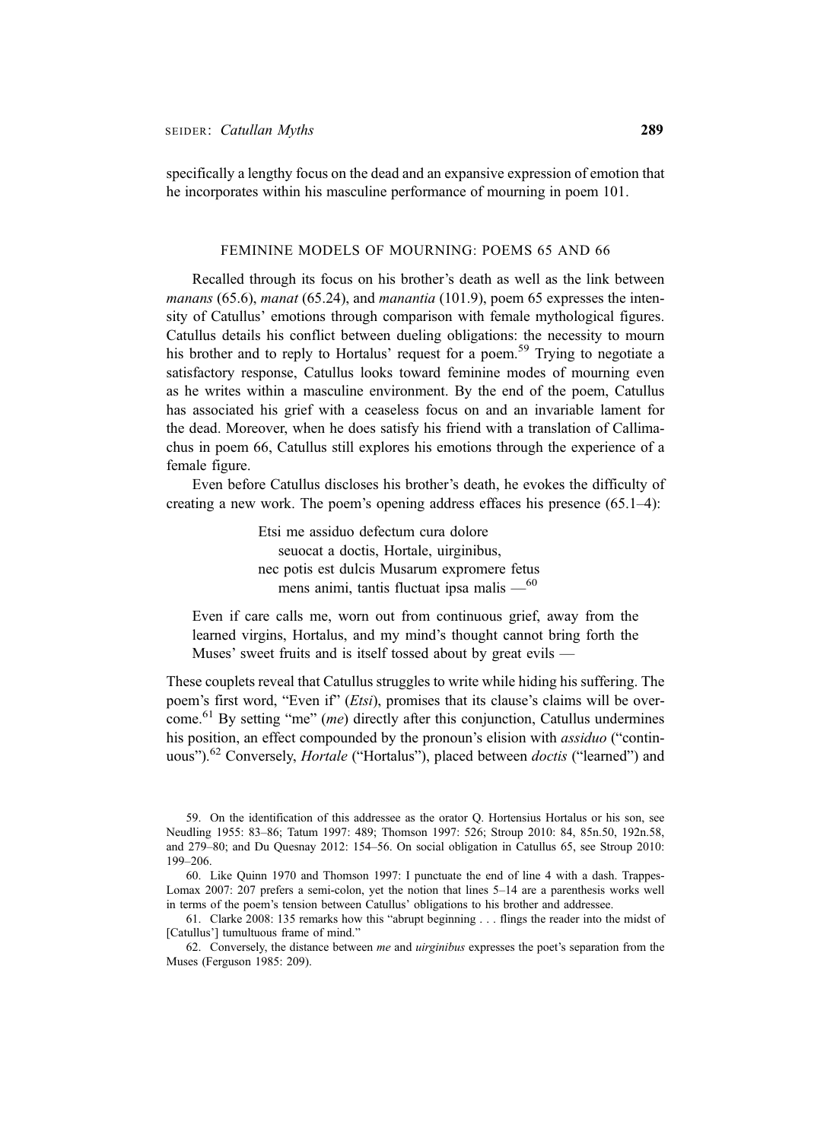specifically a lengthy focus on the dead and an expansive expression of emotion that he incorporates within his masculine performance of mourning in poem 101.

### FEMININE MODELS OF MOURNING: POEMS 65 AND 66

Recalled through its focus on his brother's death as well as the link between manans (65.6), manat (65.24), and manantia (101.9), poem 65 expresses the intensity of Catullus' emotions through comparison with female mythological figures. Catullus details his conflict between dueling obligations: the necessity to mourn his brother and to reply to Hortalus' request for a poem.<sup>59</sup> Trying to negotiate a satisfactory response, Catullus looks toward feminine modes of mourning even as he writes within a masculine environment. By the end of the poem, Catullus has associated his grief with a ceaseless focus on and an invariable lament for the dead. Moreover, when he does satisfy his friend with a translation of Callimachus in poem 66, Catullus still explores his emotions through the experience of a female figure.

Even before Catullus discloses his brother's death, he evokes the difficulty of creating a new work. The poem's opening address effaces his presence (65.1–4):

> Etsi me assiduo defectum cura dolore seuocat a doctis, Hortale, uirginibus, nec potis est dulcis Musarum expromere fetus mens animi, tantis fluctuat ipsa malis  $-$ <sup>60</sup>

Even if care calls me, worn out from continuous grief, away from the learned virgins, Hortalus, and my mind's thought cannot bring forth the Muses' sweet fruits and is itself tossed about by great evils —

These couplets reveal that Catullus struggles to write while hiding his suffering. The poem's first word, "Even if" (*Etsi*), promises that its clause's claims will be overcome.<sup>61</sup> By setting "me" (*me*) directly after this conjunction, Catullus undermines his position, an effect compounded by the pronoun's elision with *assiduo* ("continuous").<sup>62</sup> Conversely, *Hortale* ("Hortalus"), placed between *doctis* ("learned") and

<sup>59.</sup> On the identification of this addressee as the orator Q. Hortensius Hortalus or his son, see Neudling 1955: 83–86; Tatum 1997: 489; Thomson 1997: 526; Stroup 2010: 84, 85n.50, 192n.58, and 279–80; and Du Quesnay 2012: 154–56. On social obligation in Catullus 65, see Stroup 2010: 199–206.

<sup>60.</sup> Like Quinn 1970 and Thomson 1997: I punctuate the end of line 4 with a dash. Trappes-Lomax 2007: 207 prefers a semi-colon, yet the notion that lines 5–14 are a parenthesis works well in terms of the poem's tension between Catullus' obligations to his brother and addressee.

<sup>61.</sup> Clarke 2008: 135 remarks how this "abrupt beginning . . . flings the reader into the midst of [Catullus'] tumultuous frame of mind."

<sup>62.</sup> Conversely, the distance between me and uirginibus expresses the poet's separation from the Muses (Ferguson 1985: 209).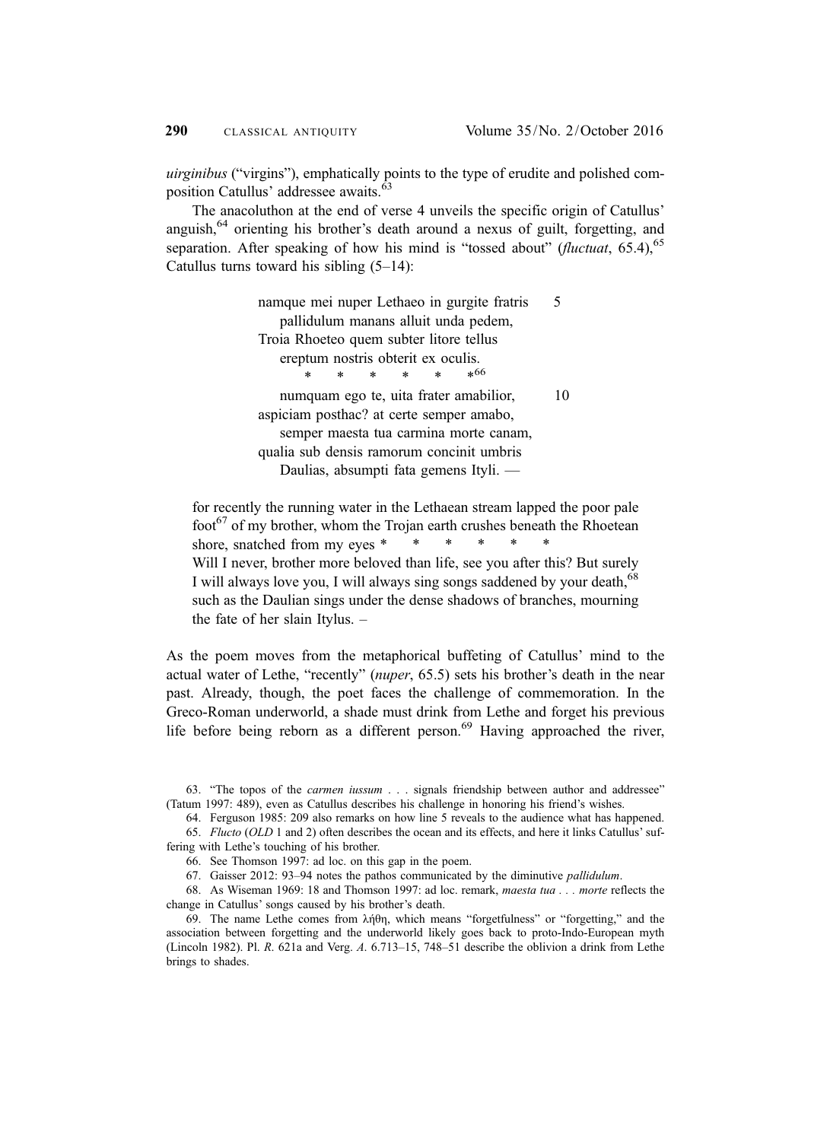uirginibus ("virgins"), emphatically points to the type of erudite and polished composition Catullus' addressee awaits.<sup>63</sup>

The anacoluthon at the end of verse 4 unveils the specific origin of Catullus' anguish,<sup>64</sup> orienting his brother's death around a nexus of guilt, forgetting, and separation. After speaking of how his mind is "tossed about" (*fluctuat*,  $65.4$ ),  $65$ Catullus turns toward his sibling  $(5-14)$ :

> namque mei nuper Lethaeo in gurgite fratris 5 pallidulum manans alluit unda pedem, Troia Rhoeteo quem subter litore tellus ereptum nostris obterit ex oculis. \*\*\*\*\*\*66 numquam ego te, uita frater amabilior, 10 aspiciam posthac? at certe semper amabo, semper maesta tua carmina morte canam, qualia sub densis ramorum concinit umbris Daulias, absumpti fata gemens Ityli. —

for recently the running water in the Lethaean stream lapped the poor pale  $\frac{1}{100}$  foother, who the Trojan earth crushes beneath the Rhoetean shore, snatched from my eyes  $*$ Will I never, brother more beloved than life, see you after this? But surely I will always love you, I will always sing songs saddened by your death,<sup>68</sup> such as the Daulian sings under the dense shadows of branches, mourning the fate of her slain Itylus. –

As the poem moves from the metaphorical buffeting of Catullus' mind to the actual water of Lethe, "recently" (nuper, 65.5) sets his brother's death in the near past. Already, though, the poet faces the challenge of commemoration. In the Greco-Roman underworld, a shade must drink from Lethe and forget his previous life before being reborn as a different person. $69$  Having approached the river,

64. Ferguson 1985: 209 also remarks on how line 5 reveals to the audience what has happened.

<sup>63.</sup> "The topos of the carmen iussum . . . signals friendship between author and addressee" (Tatum 1997: 489), even as Catullus describes his challenge in honoring his friend's wishes.

<sup>65.</sup> Flucto (OLD 1 and 2) often describes the ocean and its effects, and here it links Catullus' suffering with Lethe's touching of his brother.

<sup>66.</sup> See Thomson 1997: ad loc. on this gap in the poem.

<sup>67.</sup> Gaisser 2012: 93–94 notes the pathos communicated by the diminutive pallidulum.

<sup>68.</sup> As Wiseman 1969: 18 and Thomson 1997: ad loc. remark, maesta tua . . . morte reflects the change in Catullus' songs caused by his brother's death.

<sup>69.</sup> The name Lethe comes from λήθη, which means "forgetfulness" or "forgetting," and the association between forgetting and the underworld likely goes back to proto-Indo-European myth (Lincoln 1982). Pl. R. 621a and Verg. A. 6.713–15, 748–51 describe the oblivion a drink from Lethe brings to shades.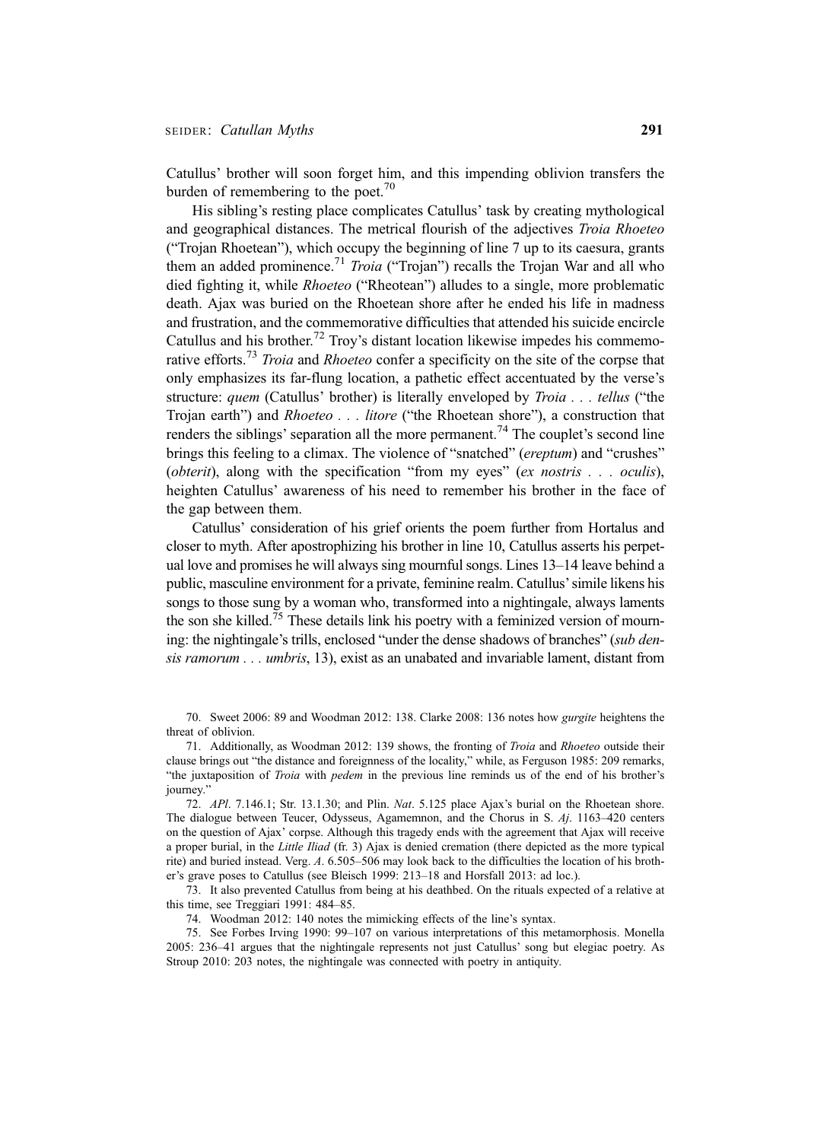Catullus' brother will soon forget him, and this impending oblivion transfers the burden of remembering to the poet. $70$ 

His sibling's resting place complicates Catullus' task by creating mythological and geographical distances. The metrical flourish of the adjectives Troia Rhoeteo ("Trojan Rhoetean"), which occupy the beginning of line 7 up to its caesura, grants them an added prominence.<sup>71</sup> Troia ("Trojan") recalls the Trojan War and all who died fighting it, while *Rhoeteo* ("Rheotean") alludes to a single, more problematic death. Ajax was buried on the Rhoetean shore after he ended his life in madness and frustration, and the commemorative difficulties that attended his suicide encircle Catullus and his brother.<sup>72</sup> Troy's distant location likewise impedes his commemorative efforts.<sup>73</sup> Troia and Rhoeteo confer a specificity on the site of the corpse that only emphasizes its far-flung location, a pathetic effect accentuated by the verse's structure: quem (Catullus' brother) is literally enveloped by Troia . . . tellus ("the Trojan earth") and Rhoeteo . . . litore ("the Rhoetean shore"), a construction that renders the siblings' separation all the more permanent.<sup>74</sup> The couplet's second line brings this feeling to a climax. The violence of "snatched" (ereptum) and "crushes" (*obterit*), along with the specification "from my eyes" (*ex nostris* . . . *oculis*), heighten Catullus' awareness of his need to remember his brother in the face of the gap between them.

Catullus' consideration of his grief orients the poem further from Hortalus and closer to myth. After apostrophizing his brother in line 10, Catullus asserts his perpetual love and promises he will always sing mournful songs. Lines 13–14 leave behind a public, masculine environment for a private, feminine realm. Catullus'simile likens his songs to those sung by a woman who, transformed into a nightingale, always laments the son she killed.<sup>75</sup> These details link his poetry with a feminized version of mourning: the nightingale's trills, enclosed "under the dense shadows of branches" (sub densis ramorum . . . umbris, 13), exist as an unabated and invariable lament, distant from

70. Sweet 2006: 89 and Woodman 2012: 138. Clarke 2008: 136 notes how gurgite heightens the threat of oblivion.

71. Additionally, as Woodman 2012: 139 shows, the fronting of Troia and Rhoeteo outside their clause brings out "the distance and foreignness of the locality," while, as Ferguson 1985: 209 remarks, "the juxtaposition of Troia with pedem in the previous line reminds us of the end of his brother's journey."

72. APl. 7.146.1; Str. 13.1.30; and Plin. Nat. 5.125 place Ajax's burial on the Rhoetean shore. The dialogue between Teucer, Odysseus, Agamemnon, and the Chorus in S. Aj. 1163–420 centers on the question of Ajax' corpse. Although this tragedy ends with the agreement that Ajax will receive a proper burial, in the Little Iliad (fr. 3) Ajax is denied cremation (there depicted as the more typical rite) and buried instead. Verg. A. 6.505–506 may look back to the difficulties the location of his brother's grave poses to Catullus (see Bleisch 1999: 213–18 and Horsfall 2013: ad loc.).

73. It also prevented Catullus from being at his deathbed. On the rituals expected of a relative at this time, see Treggiari 1991: 484–85.

74. Woodman 2012: 140 notes the mimicking effects of the line's syntax.

75. See Forbes Irving 1990: 99–107 on various interpretations of this metamorphosis. Monella 2005: 236–41 argues that the nightingale represents not just Catullus' song but elegiac poetry. As Stroup 2010: 203 notes, the nightingale was connected with poetry in antiquity.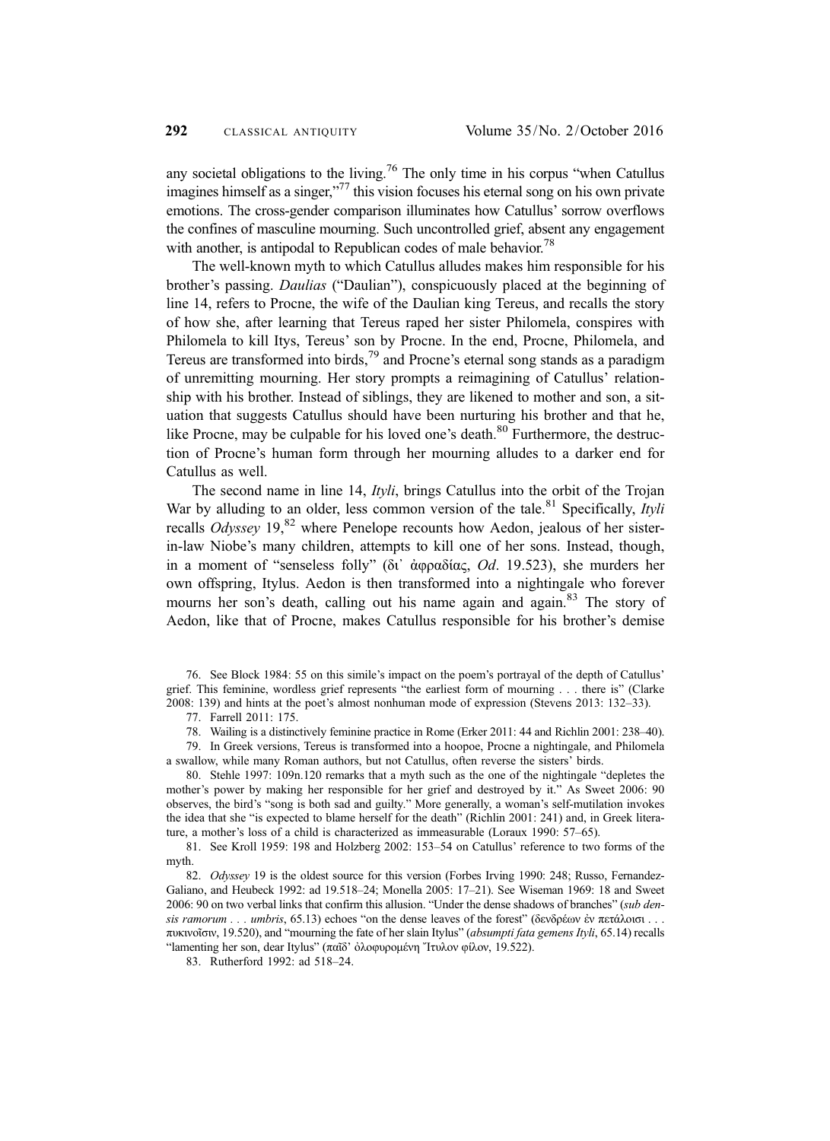any societal obligations to the living.<sup>76</sup> The only time in his corpus "when Catullus" imagines himself as a singer,"<sup>77</sup> this vision focuses his eternal song on his own private emotions. The cross-gender comparison illuminates how Catullus' sorrow overflows the confines of masculine mourning. Such uncontrolled grief, absent any engagement with another, is antipodal to Republican codes of male behavior.<sup>78</sup>

The well-known myth to which Catullus alludes makes him responsible for his brother's passing. Daulias ("Daulian"), conspicuously placed at the beginning of line 14, refers to Procne, the wife of the Daulian king Tereus, and recalls the story of how she, after learning that Tereus raped her sister Philomela, conspires with Philomela to kill Itys, Tereus' son by Procne. In the end, Procne, Philomela, and Tereus are transformed into birds, $^{79}$  and Procne's eternal song stands as a paradigm of unremitting mourning. Her story prompts a reimagining of Catullus' relationship with his brother. Instead of siblings, they are likened to mother and son, a situation that suggests Catullus should have been nurturing his brother and that he, like Procne, may be culpable for his loved one's death. $80$  Furthermore, the destruction of Procne's human form through her mourning alludes to a darker end for Catullus as well.

The second name in line 14, *Ityli*, brings Catullus into the orbit of the Trojan War by alluding to an older, less common version of the tale.<sup>81</sup> Specifically, *Ityli* recalls *Odyssey* 19<sup>82</sup> where Penelope recounts how Aedon, jealous of her sisterin-law Niobe's many children, attempts to kill one of her sons. Instead, though, in a moment of "senseless folly" (δι᾽ ἀφραδίας, Od. 19.523), she murders her own offspring, Itylus. Aedon is then transformed into a nightingale who forever mourns her son's death, calling out his name again and again.<sup>83</sup> The story of Aedon, like that of Procne, makes Catullus responsible for his brother's demise

76. See Block 1984: 55 on this simile's impact on the poem's portrayal of the depth of Catullus' grief. This feminine, wordless grief represents "the earliest form of mourning . . . there is" (Clarke 2008: 139) and hints at the poet's almost nonhuman mode of expression (Stevens 2013: 132–33).

77. Farrell 2011: 175.

78. Wailing is a distinctively feminine practice in Rome (Erker 2011: 44 and Richlin 2001: 238–40).

79. In Greek versions, Tereus is transformed into a hoopoe, Procne a nightingale, and Philomela a swallow, while many Roman authors, but not Catullus, often reverse the sisters' birds.

80. Stehle 1997: 109n.120 remarks that a myth such as the one of the nightingale "depletes the mother's power by making her responsible for her grief and destroyed by it." As Sweet 2006: 90 observes, the bird's "song is both sad and guilty." More generally, a woman's self-mutilation invokes the idea that she "is expected to blame herself for the death" (Richlin 2001: 241) and, in Greek literature, a mother's loss of a child is characterized as immeasurable (Loraux 1990: 57–65).

81. See Kroll 1959: 198 and Holzberg 2002: 153–54 on Catullus' reference to two forms of the myth.

82. Odyssey 19 is the oldest source for this version (Forbes Irving 1990: 248; Russo, Fernandez-Galiano, and Heubeck 1992: ad 19.518–24; Monella 2005: 17–21). See Wiseman 1969: 18 and Sweet 2006: 90 on two verbal links that confirm this allusion. "Under the dense shadows of branches" (sub densis ramorum . . . umbris, 65.13) echoes "on the dense leaves of the forest" (δενδρέων ἐν πετάλοισι . . . πυκινοῖσιν, 19.520), and "mourning the fate of her slain Itylus" (absumpti fata gemens Ityli, 65.14) recalls "lamenting her son, dear Itylus" (παῖδ' ὀλοφυρομένη Ἴτυλον φίλον, 19.522).

83. Rutherford 1992: ad 518–24.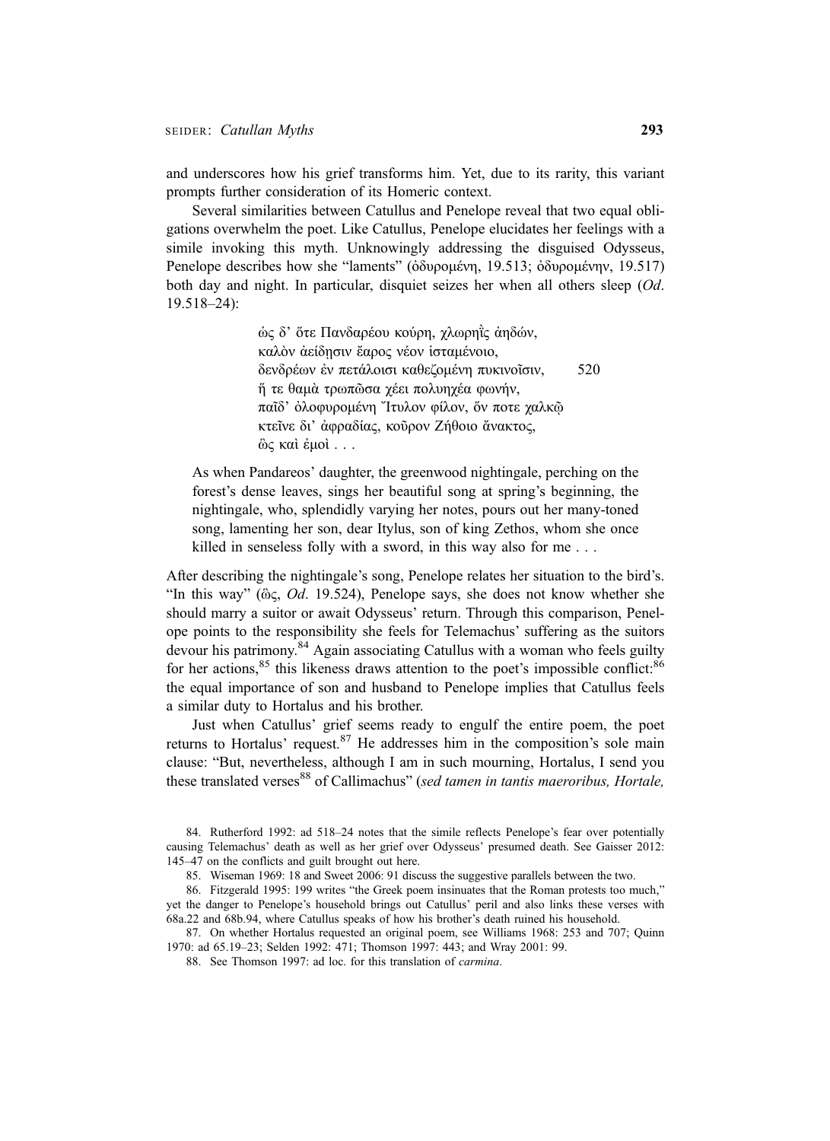and underscores how his grief transforms him. Yet, due to its rarity, this variant prompts further consideration of its Homeric context.

Several similarities between Catullus and Penelope reveal that two equal obligations overwhelm the poet. Like Catullus, Penelope elucidates her feelings with a simile invoking this myth. Unknowingly addressing the disguised Odysseus, Penelope describes how she "laments" (ὀδυρομένη, 19.513; ὀδυρομένην, 19.517) both day and night. In particular, disquiet seizes her when all others sleep (Od. 19.518–24):

> ὡς δ' ὅτε Πανδαρέου κούρη, χλωρηῒς ἀηδών, καλὸν ἀείδῃσιν ἔαρος νέον ἱσταμένοιο, δενδρέων ἐν πετάλοισι καθεζομένη πυκινοῖσιν, 520 ἥ τε θαμὰ τρωπῶσα χέει πολυηχέα φωνήν, παῖδ' ὀλοφυρομένη Ἴτυλον φίλον, ὅν ποτε χαλκῷ κτεῖνε δι' ἀφραδίας, κοῦρον Ζήθοιο ἄνακτος, ὣς καὶ ἐμοὶ ...

As when Pandareos' daughter, the greenwood nightingale, perching on the forest's dense leaves, sings her beautiful song at spring's beginning, the nightingale, who, splendidly varying her notes, pours out her many-toned song, lamenting her son, dear Itylus, son of king Zethos, whom she once killed in senseless folly with a sword, in this way also for me . . .

After describing the nightingale's song, Penelope relates her situation to the bird's. "In this way" ( $\hat{\omega}$ ,  $Od$ . 19.524), Penelope says, she does not know whether she should marry a suitor or await Odysseus' return. Through this comparison, Penelope points to the responsibility she feels for Telemachus' suffering as the suitors devour his patrimony.<sup>84</sup> Again associating Catullus with a woman who feels guilty for her actions, $85$  this likeness draws attention to the poet's impossible conflict: $86$ the equal importance of son and husband to Penelope implies that Catullus feels a similar duty to Hortalus and his brother.

Just when Catullus' grief seems ready to engulf the entire poem, the poet returns to Hortalus' request. <sup>87</sup> He addresses him in the composition's sole main clause: "But, nevertheless, although I am in such mourning, Hortalus, I send you these translated verses<sup>88</sup> of Callimachus" (sed tamen in tantis maeroribus, Hortale,

<sup>84.</sup> Rutherford 1992: ad 518–24 notes that the simile reflects Penelope's fear over potentially causing Telemachus' death as well as her grief over Odysseus' presumed death. See Gaisser 2012: 145–47 on the conflicts and guilt brought out here.

<sup>85.</sup> Wiseman 1969: 18 and Sweet 2006: 91 discuss the suggestive parallels between the two.

<sup>86.</sup> Fitzgerald 1995: 199 writes "the Greek poem insinuates that the Roman protests too much," yet the danger to Penelope's household brings out Catullus' peril and also links these verses with 68a.22 and 68b.94, where Catullus speaks of how his brother's death ruined his household.

<sup>87.</sup> On whether Hortalus requested an original poem, see Williams 1968: 253 and 707; Quinn 1970: ad 65.19–23; Selden 1992: 471; Thomson 1997: 443; and Wray 2001: 99.

<sup>88.</sup> See Thomson 1997: ad loc. for this translation of carmina.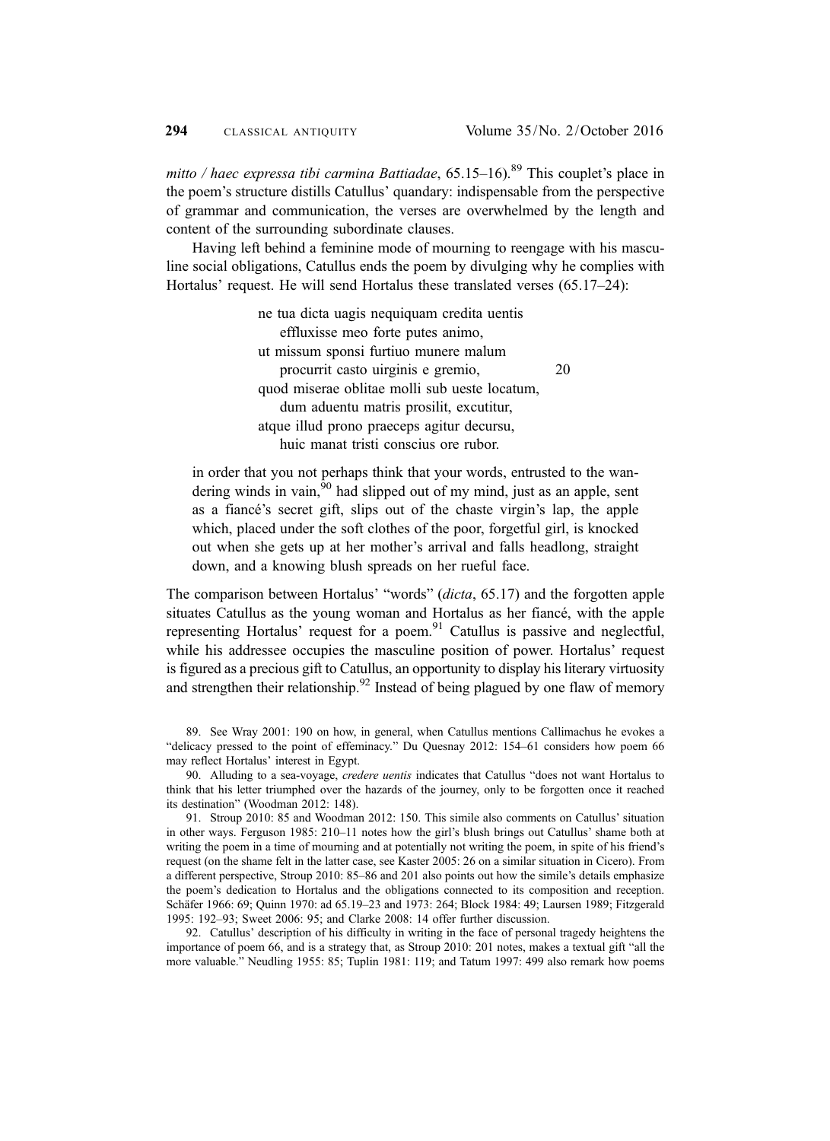mitto / haec expressa tibi carmina Battiadae,  $65.15-16$ ).<sup>89</sup> This couplet's place in the poem's structure distills Catullus' quandary: indispensable from the perspective of grammar and communication, the verses are overwhelmed by the length and content of the surrounding subordinate clauses.

Having left behind a feminine mode of mourning to reengage with his masculine social obligations, Catullus ends the poem by divulging why he complies with Hortalus' request. He will send Hortalus these translated verses (65.17–24):

> ne tua dicta uagis nequiquam credita uentis effluxisse meo forte putes animo, ut missum sponsi furtiuo munere malum procurrit casto uirginis e gremio, 20 quod miserae oblitae molli sub ueste locatum, dum aduentu matris prosilit, excutitur, atque illud prono praeceps agitur decursu, huic manat tristi conscius ore rubor.

in order that you not perhaps think that your words, entrusted to the wandering winds in vain,  $^{90}$  had slipped out of my mind, just as an apple, sent as a fiancé's secret gift, slips out of the chaste virgin's lap, the apple which, placed under the soft clothes of the poor, forgetful girl, is knocked out when she gets up at her mother's arrival and falls headlong, straight down, and a knowing blush spreads on her rueful face.

The comparison between Hortalus' "words" (dicta, 65.17) and the forgotten apple situates Catullus as the young woman and Hortalus as her fiancé, with the apple representing Hortalus' request for a poem. $91$  Catullus is passive and neglectful, while his addressee occupies the masculine position of power. Hortalus' request is figured as a precious gift to Catullus, an opportunity to display his literary virtuosity and strengthen their relationship.<sup>92</sup> Instead of being plagued by one flaw of memory

<sup>89.</sup> See Wray 2001: 190 on how, in general, when Catullus mentions Callimachus he evokes a "delicacy pressed to the point of effeminacy." Du Quesnay 2012: 154–61 considers how poem 66 may reflect Hortalus' interest in Egypt.

<sup>90.</sup> Alluding to a sea-voyage, *credere uentis* indicates that Catullus "does not want Hortalus to think that his letter triumphed over the hazards of the journey, only to be forgotten once it reached its destination" (Woodman 2012: 148).

<sup>91.</sup> Stroup 2010: 85 and Woodman 2012: 150. This simile also comments on Catullus' situation in other ways. Ferguson 1985: 210–11 notes how the girl's blush brings out Catullus' shame both at writing the poem in a time of mourning and at potentially not writing the poem, in spite of his friend's request (on the shame felt in the latter case, see Kaster 2005: 26 on a similar situation in Cicero). From a different perspective, Stroup 2010: 85–86 and 201 also points out how the simile's details emphasize the poem's dedication to Hortalus and the obligations connected to its composition and reception. Schäfer 1966: 69; Quinn 1970: ad 65.19–23 and 1973: 264; Block 1984: 49; Laursen 1989; Fitzgerald 1995: 192–93; Sweet 2006: 95; and Clarke 2008: 14 offer further discussion.

<sup>92.</sup> Catullus' description of his difficulty in writing in the face of personal tragedy heightens the importance of poem 66, and is a strategy that, as Stroup 2010: 201 notes, makes a textual gift "all the more valuable." Neudling 1955: 85; Tuplin 1981: 119; and Tatum 1997: 499 also remark how poems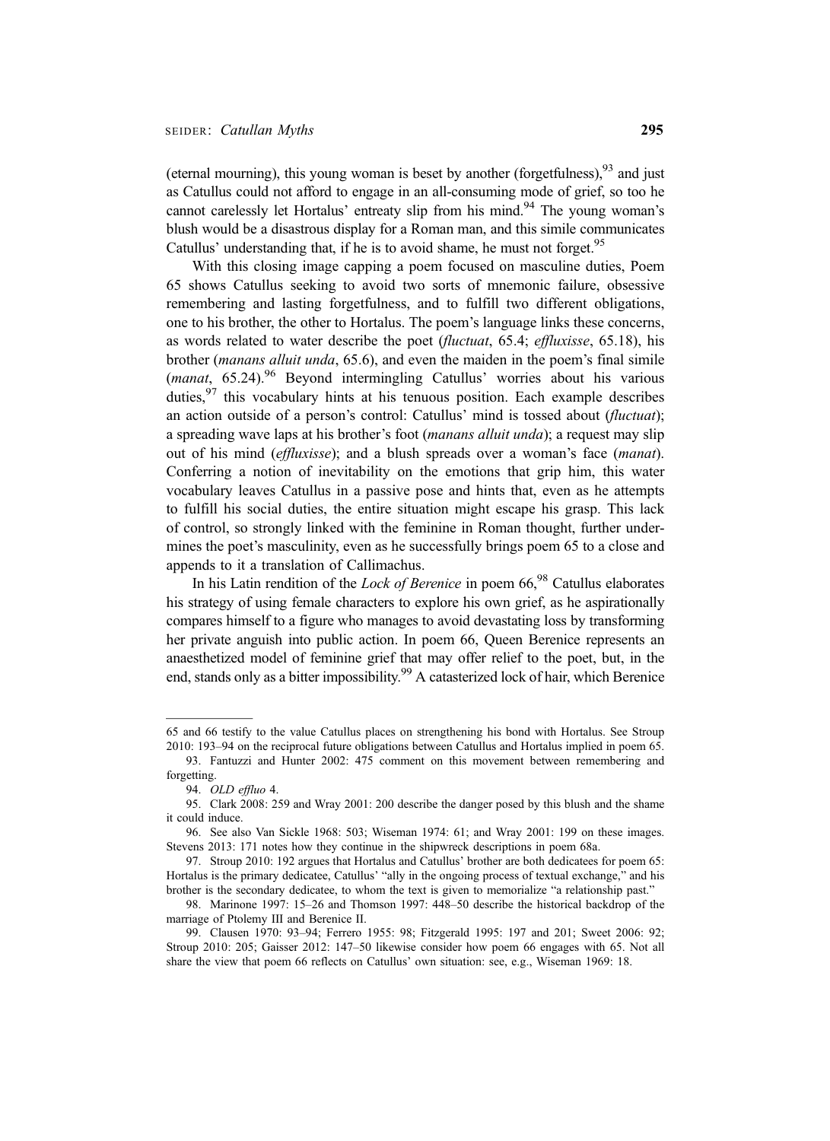(eternal mourning), this young woman is beset by another (forgetfulness),  $93$  and just as Catullus could not afford to engage in an all-consuming mode of grief, so too he cannot carelessly let Hortalus' entreaty slip from his mind.<sup>94</sup> The young woman's blush would be a disastrous display for a Roman man, and this simile communicates Catullus' understanding that, if he is to avoid shame, he must not forget.<sup>95</sup>

With this closing image capping a poem focused on masculine duties, Poem 65 shows Catullus seeking to avoid two sorts of mnemonic failure, obsessive remembering and lasting forgetfulness, and to fulfill two different obligations, one to his brother, the other to Hortalus. The poem's language links these concerns, as words related to water describe the poet (fluctuat, 65.4; effluxisse, 65.18), his brother (manans alluit unda, 65.6), and even the maiden in the poem's final simile (manat,  $65.24$ ).<sup>96</sup> Beyond intermingling Catullus' worries about his various duties,  $97$  this vocabulary hints at his tenuous position. Each example describes an action outside of a person's control: Catullus' mind is tossed about (fluctuat); a spreading wave laps at his brother's foot (manans alluit unda); a request may slip out of his mind (effluxisse); and a blush spreads over a woman's face (manat). Conferring a notion of inevitability on the emotions that grip him, this water vocabulary leaves Catullus in a passive pose and hints that, even as he attempts to fulfill his social duties, the entire situation might escape his grasp. This lack of control, so strongly linked with the feminine in Roman thought, further undermines the poet's masculinity, even as he successfully brings poem 65 to a close and appends to it a translation of Callimachus.

In his Latin rendition of the *Lock of Berenice* in poem  $66<sup>98</sup>$  Catullus elaborates his strategy of using female characters to explore his own grief, as he aspirationally compares himself to a figure who manages to avoid devastating loss by transforming her private anguish into public action. In poem 66, Queen Berenice represents an anaesthetized model of feminine grief that may offer relief to the poet, but, in the end, stands only as a bitter impossibility.<sup>99</sup> A catasterized lock of hair, which Berenice

<sup>65</sup> and 66 testify to the value Catullus places on strengthening his bond with Hortalus. See Stroup 2010: 193–94 on the reciprocal future obligations between Catullus and Hortalus implied in poem 65.

<sup>93.</sup> Fantuzzi and Hunter 2002: 475 comment on this movement between remembering and forgetting.

<sup>94.</sup> OLD effluo 4.

<sup>95.</sup> Clark 2008: 259 and Wray 2001: 200 describe the danger posed by this blush and the shame it could induce.

<sup>96.</sup> See also Van Sickle 1968: 503; Wiseman 1974: 61; and Wray 2001: 199 on these images. Stevens 2013: 171 notes how they continue in the shipwreck descriptions in poem 68a.

<sup>97.</sup> Stroup 2010: 192 argues that Hortalus and Catullus' brother are both dedicatees for poem 65: Hortalus is the primary dedicatee, Catullus' "ally in the ongoing process of textual exchange," and his brother is the secondary dedicatee, to whom the text is given to memorialize "a relationship past."

<sup>98.</sup> Marinone 1997: 15–26 and Thomson 1997: 448–50 describe the historical backdrop of the marriage of Ptolemy III and Berenice II.

<sup>99.</sup> Clausen 1970: 93–94; Ferrero 1955: 98; Fitzgerald 1995: 197 and 201; Sweet 2006: 92; Stroup 2010: 205; Gaisser 2012: 147–50 likewise consider how poem 66 engages with 65. Not all share the view that poem 66 reflects on Catullus' own situation: see, e.g., Wiseman 1969: 18.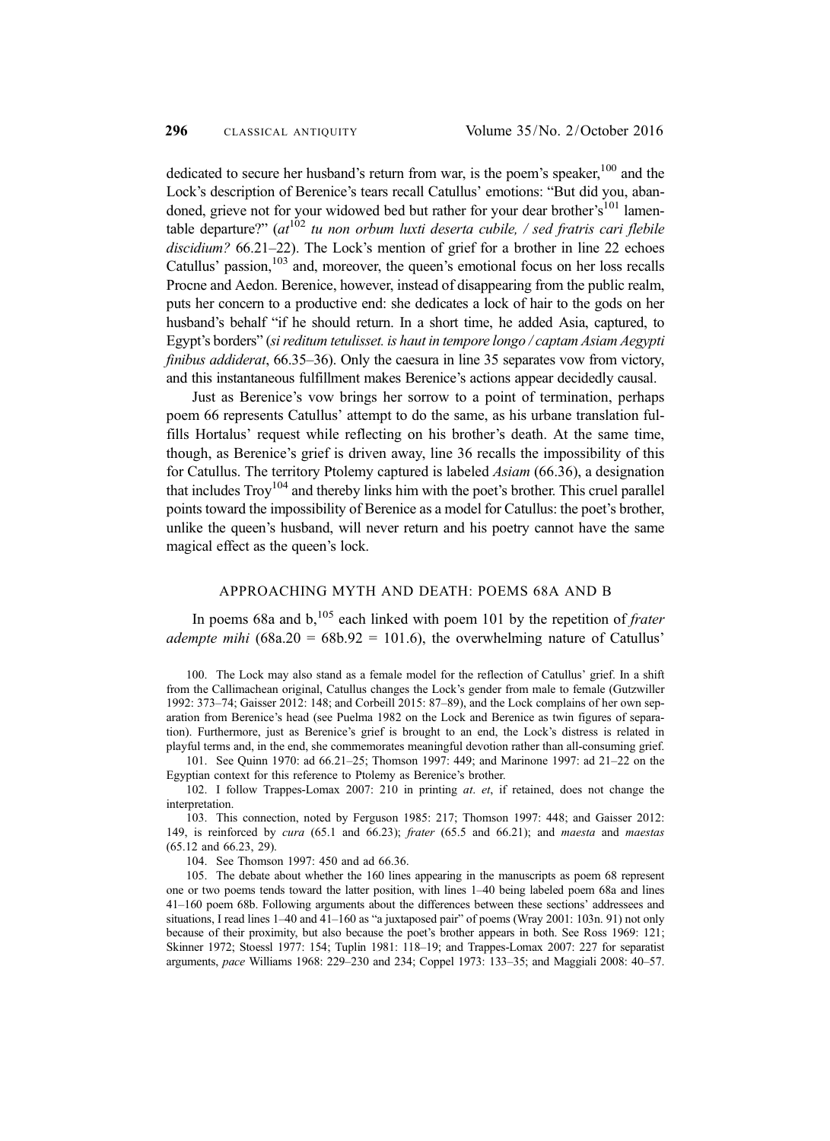dedicated to secure her husband's return from war, is the poem's speaker,  $100$  and the Lock's description of Berenice's tears recall Catullus' emotions: "But did you, abandoned, grieve not for your widowed bed but rather for your dear brother's<sup>101</sup> lamentable departure?"  $(at^{102}$  tu non orbum luxti deserta cubile, / sed fratris cari flebile discidium? 66.21–22). The Lock's mention of grief for a brother in line 22 echoes Catullus' passion,<sup>103</sup> and, moreover, the queen's emotional focus on her loss recalls Procne and Aedon. Berenice, however, instead of disappearing from the public realm, puts her concern to a productive end: she dedicates a lock of hair to the gods on her husband's behalf "if he should return. In a short time, he added Asia, captured, to Egypt's borders" (si reditum tetulisset. is haut in tempore longo / captam Asiam Aegypti finibus addiderat, 66.35–36). Only the caesura in line 35 separates vow from victory, and this instantaneous fulfillment makes Berenice's actions appear decidedly causal.

Just as Berenice's vow brings her sorrow to a point of termination, perhaps poem 66 represents Catullus' attempt to do the same, as his urbane translation fulfills Hortalus' request while reflecting on his brother's death. At the same time, though, as Berenice's grief is driven away, line 36 recalls the impossibility of this for Catullus. The territory Ptolemy captured is labeled Asiam (66.36), a designation that includes  $T_{\text{TOV}}^{104}$  and thereby links him with the poet's brother. This cruel parallel points toward the impossibility of Berenice as a model for Catullus: the poet's brother, unlike the queen's husband, will never return and his poetry cannot have the same magical effect as the queen's lock.

#### APPROACHING MYTH AND DEATH: POEMS 68A AND B

In poems 68a and  $b<sub>1</sub>^{105}$  each linked with poem 101 by the repetition of *frater* adempte mihi  $(68a.20) = 68b.92 = 101.6$ , the overwhelming nature of Catullus'

100. The Lock may also stand as a female model for the reflection of Catullus' grief. In a shift from the Callimachean original, Catullus changes the Lock's gender from male to female (Gutzwiller 1992: 373–74; Gaisser 2012: 148; and Corbeill 2015: 87–89), and the Lock complains of her own separation from Berenice's head (see Puelma 1982 on the Lock and Berenice as twin figures of separation). Furthermore, just as Berenice's grief is brought to an end, the Lock's distress is related in playful terms and, in the end, she commemorates meaningful devotion rather than all-consuming grief.

101. See Quinn 1970: ad 66.21–25; Thomson 1997: 449; and Marinone 1997: ad 21–22 on the Egyptian context for this reference to Ptolemy as Berenice's brother.

102. I follow Trappes-Lomax 2007: 210 in printing at. et, if retained, does not change the interpretation.

103. This connection, noted by Ferguson 1985: 217; Thomson 1997: 448; and Gaisser 2012: 149, is reinforced by cura (65.1 and 66.23); frater (65.5 and 66.21); and maesta and maestas (65.12 and 66.23, 29).

104. See Thomson 1997: 450 and ad 66.36.

105. The debate about whether the 160 lines appearing in the manuscripts as poem 68 represent one or two poems tends toward the latter position, with lines 1–40 being labeled poem 68a and lines 41–160 poem 68b. Following arguments about the differences between these sections' addressees and situations, I read lines 1–40 and 41–160 as "a juxtaposed pair" of poems (Wray 2001: 103n. 91) not only because of their proximity, but also because the poet's brother appears in both. See Ross 1969: 121; Skinner 1972; Stoessl 1977: 154; Tuplin 1981: 118–19; and Trappes-Lomax 2007: 227 for separatist arguments, pace Williams 1968: 229–230 and 234; Coppel 1973: 133–35; and Maggiali 2008: 40–57.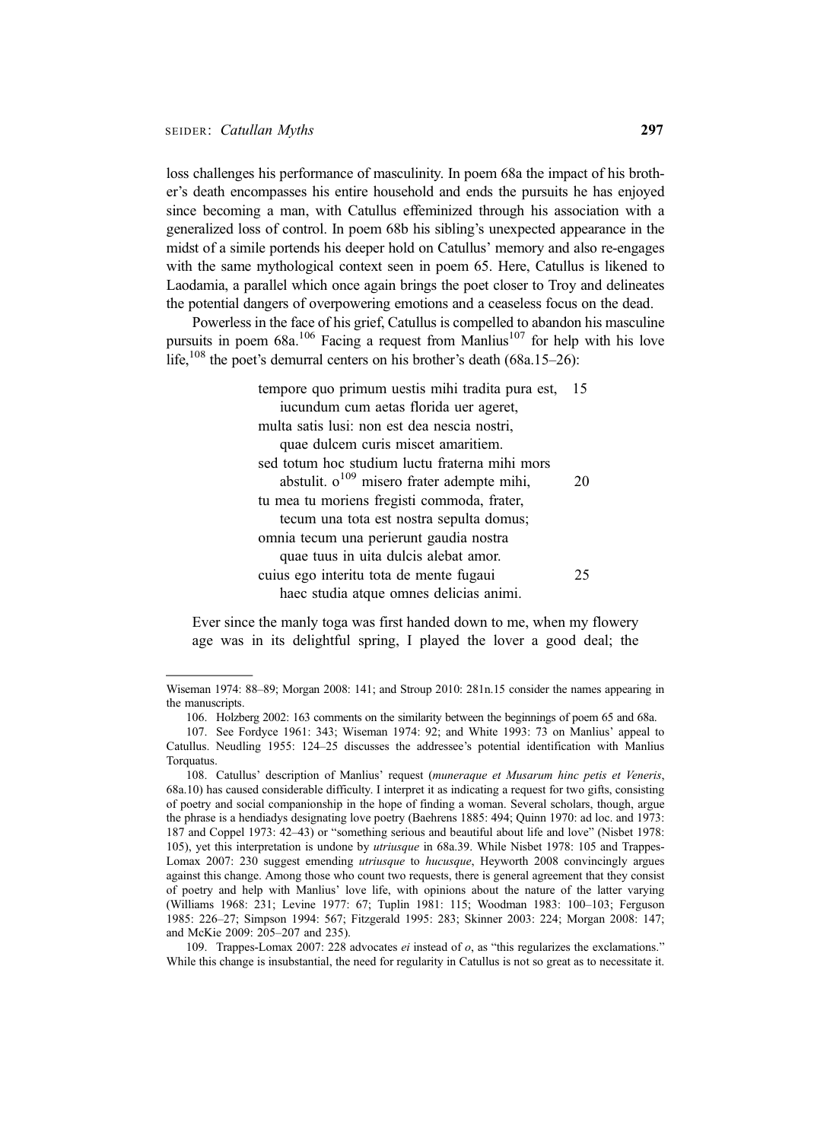loss challenges his performance of masculinity. In poem 68a the impact of his brother's death encompasses his entire household and ends the pursuits he has enjoyed since becoming a man, with Catullus effeminized through his association with a generalized loss of control. In poem 68b his sibling's unexpected appearance in the midst of a simile portends his deeper hold on Catullus' memory and also re-engages with the same mythological context seen in poem 65. Here, Catullus is likened to Laodamia, a parallel which once again brings the poet closer to Troy and delineates the potential dangers of overpowering emotions and a ceaseless focus on the dead.

Powerless in the face of his grief, Catullus is compelled to abandon his masculine pursuits in poem  $68a$ <sup>106</sup> Facing a request from Manlius<sup>107</sup> for help with his love life,<sup>108</sup> the poet's demurral centers on his brother's death (68a.15–26):

| tempore quo primum uestis mihi tradita pura est, | 15 |
|--------------------------------------------------|----|
| iucundum cum aetas florida uer ageret,           |    |
| multa satis lusi: non est dea nescia nostri,     |    |
| quae dulcem curis miscet amaritiem.              |    |
| sed totum hoc studium luctu fraterna mihi mors   |    |
| abstulit. $o^{109}$ misero frater adempte mihi,  | 20 |
| tu mea tu moriens fregisti commoda, frater,      |    |
| tecum una tota est nostra sepulta domus;         |    |
| omnia tecum una perierunt gaudia nostra          |    |
| quae tuus in uita dulcis alebat amor.            |    |
| cuius ego interitu tota de mente fugaui          | 25 |
| haec studia atque omnes delicias animi.          |    |

Ever since the manly toga was first handed down to me, when my flowery age was in its delightful spring, I played the lover a good deal; the

109. Trappes-Lomax 2007: 228 advocates ei instead of o, as "this regularizes the exclamations." While this change is insubstantial, the need for regularity in Catullus is not so great as to necessitate it.

Wiseman 1974: 88–89; Morgan 2008: 141; and Stroup 2010: 281n.15 consider the names appearing in the manuscripts.

<sup>106.</sup> Holzberg 2002: 163 comments on the similarity between the beginnings of poem 65 and 68a.

<sup>107.</sup> See Fordyce 1961: 343; Wiseman 1974: 92; and White 1993: 73 on Manlius' appeal to Catullus. Neudling 1955: 124–25 discusses the addressee's potential identification with Manlius Torquatus.

<sup>108.</sup> Catullus' description of Manlius' request (muneraque et Musarum hinc petis et Veneris, 68a.10) has caused considerable difficulty. I interpret it as indicating a request for two gifts, consisting of poetry and social companionship in the hope of finding a woman. Several scholars, though, argue the phrase is a hendiadys designating love poetry (Baehrens 1885: 494; Quinn 1970: ad loc. and 1973: 187 and Coppel 1973: 42–43) or "something serious and beautiful about life and love" (Nisbet 1978: 105), yet this interpretation is undone by utriusque in 68a.39. While Nisbet 1978: 105 and Trappes-Lomax 2007: 230 suggest emending *utriusque* to *hucusque*, Heyworth 2008 convincingly argues against this change. Among those who count two requests, there is general agreement that they consist of poetry and help with Manlius' love life, with opinions about the nature of the latter varying (Williams 1968: 231; Levine 1977: 67; Tuplin 1981: 115; Woodman 1983: 100–103; Ferguson 1985: 226–27; Simpson 1994: 567; Fitzgerald 1995: 283; Skinner 2003: 224; Morgan 2008: 147; and McKie 2009: 205–207 and 235).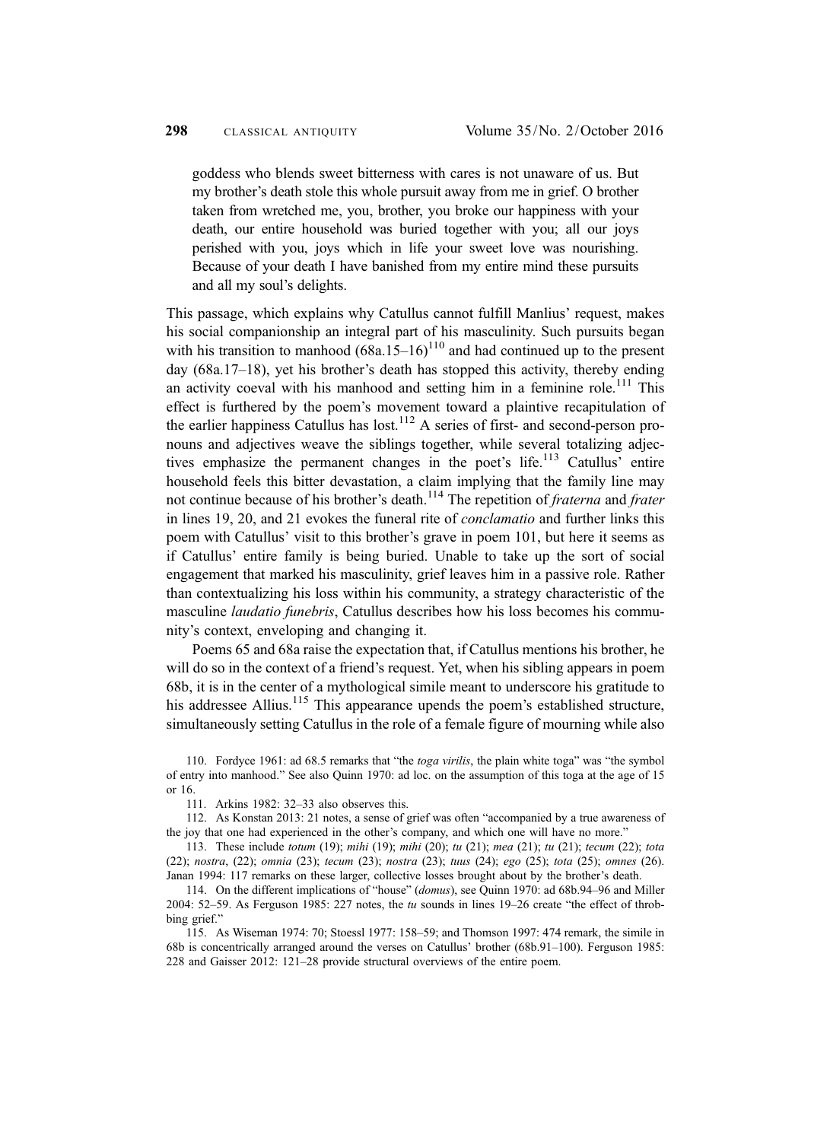goddess who blends sweet bitterness with cares is not unaware of us. But my brother's death stole this whole pursuit away from me in grief. O brother taken from wretched me, you, brother, you broke our happiness with your death, our entire household was buried together with you; all our joys perished with you, joys which in life your sweet love was nourishing. Because of your death I have banished from my entire mind these pursuits and all my soul's delights.

This passage, which explains why Catullus cannot fulfill Manlius' request, makes his social companionship an integral part of his masculinity. Such pursuits began with his transition to manhood  $(68a.15-16)^{110}$  and had continued up to the present day (68a.17–18), yet his brother's death has stopped this activity, thereby ending an activity coeval with his manhood and setting him in a feminine role.<sup>111</sup> This effect is furthered by the poem's movement toward a plaintive recapitulation of the earlier happiness Catullus has lost.<sup>112</sup> A series of first- and second-person pronouns and adjectives weave the siblings together, while several totalizing adjectives emphasize the permanent changes in the poet's life.<sup>113</sup> Catullus' entire household feels this bitter devastation, a claim implying that the family line may not continue because of his brother's death.<sup>114</sup> The repetition of *fraterna* and *frater* in lines 19, 20, and 21 evokes the funeral rite of conclamatio and further links this poem with Catullus' visit to this brother's grave in poem 101, but here it seems as if Catullus' entire family is being buried. Unable to take up the sort of social engagement that marked his masculinity, grief leaves him in a passive role. Rather than contextualizing his loss within his community, a strategy characteristic of the masculine *laudatio funebris*, Catullus describes how his loss becomes his community's context, enveloping and changing it.

Poems 65 and 68a raise the expectation that, if Catullus mentions his brother, he will do so in the context of a friend's request. Yet, when his sibling appears in poem 68b, it is in the center of a mythological simile meant to underscore his gratitude to his addressee Allius.<sup>115</sup> This appearance upends the poem's established structure, simultaneously setting Catullus in the role of a female figure of mourning while also

111. Arkins 1982: 32–33 also observes this.

112. As Konstan 2013: 21 notes, a sense of grief was often "accompanied by a true awareness of the joy that one had experienced in the other's company, and which one will have no more."

113. These include totum (19); mihi (19); mihi (20); tu (21); mea (21); tu (21); tecum (22); tota (22); nostra, (22); omnia (23); tecum (23); nostra (23); tuus (24); ego (25); tota (25); omnes (26). Janan 1994: 117 remarks on these larger, collective losses brought about by the brother's death.

114. On the different implications of "house" (domus), see Quinn 1970: ad 68b.94–96 and Miller 2004: 52–59. As Ferguson 1985: 227 notes, the tu sounds in lines 19–26 create "the effect of throbbing grief."

115. As Wiseman 1974: 70; Stoessl 1977: 158–59; and Thomson 1997: 474 remark, the simile in 68b is concentrically arranged around the verses on Catullus' brother (68b.91–100). Ferguson 1985: 228 and Gaisser 2012: 121–28 provide structural overviews of the entire poem.

<sup>110.</sup> Fordyce 1961: ad 68.5 remarks that "the toga virilis, the plain white toga" was "the symbol of entry into manhood." See also Quinn 1970: ad loc. on the assumption of this toga at the age of 15 or 16.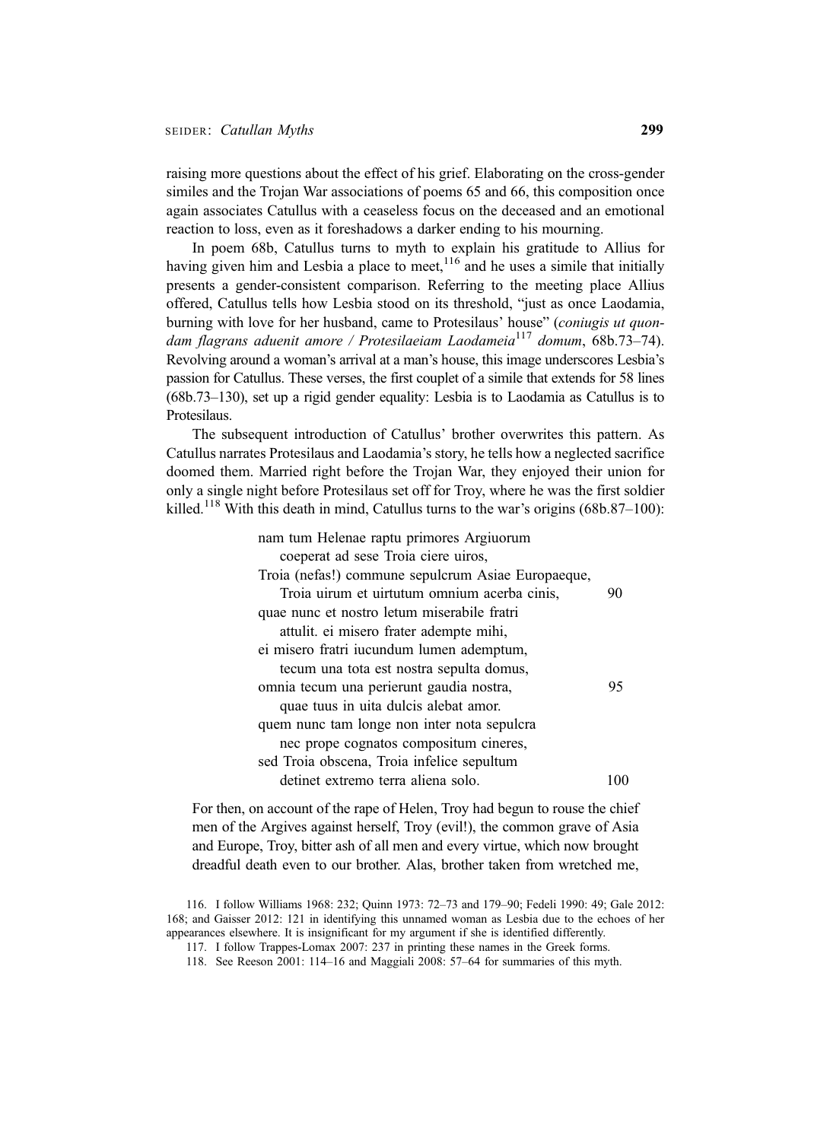raising more questions about the effect of his grief. Elaborating on the cross-gender similes and the Trojan War associations of poems 65 and 66, this composition once again associates Catullus with a ceaseless focus on the deceased and an emotional reaction to loss, even as it foreshadows a darker ending to his mourning.

In poem 68b, Catullus turns to myth to explain his gratitude to Allius for having given him and Lesbia a place to meet,  $116$  and he uses a simile that initially presents a gender-consistent comparison. Referring to the meeting place Allius offered, Catullus tells how Lesbia stood on its threshold, "just as once Laodamia, burning with love for her husband, came to Protesilaus' house" (coniugis ut quondam flagrans aduenit amore / Protesilaeiam Laodameia<sup>117</sup> domum, 68b.73–74). Revolving around a woman's arrival at a man's house, this image underscores Lesbia's passion for Catullus. These verses, the first couplet of a simile that extends for 58 lines (68b.73–130), set up a rigid gender equality: Lesbia is to Laodamia as Catullus is to Protesilaus.

The subsequent introduction of Catullus' brother overwrites this pattern. As Catullus narrates Protesilaus and Laodamia's story, he tells how a neglected sacrifice doomed them. Married right before the Trojan War, they enjoyed their union for only a single night before Protesilaus set off for Troy, where he was the first soldier killed.<sup>118</sup> With this death in mind, Catullus turns to the war's origins (68b.87–100):

| nam tum Helenae raptu primores Argiuorum           |    |
|----------------------------------------------------|----|
| coeperat ad sese Troia ciere uiros,                |    |
| Troia (nefas!) commune sepulcrum Asiae Europaeque, |    |
| Troia uirum et uirtutum omnium acerba cinis,       | 90 |
| quae nunc et nostro letum miserabile fratri        |    |
| attulit, ei misero frater adempte mihi,            |    |
| ei misero fratri iucundum lumen ademptum,          |    |
| tecum una tota est nostra sepulta domus,           |    |
| omnia tecum una perierunt gaudia nostra,           | 95 |
| quae tuus in uita dulcis alebat amor.              |    |
| quem nunc tam longe non inter nota sepulcra        |    |
| nec prope cognatos compositum cineres,             |    |
| sed Troia obscena, Troia infelice sepultum         |    |
| detinet extremo terra aliena solo.                 |    |
|                                                    |    |

For then, on account of the rape of Helen, Troy had begun to rouse the chief men of the Argives against herself, Troy (evil!), the common grave of Asia and Europe, Troy, bitter ash of all men and every virtue, which now brought dreadful death even to our brother. Alas, brother taken from wretched me,

<sup>116.</sup> I follow Williams 1968: 232; Quinn 1973: 72–73 and 179–90; Fedeli 1990: 49; Gale 2012: 168; and Gaisser 2012: 121 in identifying this unnamed woman as Lesbia due to the echoes of her appearances elsewhere. It is insignificant for my argument if she is identified differently.

<sup>117.</sup> I follow Trappes-Lomax 2007: 237 in printing these names in the Greek forms.

<sup>118.</sup> See Reeson 2001: 114–16 and Maggiali 2008: 57–64 for summaries of this myth.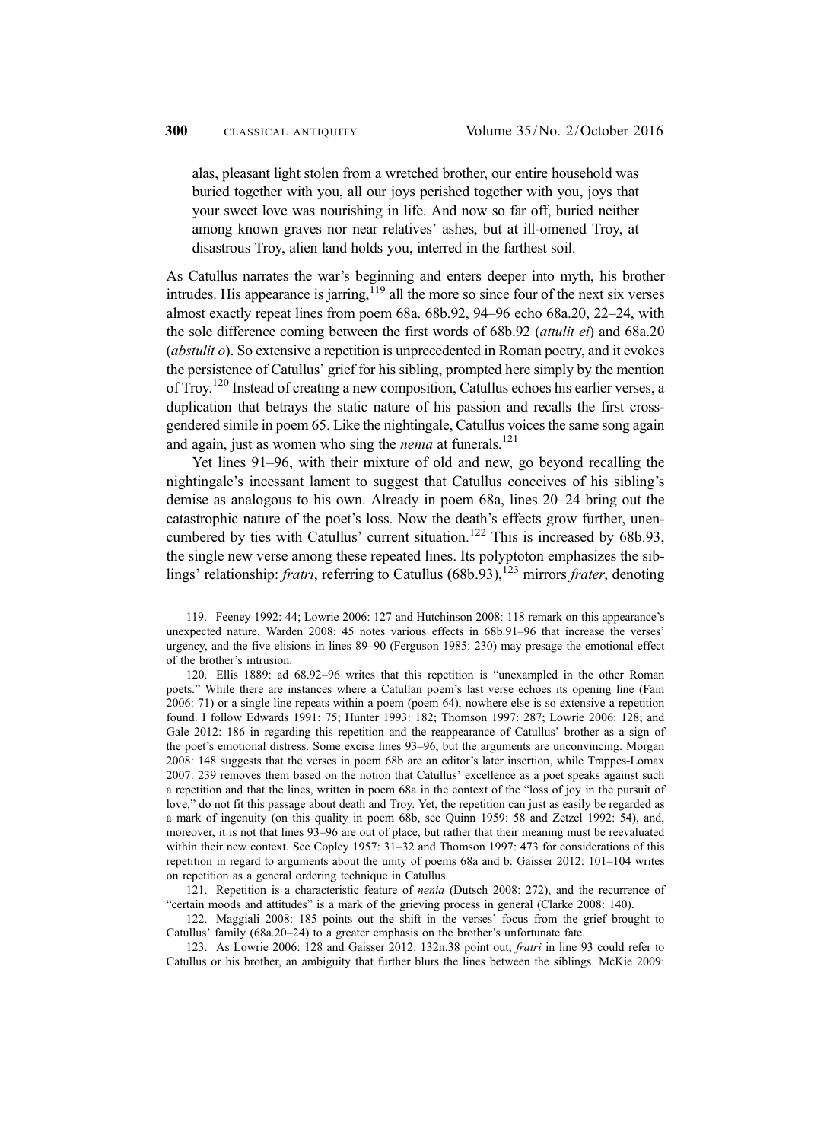alas, pleasant light stolen from a wretched brother, our entire household was buried together with you, all our joys perished together with you, joys that your sweet love was nourishing in life. And now so far off, buried neither among known graves nor near relatives' ashes, but at ill-omened Troy, at disastrous Troy, alien land holds you, interred in the farthest soil.

As Catullus narrates the war's beginning and enters deeper into myth, his brother intrudes. His appearance is jarring, $119$  all the more so since four of the next six verses almost exactly repeat lines from poem 68a. 68b.92, 94–96 echo 68a.20, 22–24, with the sole difference coming between the first words of 68b.92 (attulit ei) and 68a.20 (*abstulit o*). So extensive a repetition is unprecedented in Roman poetry, and it evokes the persistence of Catullus' grief for his sibling, prompted here simply by the mention of Troy.<sup>120</sup> Instead of creating a new composition, Catullus echoes his earlier verses, a duplication that betrays the static nature of his passion and recalls the first crossgendered simile in poem 65. Like the nightingale, Catullus voices the same song again and again, just as women who sing the *nenia* at funerals.<sup>121</sup>

Yet lines 91–96, with their mixture of old and new, go beyond recalling the nightingale's incessant lament to suggest that Catullus conceives of his sibling's demise as analogous to his own. Already in poem 68a, lines 20–24 bring out the catastrophic nature of the poet's loss. Now the death's effects grow further, unencumbered by ties with Catullus' current situation.<sup>122</sup> This is increased by  $68b.93$ , the single new verse among these repeated lines. Its polyptoton emphasizes the siblings' relationship: *fratri*, referring to Catullus (68b.93),<sup>123</sup> mirrors *frater*, denoting

119. Feeney 1992: 44; Lowrie 2006: 127 and Hutchinson 2008: 118 remark on this appearance's unexpected nature. Warden 2008: 45 notes various effects in 68b.91–96 that increase the verses' urgency, and the five elisions in lines 89–90 (Ferguson 1985: 230) may presage the emotional effect of the brother's intrusion.

120. Ellis 1889: ad 68.92–96 writes that this repetition is "unexampled in the other Roman poets." While there are instances where a Catullan poem's last verse echoes its opening line (Fain 2006: 71) or a single line repeats within a poem (poem 64), nowhere else is so extensive a repetition found. I follow Edwards 1991: 75; Hunter 1993: 182; Thomson 1997: 287; Lowrie 2006: 128; and Gale 2012: 186 in regarding this repetition and the reappearance of Catullus' brother as a sign of the poet's emotional distress. Some excise lines 93–96, but the arguments are unconvincing. Morgan 2008: 148 suggests that the verses in poem 68b are an editor's later insertion, while Trappes-Lomax 2007: 239 removes them based on the notion that Catullus' excellence as a poet speaks against such a repetition and that the lines, written in poem 68a in the context of the "loss of joy in the pursuit of love," do not fit this passage about death and Troy. Yet, the repetition can just as easily be regarded as a mark of ingenuity (on this quality in poem 68b, see Quinn 1959: 58 and Zetzel 1992: 54), and, moreover, it is not that lines 93–96 are out of place, but rather that their meaning must be reevaluated within their new context. See Copley 1957: 31–32 and Thomson 1997: 473 for considerations of this repetition in regard to arguments about the unity of poems 68a and b. Gaisser 2012: 101–104 writes on repetition as a general ordering technique in Catullus.

121. Repetition is a characteristic feature of nenia (Dutsch 2008: 272), and the recurrence of "certain moods and attitudes" is a mark of the grieving process in general (Clarke 2008: 140).

122. Maggiali 2008: 185 points out the shift in the verses' focus from the grief brought to Catullus' family (68a.20–24) to a greater emphasis on the brother's unfortunate fate.

123. As Lowrie 2006: 128 and Gaisser 2012: 132n.38 point out, fratri in line 93 could refer to Catullus or his brother, an ambiguity that further blurs the lines between the siblings. McKie 2009: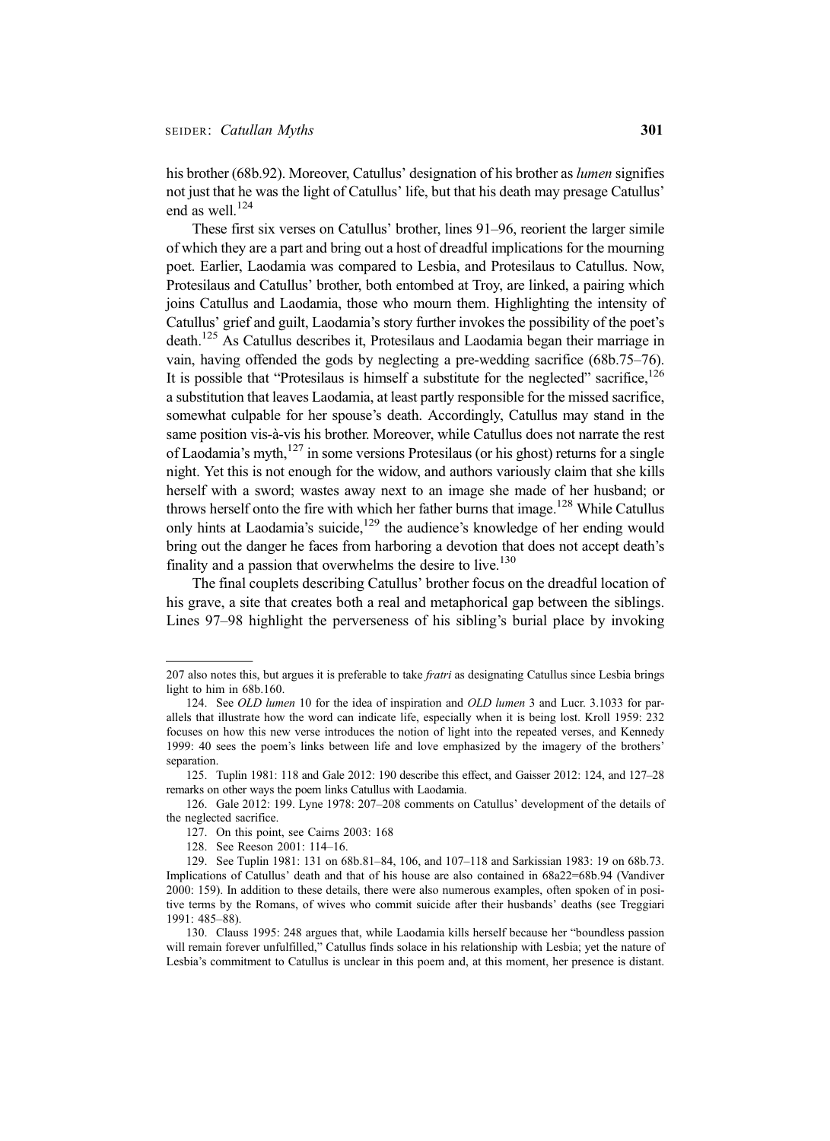his brother (68b.92). Moreover, Catullus' designation of his brother as *lumen* signifies not just that he was the light of Catullus' life, but that his death may presage Catullus' end as well.<sup>124</sup>

These first six verses on Catullus' brother, lines 91–96, reorient the larger simile of which they are a part and bring out a host of dreadful implications for the mourning poet. Earlier, Laodamia was compared to Lesbia, and Protesilaus to Catullus. Now, Protesilaus and Catullus' brother, both entombed at Troy, are linked, a pairing which joins Catullus and Laodamia, those who mourn them. Highlighting the intensity of Catullus' grief and guilt, Laodamia's story further invokes the possibility of the poet's death.125 As Catullus describes it, Protesilaus and Laodamia began their marriage in vain, having offended the gods by neglecting a pre-wedding sacrifice (68b.75–76). It is possible that "Protesilaus is himself a substitute for the neglected" sacrifice,  $126$ a substitution that leaves Laodamia, at least partly responsible for the missed sacrifice, somewhat culpable for her spouse's death. Accordingly, Catullus may stand in the same position vis-à-vis his brother. Moreover, while Catullus does not narrate the rest of Laodamia's myth,  $^{127}$  in some versions Protesilaus (or his ghost) returns for a single night. Yet this is not enough for the widow, and authors variously claim that she kills herself with a sword; wastes away next to an image she made of her husband; or throws herself onto the fire with which her father burns that image.<sup>128</sup> While Catullus only hints at Laodamia's suicide,  $129$  the audience's knowledge of her ending would bring out the danger he faces from harboring a devotion that does not accept death's finality and a passion that overwhelms the desire to live.<sup>130</sup>

The final couplets describing Catullus' brother focus on the dreadful location of his grave, a site that creates both a real and metaphorical gap between the siblings. Lines 97–98 highlight the perverseness of his sibling's burial place by invoking

<sup>207</sup> also notes this, but argues it is preferable to take *fratri* as designating Catullus since Lesbia brings light to him in 68b.160.

<sup>124.</sup> See OLD lumen 10 for the idea of inspiration and OLD lumen 3 and Lucr. 3.1033 for parallels that illustrate how the word can indicate life, especially when it is being lost. Kroll 1959: 232 focuses on how this new verse introduces the notion of light into the repeated verses, and Kennedy 1999: 40 sees the poem's links between life and love emphasized by the imagery of the brothers' separation.

<sup>125.</sup> Tuplin 1981: 118 and Gale 2012: 190 describe this effect, and Gaisser 2012: 124, and 127–28 remarks on other ways the poem links Catullus with Laodamia.

<sup>126.</sup> Gale 2012: 199. Lyne 1978: 207–208 comments on Catullus' development of the details of the neglected sacrifice.

<sup>127.</sup> On this point, see Cairns 2003: 168

<sup>128.</sup> See Reeson 2001: 114–16.

<sup>129.</sup> See Tuplin 1981: 131 on 68b.81–84, 106, and 107–118 and Sarkissian 1983: 19 on 68b.73. Implications of Catullus' death and that of his house are also contained in 68a22=68b.94 (Vandiver 2000: 159). In addition to these details, there were also numerous examples, often spoken of in positive terms by the Romans, of wives who commit suicide after their husbands' deaths (see Treggiari 1991: 485–88).

<sup>130.</sup> Clauss 1995: 248 argues that, while Laodamia kills herself because her "boundless passion will remain forever unfulfilled," Catullus finds solace in his relationship with Lesbia; yet the nature of Lesbia's commitment to Catullus is unclear in this poem and, at this moment, her presence is distant.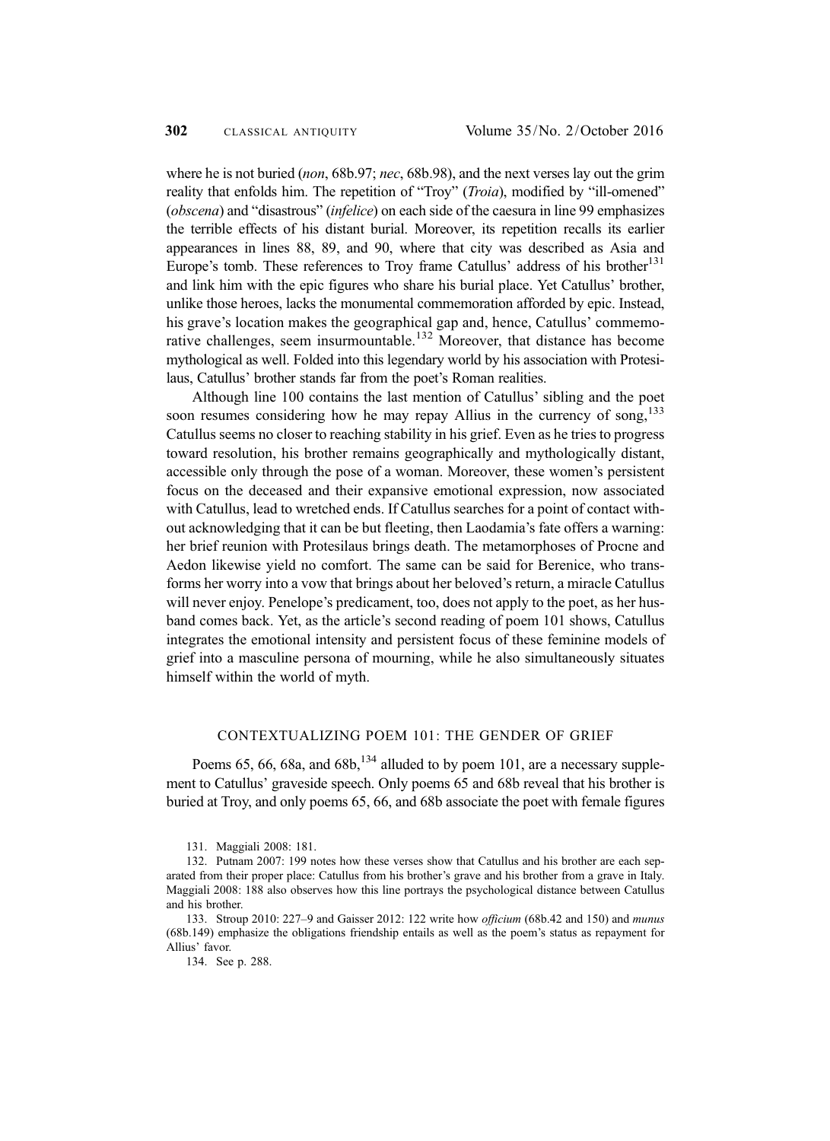where he is not buried (non, 68b.97; nec, 68b.98), and the next verses lay out the grim reality that enfolds him. The repetition of "Troy" (Troia), modified by "ill-omened" (*obscena*) and "disastrous" (*infelice*) on each side of the caesura in line 99 emphasizes the terrible effects of his distant burial. Moreover, its repetition recalls its earlier appearances in lines 88, 89, and 90, where that city was described as Asia and Europe's tomb. These references to Troy frame Catullus' address of his brother<sup>131</sup> and link him with the epic figures who share his burial place. Yet Catullus' brother, unlike those heroes, lacks the monumental commemoration afforded by epic. Instead, his grave's location makes the geographical gap and, hence, Catullus' commemorative challenges, seem insurmountable.<sup>132</sup> Moreover, that distance has become mythological as well. Folded into this legendary world by his association with Protesilaus, Catullus' brother stands far from the poet's Roman realities.

Although line 100 contains the last mention of Catullus' sibling and the poet soon resumes considering how he may repay Allius in the currency of song, $133$ Catullus seems no closer to reaching stability in his grief. Even as he tries to progress toward resolution, his brother remains geographically and mythologically distant, accessible only through the pose of a woman. Moreover, these women's persistent focus on the deceased and their expansive emotional expression, now associated with Catullus, lead to wretched ends. If Catullus searches for a point of contact without acknowledging that it can be but fleeting, then Laodamia's fate offers a warning: her brief reunion with Protesilaus brings death. The metamorphoses of Procne and Aedon likewise yield no comfort. The same can be said for Berenice, who transforms her worry into a vow that brings about her beloved's return, a miracle Catullus will never enjoy. Penelope's predicament, too, does not apply to the poet, as her husband comes back. Yet, as the article's second reading of poem 101 shows, Catullus integrates the emotional intensity and persistent focus of these feminine models of grief into a masculine persona of mourning, while he also simultaneously situates himself within the world of myth.

## CONTEXTUALIZING POEM 101: THE GENDER OF GRIEF

Poems 65, 66, 68a, and  $68b$ ,  $^{134}$  alluded to by poem 101, are a necessary supplement to Catullus' graveside speech. Only poems 65 and 68b reveal that his brother is buried at Troy, and only poems 65, 66, and 68b associate the poet with female figures

<sup>131.</sup> Maggiali 2008: 181.

<sup>132.</sup> Putnam 2007: 199 notes how these verses show that Catullus and his brother are each separated from their proper place: Catullus from his brother's grave and his brother from a grave in Italy. Maggiali 2008: 188 also observes how this line portrays the psychological distance between Catullus and his brother.

<sup>133.</sup> Stroup 2010: 227–9 and Gaisser 2012: 122 write how officium (68b.42 and 150) and munus (68b.149) emphasize the obligations friendship entails as well as the poem's status as repayment for Allius' favor.

<sup>134.</sup> See p. 288.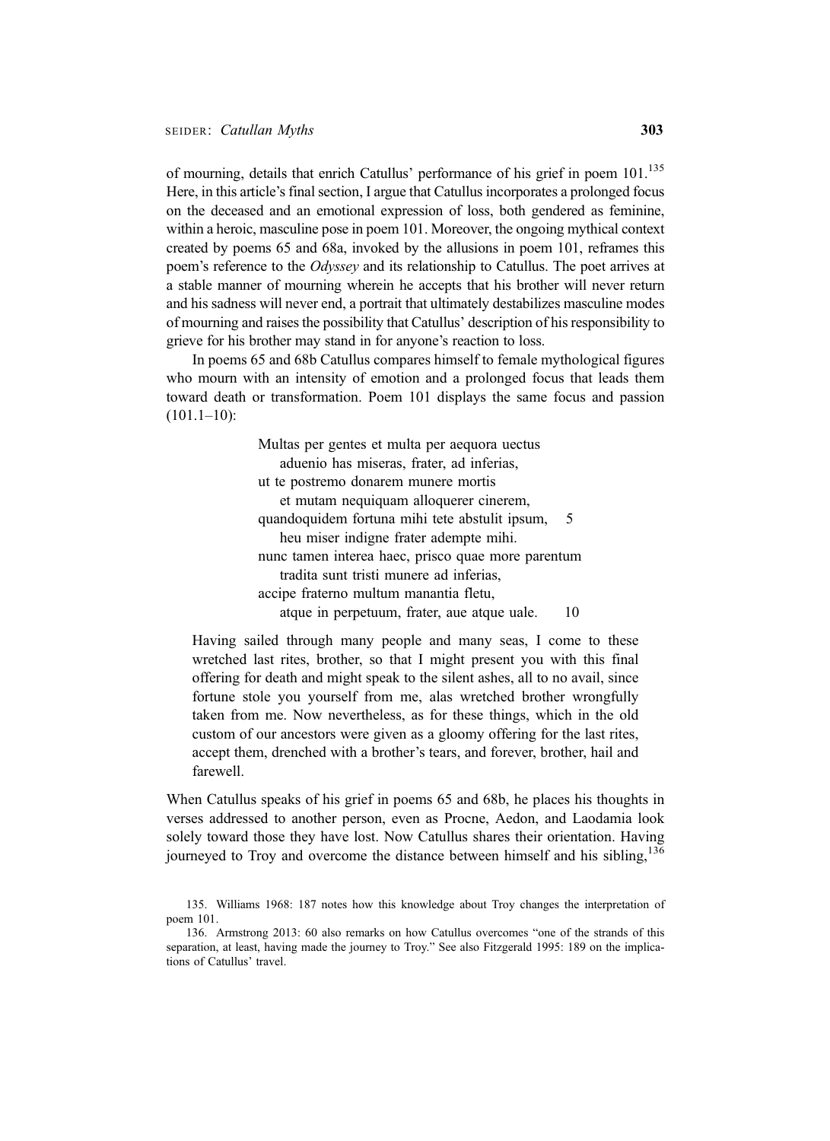of mourning, details that enrich Catullus' performance of his grief in poem 101.<sup>135</sup> Here, in this article's final section, I argue that Catullus incorporates a prolonged focus on the deceased and an emotional expression of loss, both gendered as feminine, within a heroic, masculine pose in poem 101. Moreover, the ongoing mythical context created by poems 65 and 68a, invoked by the allusions in poem 101, reframes this poem's reference to the *Odyssey* and its relationship to Catullus. The poet arrives at a stable manner of mourning wherein he accepts that his brother will never return and his sadness will never end, a portrait that ultimately destabilizes masculine modes of mourning and raises the possibility that Catullus' description of his responsibility to grieve for his brother may stand in for anyone's reaction to loss.

In poems 65 and 68b Catullus compares himself to female mythological figures who mourn with an intensity of emotion and a prolonged focus that leads them toward death or transformation. Poem 101 displays the same focus and passion  $(101.1–10):$ 

> Multas per gentes et multa per aequora uectus aduenio has miseras, frater, ad inferias, ut te postremo donarem munere mortis et mutam nequiquam alloquerer cinerem, quandoquidem fortuna mihi tete abstulit ipsum, 5 heu miser indigne frater adempte mihi. nunc tamen interea haec, prisco quae more parentum tradita sunt tristi munere ad inferias, accipe fraterno multum manantia fletu, atque in perpetuum, frater, aue atque uale. 10

Having sailed through many people and many seas, I come to these wretched last rites, brother, so that I might present you with this final offering for death and might speak to the silent ashes, all to no avail, since fortune stole you yourself from me, alas wretched brother wrongfully taken from me. Now nevertheless, as for these things, which in the old custom of our ancestors were given as a gloomy offering for the last rites, accept them, drenched with a brother's tears, and forever, brother, hail and farewell.

When Catullus speaks of his grief in poems 65 and 68b, he places his thoughts in verses addressed to another person, even as Procne, Aedon, and Laodamia look solely toward those they have lost. Now Catullus shares their orientation. Having journeyed to Troy and overcome the distance between himself and his sibling,<sup>136</sup>

<sup>135.</sup> Williams 1968: 187 notes how this knowledge about Troy changes the interpretation of poem 101.

<sup>136.</sup> Armstrong 2013: 60 also remarks on how Catullus overcomes "one of the strands of this separation, at least, having made the journey to Troy." See also Fitzgerald 1995: 189 on the implications of Catullus' travel.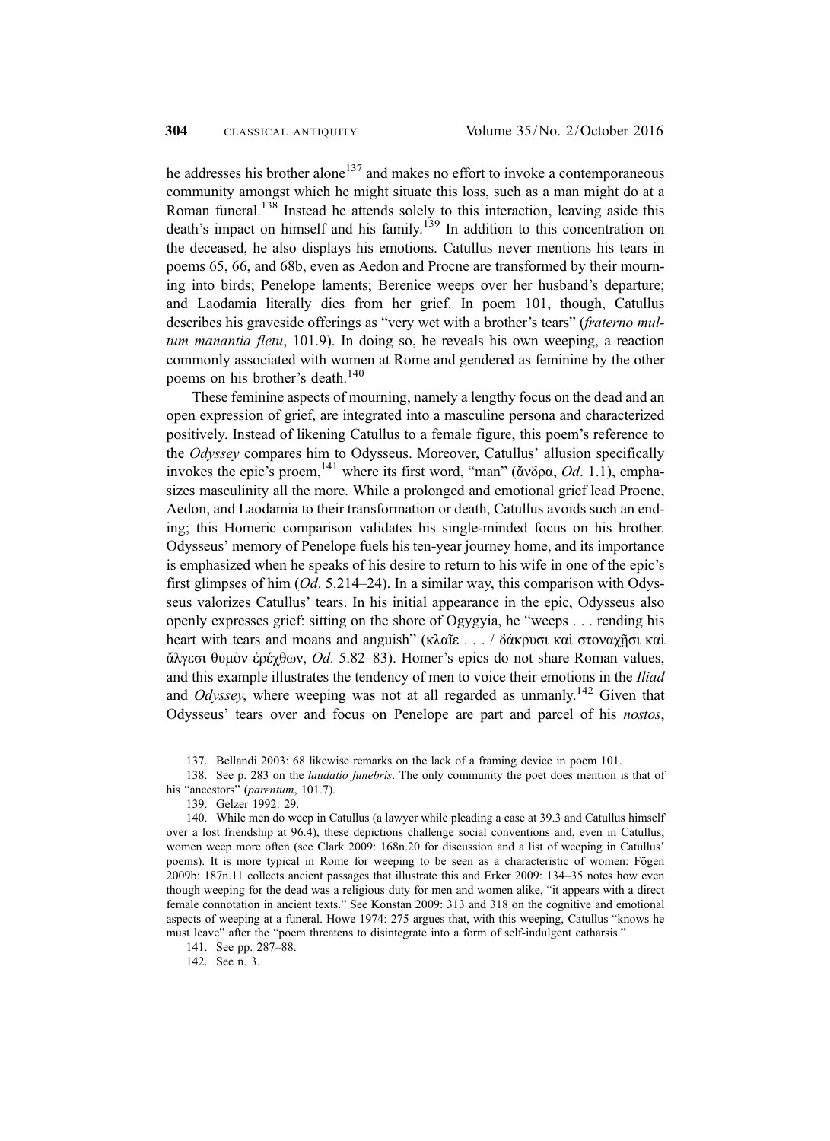he addresses his brother alone<sup>137</sup> and makes no effort to invoke a contemporaneous community amongst which he might situate this loss, such as a man might do at a Roman funeral.<sup>138</sup> Instead he attends solely to this interaction, leaving aside this death's impact on himself and his family.<sup>139</sup> In addition to this concentration on the deceased, he also displays his emotions. Catullus never mentions his tears in poems 65, 66, and 68b, even as Aedon and Procne are transformed by their mourning into birds; Penelope laments; Berenice weeps over her husband's departure; and Laodamia literally dies from her grief. In poem 101, though, Catullus describes his graveside offerings as "very wet with a brother's tears" (fraterno multum manantia fletu, 101.9). In doing so, he reveals his own weeping, a reaction commonly associated with women at Rome and gendered as feminine by the other poems on his brother's death.<sup>140</sup>

These feminine aspects of mourning, namely a lengthy focus on the dead and an open expression of grief, are integrated into a masculine persona and characterized positively. Instead of likening Catullus to a female figure, this poem's reference to the Odyssey compares him to Odysseus. Moreover, Catullus' allusion specifically invokes the epic's proem, <sup>141</sup> where its first word, "man" (ἄνδρα, *Od.* 1.1), emphasizes masculinity all the more. While a prolonged and emotional grief lead Procne, Aedon, and Laodamia to their transformation or death, Catullus avoids such an ending; this Homeric comparison validates his single-minded focus on his brother. Odysseus' memory of Penelope fuels his ten-year journey home, and its importance is emphasized when he speaks of his desire to return to his wife in one of the epic's first glimpses of him  $(Od. 5.214–24)$ . In a similar way, this comparison with Odysseus valorizes Catullus' tears. In his initial appearance in the epic, Odysseus also openly expresses grief: sitting on the shore of Ogygyia, he "weeps . . . rending his heart with tears and moans and anguish" (κλαΐε . . . / δάκρυσι καὶ στοναχῆσι καὶ ἄλγεσι θυμὸν ἐρέχθων, Od. 5.82–83). Homer's epics do not share Roman values, and this example illustrates the tendency of men to voice their emotions in the Iliad and *Odyssey*, where weeping was not at all regarded as unmanly.<sup>142</sup> Given that Odysseus' tears over and focus on Penelope are part and parcel of his nostos,

137. Bellandi 2003: 68 likewise remarks on the lack of a framing device in poem 101.

138. See p. 283 on the *laudatio funebris*. The only community the poet does mention is that of his "ancestors" (parentum, 101.7).

139. Gelzer 1992: 29.

140. While men do weep in Catullus (a lawyer while pleading a case at 39.3 and Catullus himself over a lost friendship at 96.4), these depictions challenge social conventions and, even in Catullus, women weep more often (see Clark 2009: 168n.20 for discussion and a list of weeping in Catullus' poems). It is more typical in Rome for weeping to be seen as a characteristic of women: Fögen 2009b: 187n.11 collects ancient passages that illustrate this and Erker 2009: 134–35 notes how even though weeping for the dead was a religious duty for men and women alike, "it appears with a direct female connotation in ancient texts." See Konstan 2009: 313 and 318 on the cognitive and emotional aspects of weeping at a funeral. Howe 1974: 275 argues that, with this weeping, Catullus "knows he must leave" after the "poem threatens to disintegrate into a form of self-indulgent catharsis."

141. See pp. 287–88.

142. See n. 3.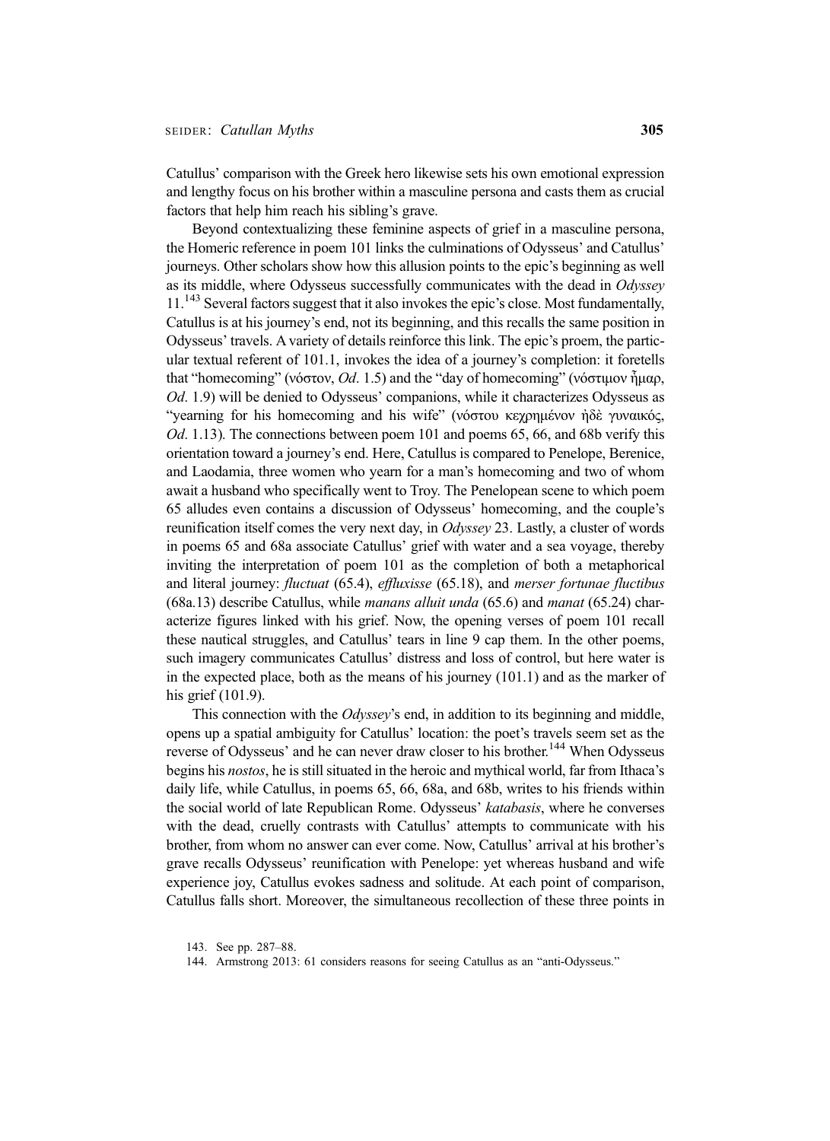Catullus' comparison with the Greek hero likewise sets his own emotional expression and lengthy focus on his brother within a masculine persona and casts them as crucial factors that help him reach his sibling's grave.

Beyond contextualizing these feminine aspects of grief in a masculine persona, the Homeric reference in poem 101 links the culminations of Odysseus' and Catullus' journeys. Other scholars show how this allusion points to the epic's beginning as well as its middle, where Odysseus successfully communicates with the dead in Odyssey 11.<sup>143</sup> Several factors suggest that it also invokes the epic's close. Most fundamentally, Catullus is at his journey's end, not its beginning, and this recalls the same position in Odysseus' travels. A variety of details reinforce this link. The epic's proem, the particular textual referent of 101.1, invokes the idea of a journey's completion: it foretells that "homecoming" (νόστον, Od. 1.5) and the "day of homecoming" (νόστιμον ἦμαρ, Od. 1.9) will be denied to Odysseus' companions, while it characterizes Odysseus as "yearning for his homecoming and his wife" (νόστου κεχρημένον ἠδὲ γυναικός, Od. 1.13). The connections between poem 101 and poems 65, 66, and 68b verify this orientation toward a journey's end. Here, Catullus is compared to Penelope, Berenice, and Laodamia, three women who yearn for a man's homecoming and two of whom await a husband who specifically went to Troy. The Penelopean scene to which poem 65 alludes even contains a discussion of Odysseus' homecoming, and the couple's reunification itself comes the very next day, in Odyssey 23. Lastly, a cluster of words in poems 65 and 68a associate Catullus' grief with water and a sea voyage, thereby inviting the interpretation of poem 101 as the completion of both a metaphorical and literal journey: fluctuat (65.4), effluxisse (65.18), and merser fortunae fluctibus  $(68a.13)$  describe Catullus, while *manans alluit unda*  $(65.6)$  and *manat*  $(65.24)$  characterize figures linked with his grief. Now, the opening verses of poem 101 recall these nautical struggles, and Catullus' tears in line 9 cap them. In the other poems, such imagery communicates Catullus' distress and loss of control, but here water is in the expected place, both as the means of his journey (101.1) and as the marker of his grief (101.9).

This connection with the Odyssey's end, in addition to its beginning and middle, opens up a spatial ambiguity for Catullus' location: the poet's travels seem set as the reverse of Odysseus' and he can never draw closer to his brother.<sup>144</sup> When Odysseus begins his nostos, he is still situated in the heroic and mythical world, far from Ithaca's daily life, while Catullus, in poems 65, 66, 68a, and 68b, writes to his friends within the social world of late Republican Rome. Odysseus' katabasis, where he converses with the dead, cruelly contrasts with Catullus' attempts to communicate with his brother, from whom no answer can ever come. Now, Catullus' arrival at his brother's grave recalls Odysseus' reunification with Penelope: yet whereas husband and wife experience joy, Catullus evokes sadness and solitude. At each point of comparison, Catullus falls short. Moreover, the simultaneous recollection of these three points in

<sup>143.</sup> See pp. 287–88.

<sup>144.</sup> Armstrong 2013: 61 considers reasons for seeing Catullus as an "anti-Odysseus."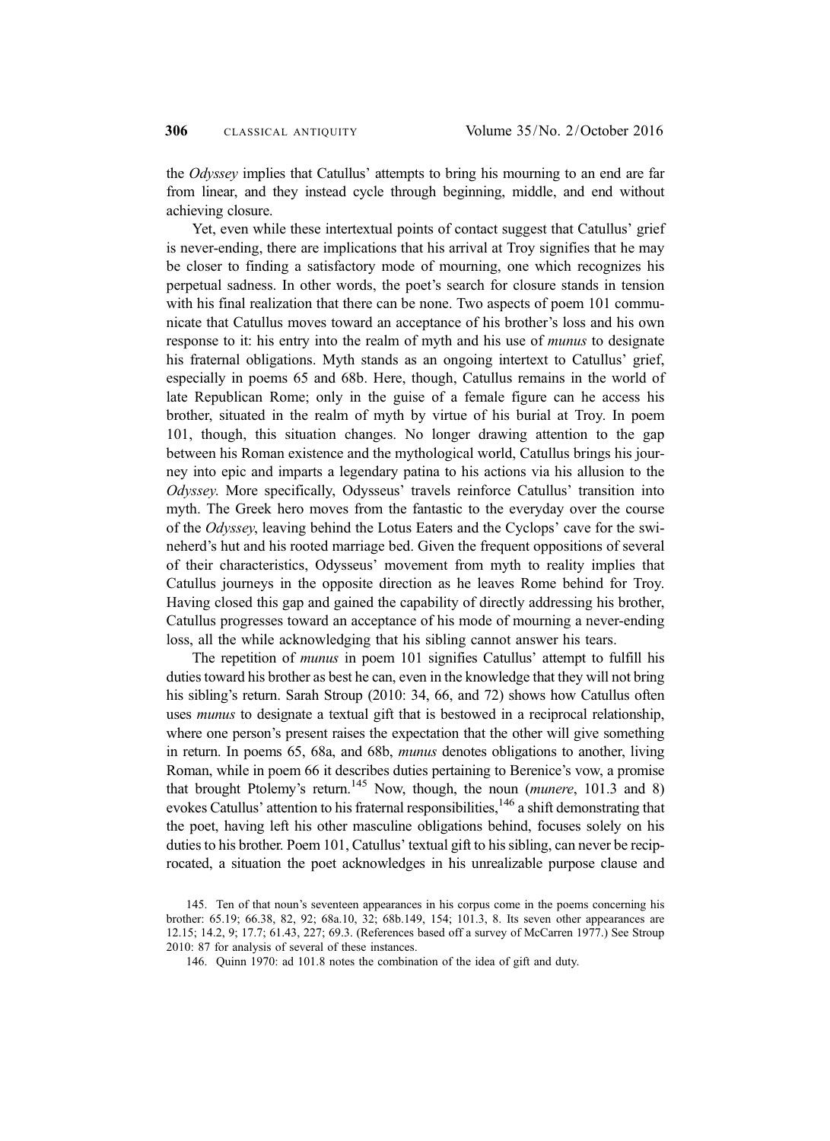the Odyssey implies that Catullus' attempts to bring his mourning to an end are far from linear, and they instead cycle through beginning, middle, and end without achieving closure.

Yet, even while these intertextual points of contact suggest that Catullus' grief is never-ending, there are implications that his arrival at Troy signifies that he may be closer to finding a satisfactory mode of mourning, one which recognizes his perpetual sadness. In other words, the poet's search for closure stands in tension with his final realization that there can be none. Two aspects of poem 101 communicate that Catullus moves toward an acceptance of his brother's loss and his own response to it: his entry into the realm of myth and his use of *munus* to designate his fraternal obligations. Myth stands as an ongoing intertext to Catullus' grief, especially in poems 65 and 68b. Here, though, Catullus remains in the world of late Republican Rome; only in the guise of a female figure can he access his brother, situated in the realm of myth by virtue of his burial at Troy. In poem 101, though, this situation changes. No longer drawing attention to the gap between his Roman existence and the mythological world, Catullus brings his journey into epic and imparts a legendary patina to his actions via his allusion to the Odyssey. More specifically, Odysseus' travels reinforce Catullus' transition into myth. The Greek hero moves from the fantastic to the everyday over the course of the Odyssey, leaving behind the Lotus Eaters and the Cyclops' cave for the swineherd's hut and his rooted marriage bed. Given the frequent oppositions of several of their characteristics, Odysseus' movement from myth to reality implies that Catullus journeys in the opposite direction as he leaves Rome behind for Troy. Having closed this gap and gained the capability of directly addressing his brother, Catullus progresses toward an acceptance of his mode of mourning a never-ending loss, all the while acknowledging that his sibling cannot answer his tears.

The repetition of *munus* in poem 101 signifies Catullus' attempt to fulfill his duties toward his brother as best he can, even in the knowledge that they will not bring his sibling's return. Sarah Stroup (2010: 34, 66, and 72) shows how Catullus often uses *munus* to designate a textual gift that is bestowed in a reciprocal relationship, where one person's present raises the expectation that the other will give something in return. In poems 65, 68a, and 68b, munus denotes obligations to another, living Roman, while in poem 66 it describes duties pertaining to Berenice's vow, a promise that brought Ptolemy's return.<sup>145</sup> Now, though, the noun (*munere*,  $101.3$  and 8) evokes Catullus' attention to his fraternal responsibilities,  $146$  a shift demonstrating that the poet, having left his other masculine obligations behind, focuses solely on his duties to his brother. Poem 101, Catullus' textual gift to his sibling, can never be reciprocated, a situation the poet acknowledges in his unrealizable purpose clause and

<sup>145.</sup> Ten of that noun's seventeen appearances in his corpus come in the poems concerning his brother: 65.19; 66.38, 82, 92; 68a.10, 32; 68b.149, 154; 101.3, 8. Its seven other appearances are 12.15; 14.2, 9; 17.7; 61.43, 227; 69.3. (References based off a survey of McCarren 1977.) See Stroup 2010: 87 for analysis of several of these instances.

<sup>146.</sup> Quinn 1970: ad 101.8 notes the combination of the idea of gift and duty.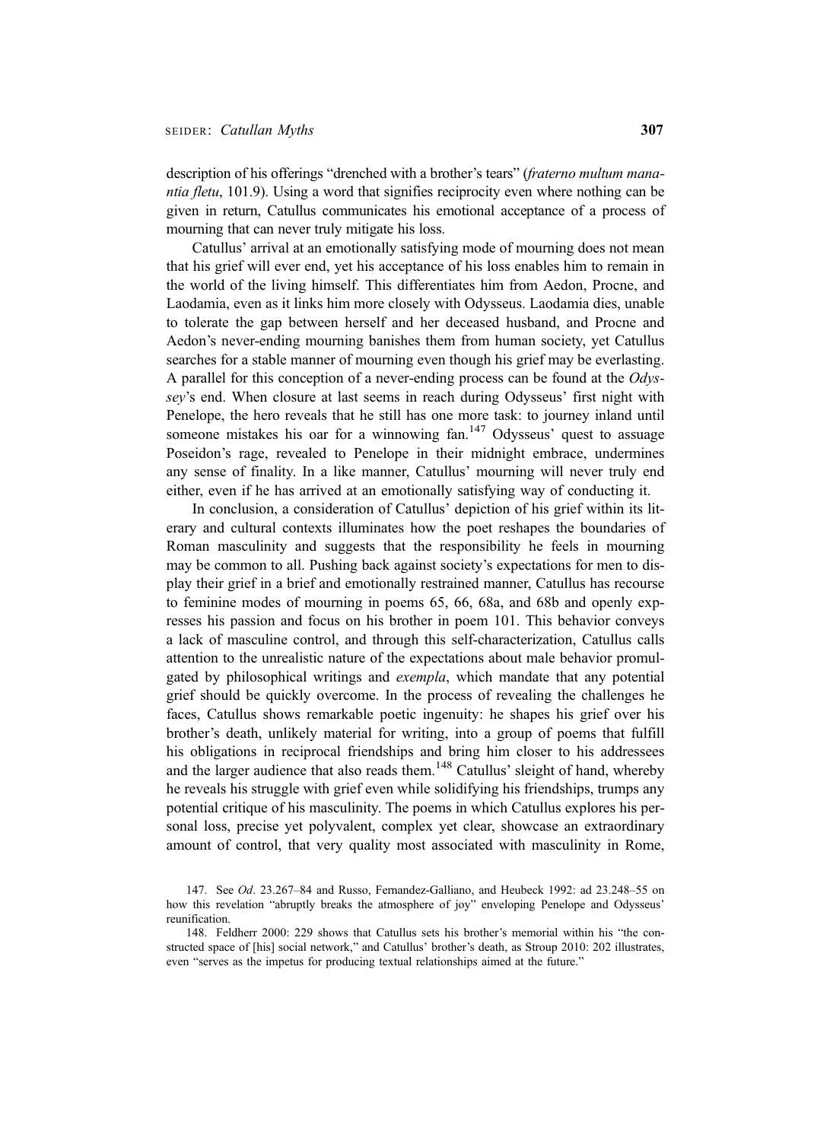description of his offerings "drenched with a brother's tears" (fraterno multum manantia fletu, 101.9). Using a word that signifies reciprocity even where nothing can be given in return, Catullus communicates his emotional acceptance of a process of mourning that can never truly mitigate his loss.

Catullus' arrival at an emotionally satisfying mode of mourning does not mean that his grief will ever end, yet his acceptance of his loss enables him to remain in the world of the living himself. This differentiates him from Aedon, Procne, and Laodamia, even as it links him more closely with Odysseus. Laodamia dies, unable to tolerate the gap between herself and her deceased husband, and Procne and Aedon's never-ending mourning banishes them from human society, yet Catullus searches for a stable manner of mourning even though his grief may be everlasting. A parallel for this conception of a never-ending process can be found at the Odyssey's end. When closure at last seems in reach during Odysseus' first night with Penelope, the hero reveals that he still has one more task: to journey inland until someone mistakes his oar for a winnowing fan.<sup>147</sup> Odysseus' quest to assuage Poseidon's rage, revealed to Penelope in their midnight embrace, undermines any sense of finality. In a like manner, Catullus' mourning will never truly end either, even if he has arrived at an emotionally satisfying way of conducting it.

In conclusion, a consideration of Catullus' depiction of his grief within its literary and cultural contexts illuminates how the poet reshapes the boundaries of Roman masculinity and suggests that the responsibility he feels in mourning may be common to all. Pushing back against society's expectations for men to display their grief in a brief and emotionally restrained manner, Catullus has recourse to feminine modes of mourning in poems 65, 66, 68a, and 68b and openly expresses his passion and focus on his brother in poem 101. This behavior conveys a lack of masculine control, and through this self-characterization, Catullus calls attention to the unrealistic nature of the expectations about male behavior promulgated by philosophical writings and exempla, which mandate that any potential grief should be quickly overcome. In the process of revealing the challenges he faces, Catullus shows remarkable poetic ingenuity: he shapes his grief over his brother's death, unlikely material for writing, into a group of poems that fulfill his obligations in reciprocal friendships and bring him closer to his addressees and the larger audience that also reads them.<sup>148</sup> Catullus' sleight of hand, whereby he reveals his struggle with grief even while solidifying his friendships, trumps any potential critique of his masculinity. The poems in which Catullus explores his personal loss, precise yet polyvalent, complex yet clear, showcase an extraordinary amount of control, that very quality most associated with masculinity in Rome,

<sup>147.</sup> See Od. 23.267–84 and Russo, Fernandez-Galliano, and Heubeck 1992: ad 23.248–55 on how this revelation "abruptly breaks the atmosphere of joy" enveloping Penelope and Odysseus' reunification.

<sup>148.</sup> Feldherr 2000: 229 shows that Catullus sets his brother's memorial within his "the constructed space of [his] social network," and Catullus' brother's death, as Stroup 2010: 202 illustrates, even "serves as the impetus for producing textual relationships aimed at the future."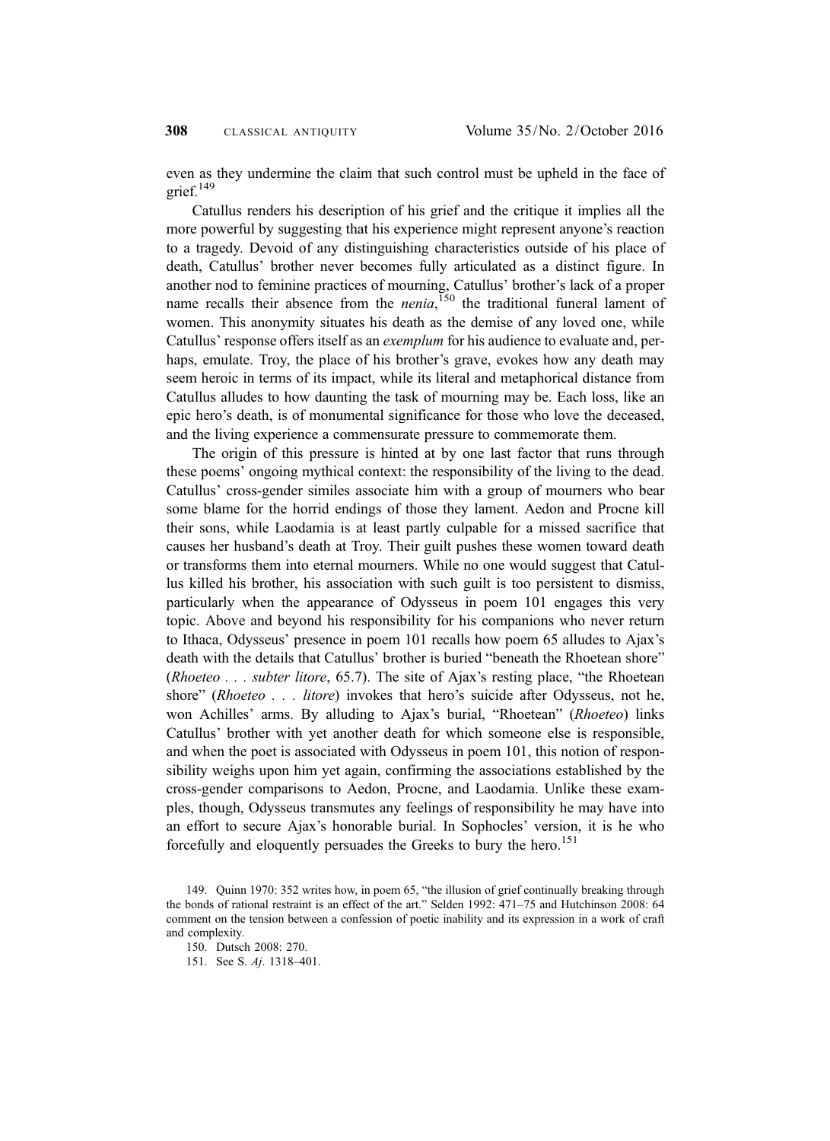even as they undermine the claim that such control must be upheld in the face of grief. $149$ 

Catullus renders his description of his grief and the critique it implies all the more powerful by suggesting that his experience might represent anyone's reaction to a tragedy. Devoid of any distinguishing characteristics outside of his place of death, Catullus' brother never becomes fully articulated as a distinct figure. In another nod to feminine practices of mourning, Catullus' brother's lack of a proper name recalls their absence from the *nenia*,<sup>150</sup> the traditional funeral lament of women. This anonymity situates his death as the demise of any loved one, while Catullus' response offers itself as an exemplum for his audience to evaluate and, perhaps, emulate. Troy, the place of his brother's grave, evokes how any death may seem heroic in terms of its impact, while its literal and metaphorical distance from Catullus alludes to how daunting the task of mourning may be. Each loss, like an epic hero's death, is of monumental significance for those who love the deceased, and the living experience a commensurate pressure to commemorate them.

The origin of this pressure is hinted at by one last factor that runs through these poems' ongoing mythical context: the responsibility of the living to the dead. Catullus' cross-gender similes associate him with a group of mourners who bear some blame for the horrid endings of those they lament. Aedon and Procne kill their sons, while Laodamia is at least partly culpable for a missed sacrifice that causes her husband's death at Troy. Their guilt pushes these women toward death or transforms them into eternal mourners. While no one would suggest that Catullus killed his brother, his association with such guilt is too persistent to dismiss, particularly when the appearance of Odysseus in poem 101 engages this very topic. Above and beyond his responsibility for his companions who never return to Ithaca, Odysseus' presence in poem 101 recalls how poem 65 alludes to Ajax's death with the details that Catullus' brother is buried "beneath the Rhoetean shore" (Rhoeteo  $\ldots$  subter litore, 65.7). The site of Ajax's resting place, "the Rhoetean shore" (Rhoeteo . . . litore) invokes that hero's suicide after Odysseus, not he, won Achilles' arms. By alluding to Ajax's burial, "Rhoetean" (Rhoeteo) links Catullus' brother with yet another death for which someone else is responsible, and when the poet is associated with Odysseus in poem 101, this notion of responsibility weighs upon him yet again, confirming the associations established by the cross-gender comparisons to Aedon, Procne, and Laodamia. Unlike these examples, though, Odysseus transmutes any feelings of responsibility he may have into an effort to secure Ajax's honorable burial. In Sophocles' version, it is he who forcefully and eloquently persuades the Greeks to bury the hero.<sup>151</sup>

<sup>149.</sup> Quinn 1970: 352 writes how, in poem 65, "the illusion of grief continually breaking through the bonds of rational restraint is an effect of the art." Selden 1992: 471–75 and Hutchinson 2008: 64 comment on the tension between a confession of poetic inability and its expression in a work of craft and complexity.

<sup>150.</sup> Dutsch 2008: 270.

<sup>151.</sup> See S. Aj. 1318–401.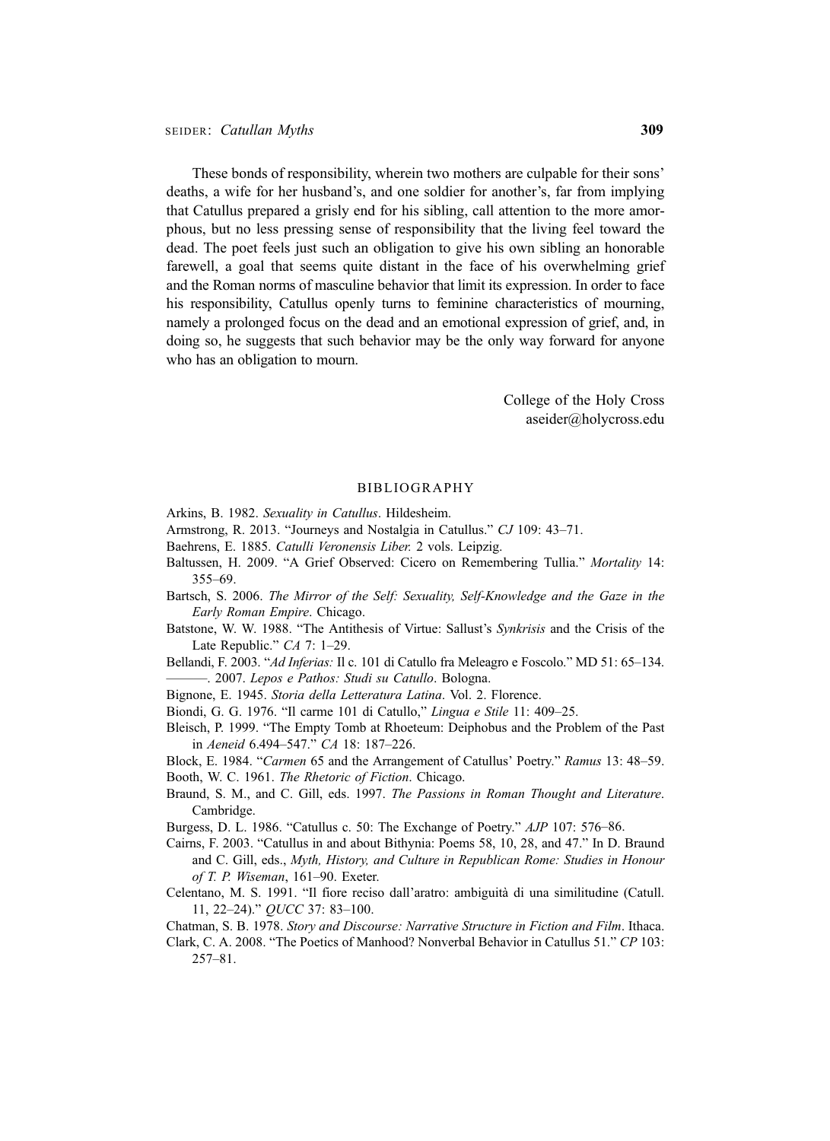These bonds of responsibility, wherein two mothers are culpable for their sons' deaths, a wife for her husband's, and one soldier for another's, far from implying that Catullus prepared a grisly end for his sibling, call attention to the more amorphous, but no less pressing sense of responsibility that the living feel toward the dead. The poet feels just such an obligation to give his own sibling an honorable farewell, a goal that seems quite distant in the face of his overwhelming grief and the Roman norms of masculine behavior that limit its expression. In order to face his responsibility, Catullus openly turns to feminine characteristics of mourning, namely a prolonged focus on the dead and an emotional expression of grief, and, in doing so, he suggests that such behavior may be the only way forward for anyone who has an obligation to mourn.

> College of the Holy Cross aseider@holycross.edu

#### BIBLIOGRAPHY

- Arkins, B. 1982. Sexuality in Catullus. Hildesheim.
- Armstrong, R. 2013. "Journeys and Nostalgia in Catullus." CJ 109: 43–71.
- Baehrens, E. 1885. Catulli Veronensis Liber. 2 vols. Leipzig.
- Baltussen, H. 2009. "A Grief Observed: Cicero on Remembering Tullia." Mortality 14: 355–69.
- Bartsch, S. 2006. The Mirror of the Self: Sexuality, Self-Knowledge and the Gaze in the Early Roman Empire. Chicago.
- Batstone, W. W. 1988. "The Antithesis of Virtue: Sallust's Synkrisis and the Crisis of the Late Republic." CA 7: 1–29.
- Bellandi, F. 2003. "Ad Inferias: Il c. 101 di Catullo fra Meleagro e Foscolo." MD 51: 65-134. ———. 2007. Lepos e Pathos: Studi su Catullo. Bologna.
- Bignone, E. 1945. Storia della Letteratura Latina. Vol. 2. Florence.
- Biondi, G. G. 1976. "Il carme 101 di Catullo," Lingua e Stile 11: 409–25.
- Bleisch, P. 1999. "The Empty Tomb at Rhoeteum: Deiphobus and the Problem of the Past in Aeneid 6.494–547." CA 18: 187–226.
- Block, E. 1984. "Carmen 65 and the Arrangement of Catullus' Poetry." Ramus 13: 48–59. Booth, W. C. 1961. The Rhetoric of Fiction. Chicago.
- Braund, S. M., and C. Gill, eds. 1997. The Passions in Roman Thought and Literature. Cambridge.
- Burgess, D. L. 1986. "Catullus c. 50: The Exchange of Poetry." AJP 107: 576–86.
- Cairns, F. 2003. "Catullus in and about Bithynia: Poems 58, 10, 28, and 47." In D. Braund and C. Gill, eds., Myth, History, and Culture in Republican Rome: Studies in Honour of T. P. Wiseman, 161–90. Exeter.
- Celentano, M. S. 1991. "Il fiore reciso dall'aratro: ambiguità di una similitudine (Catull. 11, 22–24)." QUCC 37: 83–100.
- Chatman, S. B. 1978. Story and Discourse: Narrative Structure in Fiction and Film. Ithaca.
- Clark, C. A. 2008. "The Poetics of Manhood? Nonverbal Behavior in Catullus 51." CP 103: 257–81.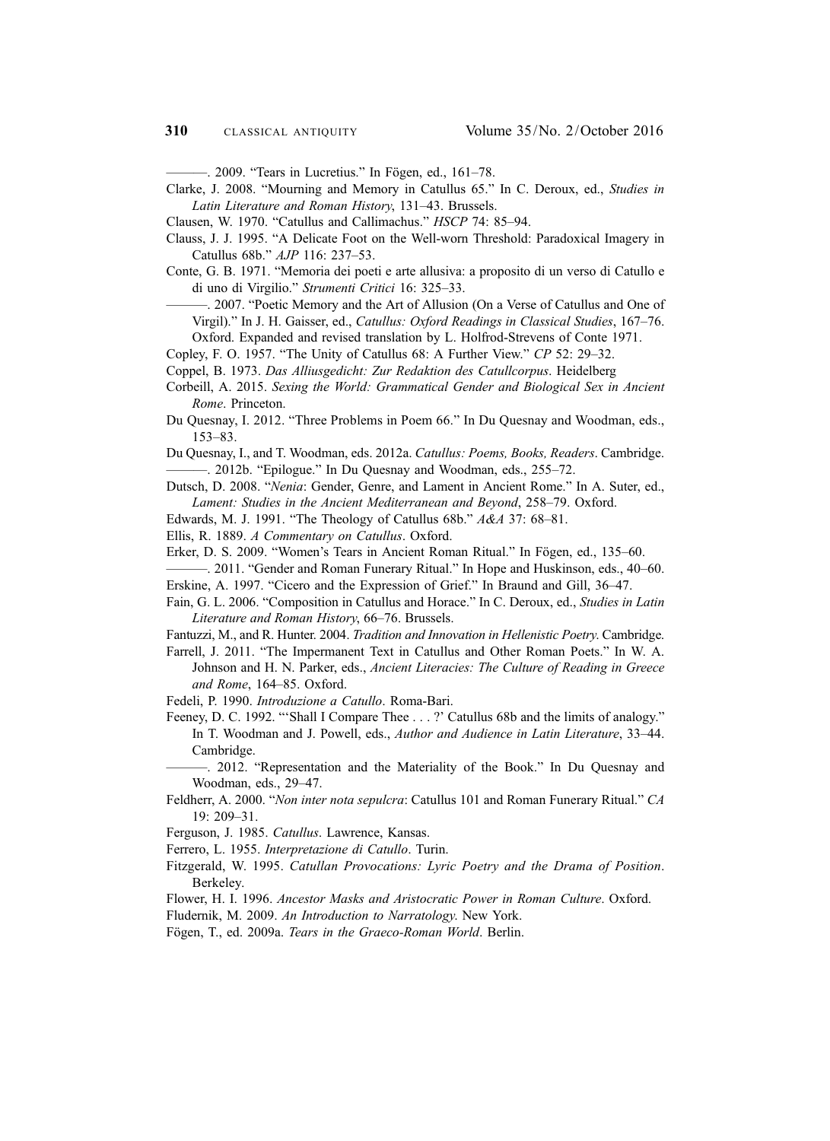———. 2009. "Tears in Lucretius." In Fögen, ed., 161–78.

Clarke, J. 2008. "Mourning and Memory in Catullus 65." In C. Deroux, ed., Studies in Latin Literature and Roman History, 131–43. Brussels.

Clausen, W. 1970. "Catullus and Callimachus." HSCP 74: 85–94.

Clauss, J. J. 1995. "A Delicate Foot on the Well-worn Threshold: Paradoxical Imagery in Catullus 68b." AJP 116: 237–53.

- Conte, G. B. 1971. "Memoria dei poeti e arte allusiva: a proposito di un verso di Catullo e di uno di Virgilio." Strumenti Critici 16: 325–33.
	- ———. 2007. "Poetic Memory and the Art of Allusion (On a Verse of Catullus and One of Virgil)." In J. H. Gaisser, ed., Catullus: Oxford Readings in Classical Studies, 167–76. Oxford. Expanded and revised translation by L. Holfrod-Strevens of Conte 1971.
- Copley, F. O. 1957. "The Unity of Catullus 68: A Further View." CP 52: 29–32.
- Coppel, B. 1973. Das Alliusgedicht: Zur Redaktion des Catullcorpus. Heidelberg
- 
- Corbeill, A. 2015. Sexing the World: Grammatical Gender and Biological Sex in Ancient Rome. Princeton.
- Du Quesnay, I. 2012. "Three Problems in Poem 66." In Du Quesnay and Woodman, eds., 153–83.

Du Quesnay, I., and T. Woodman, eds. 2012a. Catullus: Poems, Books, Readers. Cambridge. ———. 2012b. "Epilogue." In Du Quesnay and Woodman, eds., 255–72.

- Dutsch, D. 2008. "Nenia: Gender, Genre, and Lament in Ancient Rome." In A. Suter, ed., Lament: Studies in the Ancient Mediterranean and Beyond, 258–79. Oxford.
- Edwards, M. J. 1991. "The Theology of Catullus 68b." A&A 37: 68–81.
- Ellis, R. 1889. A Commentary on Catullus. Oxford.
- Erker, D. S. 2009. "Women's Tears in Ancient Roman Ritual." In Fögen, ed., 135–60.
- ———. 2011. "Gender and Roman Funerary Ritual." In Hope and Huskinson, eds., 40–60.
- Erskine, A. 1997. "Cicero and the Expression of Grief." In Braund and Gill, 36–47.
- Fain, G. L. 2006. "Composition in Catullus and Horace." In C. Deroux, ed., Studies in Latin Literature and Roman History, 66–76. Brussels.
- Fantuzzi, M., and R. Hunter. 2004. Tradition and Innovation in Hellenistic Poetry. Cambridge.
- Farrell, J. 2011. "The Impermanent Text in Catullus and Other Roman Poets." In W. A. Johnson and H. N. Parker, eds., Ancient Literacies: The Culture of Reading in Greece and Rome, 164–85. Oxford.

Fedeli, P. 1990. Introduzione a Catullo. Roma-Bari.

Feeney, D. C. 1992. "'Shall I Compare Thee . . . ?' Catullus 68b and the limits of analogy." In T. Woodman and J. Powell, eds., Author and Audience in Latin Literature, 33–44. Cambridge.

———. 2012. "Representation and the Materiality of the Book." In Du Quesnay and Woodman, eds., 29–47.

Feldherr, A. 2000. "Non inter nota sepulcra: Catullus 101 and Roman Funerary Ritual." CA 19: 209–31.

Ferguson, J. 1985. Catullus. Lawrence, Kansas.

Ferrero, L. 1955. Interpretazione di Catullo. Turin.

- Fitzgerald, W. 1995. Catullan Provocations: Lyric Poetry and the Drama of Position. Berkeley.
- Flower, H. I. 1996. Ancestor Masks and Aristocratic Power in Roman Culture. Oxford.
- Fludernik, M. 2009. An Introduction to Narratology. New York.
- Fögen, T., ed. 2009a. Tears in the Graeco-Roman World. Berlin.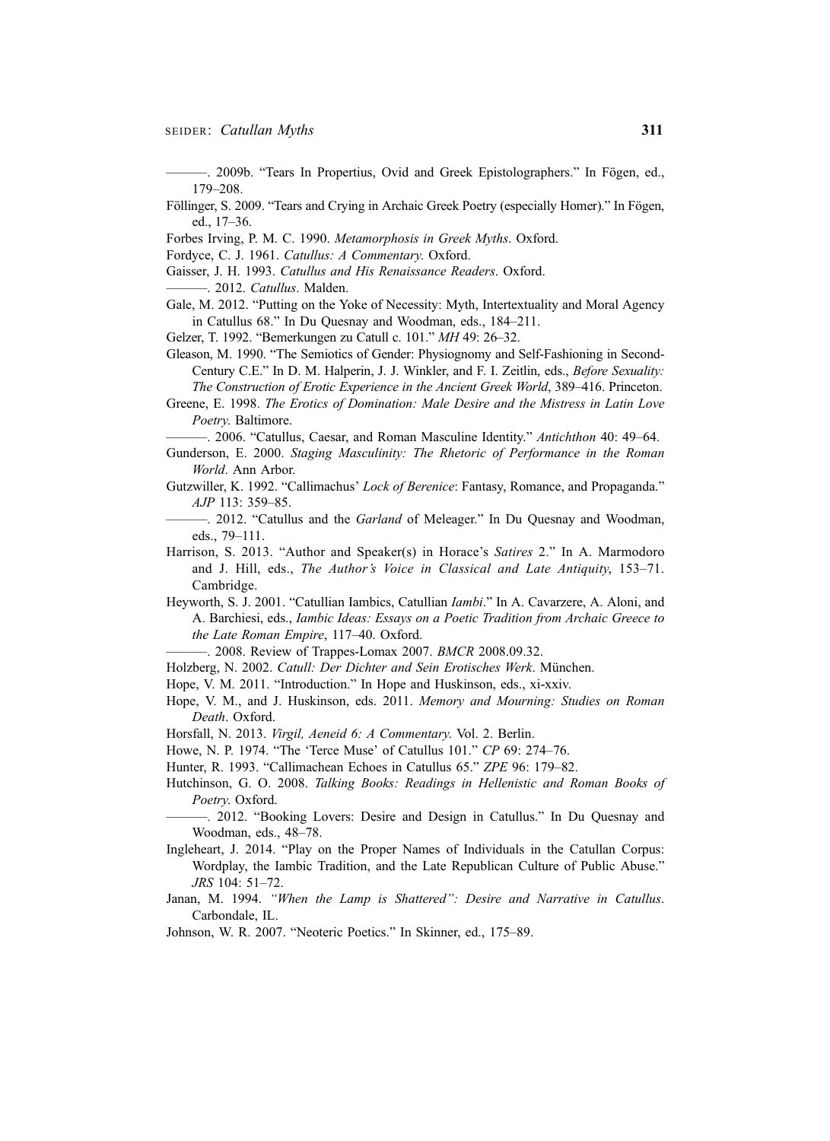———. 2009b. "Tears In Propertius, Ovid and Greek Epistolographers." In Fögen, ed., 179–208.

Föllinger, S. 2009. "Tears and Crying in Archaic Greek Poetry (especially Homer)." In Fögen, ed., 17–36.

Forbes Irving, P. M. C. 1990. Metamorphosis in Greek Myths. Oxford.

Fordyce, C. J. 1961. Catullus: A Commentary. Oxford.

Gaisser, J. H. 1993. Catullus and His Renaissance Readers. Oxford. -. 2012. Catullus. Malden.

Gale, M. 2012. "Putting on the Yoke of Necessity: Myth, Intertextuality and Moral Agency in Catullus 68." In Du Quesnay and Woodman, eds., 184–211.

Gelzer, T. 1992. "Bemerkungen zu Catull c. 101." MH 49: 26–32.

- Gleason, M. 1990. "The Semiotics of Gender: Physiognomy and Self-Fashioning in Second-Century C.E." In D. M. Halperin, J. J. Winkler, and F. I. Zeitlin, eds., Before Sexuality: The Construction of Erotic Experience in the Ancient Greek World, 389–416. Princeton.
- Greene, E. 1998. The Erotics of Domination: Male Desire and the Mistress in Latin Love Poetry. Baltimore.

———. 2006. "Catullus, Caesar, and Roman Masculine Identity." Antichthon 40: 49–64.

Gunderson, E. 2000. Staging Masculinity: The Rhetoric of Performance in the Roman World. Ann Arbor.

Gutzwiller, K. 1992. "Callimachus' Lock of Berenice: Fantasy, Romance, and Propaganda." AJP 113: 359–85.

-. 2012. "Catullus and the *Garland* of Meleager." In Du Quesnay and Woodman, eds., 79–111.

Harrison, S. 2013. "Author and Speaker(s) in Horace's Satires 2." In A. Marmodoro and J. Hill, eds., The Author's Voice in Classical and Late Antiquity, 153–71. Cambridge.

Heyworth, S. J. 2001. "Catullian Iambics, Catullian Iambi." In A. Cavarzere, A. Aloni, and A. Barchiesi, eds., Iambic Ideas: Essays on a Poetic Tradition from Archaic Greece to the Late Roman Empire, 117–40. Oxford.

-. 2008. Review of Trappes-Lomax 2007. BMCR 2008.09.32.

Holzberg, N. 2002. Catull: Der Dichter and Sein Erotisches Werk. München.

- Hope, V. M. 2011. "Introduction." In Hope and Huskinson, eds., xi-xxiv.
- Hope, V. M., and J. Huskinson, eds. 2011. Memory and Mourning: Studies on Roman Death. Oxford.

Horsfall, N. 2013. Virgil, Aeneid 6: A Commentary. Vol. 2. Berlin.

Howe, N. P. 1974. "The 'Terce Muse' of Catullus 101." CP 69: 274–76.

Hunter, R. 1993. "Callimachean Echoes in Catullus 65." ZPE 96: 179–82.

Hutchinson, G. O. 2008. Talking Books: Readings in Hellenistic and Roman Books of Poetry. Oxford.

- ———. 2012. "Booking Lovers: Desire and Design in Catullus." In Du Quesnay and Woodman, eds., 48–78.
- Ingleheart, J. 2014. "Play on the Proper Names of Individuals in the Catullan Corpus: Wordplay, the Iambic Tradition, and the Late Republican Culture of Public Abuse." JRS 104: 51–72.
- Janan, M. 1994. "When the Lamp is Shattered": Desire and Narrative in Catullus. Carbondale, IL.
- Johnson, W. R. 2007. "Neoteric Poetics." In Skinner, ed., 175–89.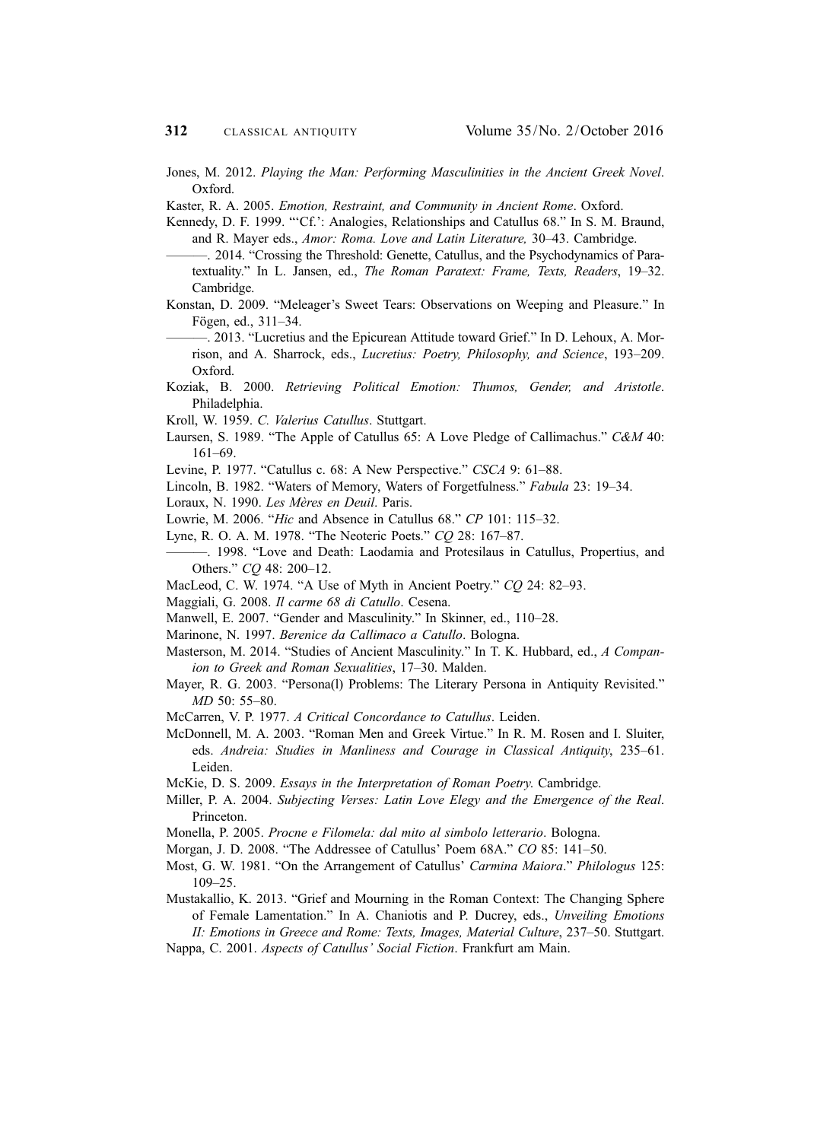- Jones, M. 2012. Playing the Man: Performing Masculinities in the Ancient Greek Novel. Oxford.
- Kaster, R. A. 2005. Emotion, Restraint, and Community in Ancient Rome. Oxford.
- Kennedy, D. F. 1999. "'Cf.': Analogies, Relationships and Catullus 68." In S. M. Braund, and R. Mayer eds., Amor: Roma. Love and Latin Literature, 30–43. Cambridge.
	- ———. 2014. "Crossing the Threshold: Genette, Catullus, and the Psychodynamics of Paratextuality." In L. Jansen, ed., The Roman Paratext: Frame, Texts, Readers, 19–32. Cambridge.
- Konstan, D. 2009. "Meleager's Sweet Tears: Observations on Weeping and Pleasure." In Fögen, ed., 311–34.
- ———. 2013. "Lucretius and the Epicurean Attitude toward Grief." In D. Lehoux, A. Morrison, and A. Sharrock, eds., Lucretius: Poetry, Philosophy, and Science, 193–209. Oxford.
- Koziak, B. 2000. Retrieving Political Emotion: Thumos, Gender, and Aristotle. Philadelphia.
- Kroll, W. 1959. C. Valerius Catullus. Stuttgart.
- Laursen, S. 1989. "The Apple of Catullus 65: A Love Pledge of Callimachus." C&M 40: 161–69.
- Levine, P. 1977. "Catullus c. 68: A New Perspective." CSCA 9: 61–88.
- Lincoln, B. 1982. "Waters of Memory, Waters of Forgetfulness." Fabula 23: 19–34.
- Loraux, N. 1990. Les Mères en Deuil. Paris.
- Lowrie, M. 2006. "Hic and Absence in Catullus 68." CP 101: 115–32.
- Lyne, R. O. A. M. 1978. "The Neoteric Poets." CQ 28: 167–87.
- ———. 1998. "Love and Death: Laodamia and Protesilaus in Catullus, Propertius, and Others." CQ 48: 200–12.
- MacLeod, C. W. 1974. "A Use of Myth in Ancient Poetry." CQ 24: 82-93.
- Maggiali, G. 2008. Il carme 68 di Catullo. Cesena.
- Manwell, E. 2007. "Gender and Masculinity." In Skinner, ed., 110–28.
- Marinone, N. 1997. Berenice da Callimaco a Catullo. Bologna.
- Masterson, M. 2014. "Studies of Ancient Masculinity." In T. K. Hubbard, ed., A Companion to Greek and Roman Sexualities, 17–30. Malden.
- Mayer, R. G. 2003. "Persona(l) Problems: The Literary Persona in Antiquity Revisited." MD 50: 55–80.
- McCarren, V. P. 1977. A Critical Concordance to Catullus. Leiden.
- McDonnell, M. A. 2003. "Roman Men and Greek Virtue." In R. M. Rosen and I. Sluiter, eds. Andreia: Studies in Manliness and Courage in Classical Antiquity, 235–61. Leiden.
- McKie, D. S. 2009. Essays in the Interpretation of Roman Poetry. Cambridge.
- Miller, P. A. 2004. Subjecting Verses: Latin Love Elegy and the Emergence of the Real. Princeton.
- Monella, P. 2005. Procne e Filomela: dal mito al simbolo letterario. Bologna.
- Morgan, J. D. 2008. "The Addressee of Catullus' Poem 68A." CO 85: 141–50.
- Most, G. W. 1981. "On the Arrangement of Catullus' Carmina Maiora." Philologus 125: 109–25.
- Mustakallio, K. 2013. "Grief and Mourning in the Roman Context: The Changing Sphere of Female Lamentation." In A. Chaniotis and P. Ducrey, eds., Unveiling Emotions
	- II: Emotions in Greece and Rome: Texts, Images, Material Culture, 237–50. Stuttgart.
- Nappa, C. 2001. Aspects of Catullus' Social Fiction. Frankfurt am Main.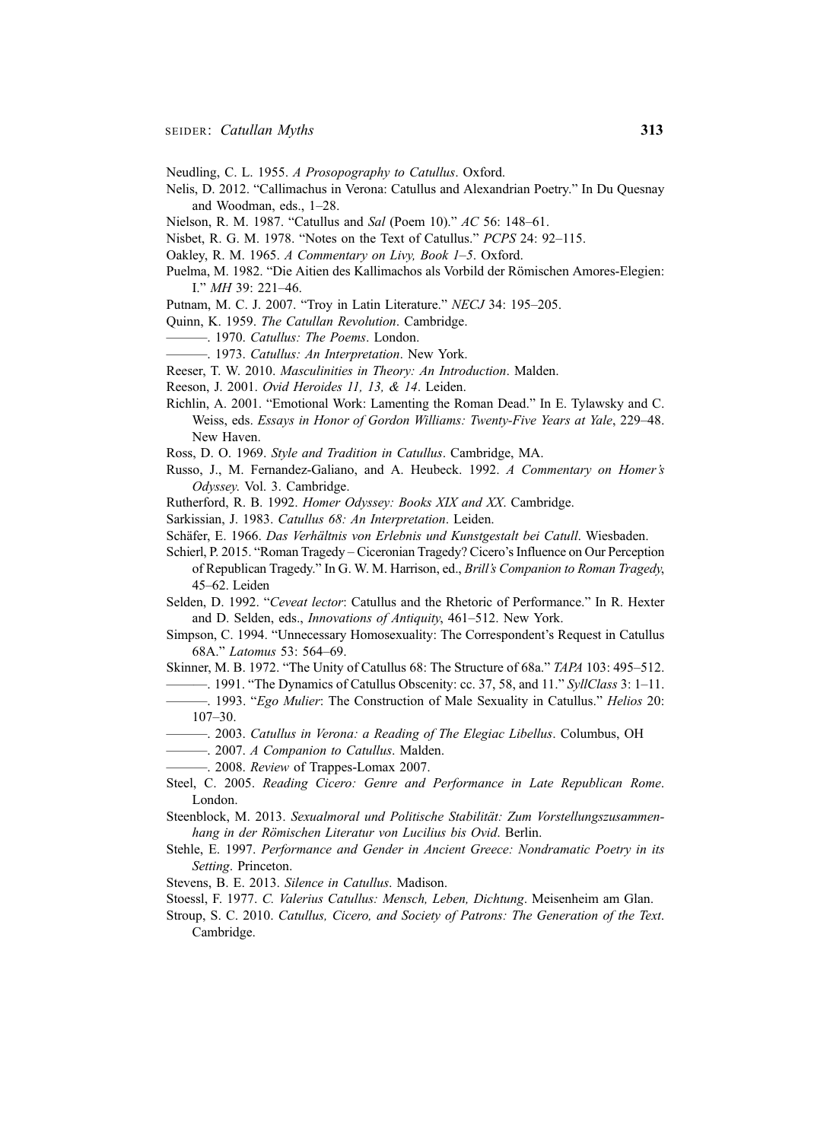- Neudling, C. L. 1955. A Prosopography to Catullus. Oxford.
- Nelis, D. 2012. "Callimachus in Verona: Catullus and Alexandrian Poetry." In Du Quesnay and Woodman, eds., 1–28.
- Nielson, R. M. 1987. "Catullus and Sal (Poem 10)." AC 56: 148-61.
- Nisbet, R. G. M. 1978. "Notes on the Text of Catullus." PCPS 24: 92–115.
- Oakley, R. M. 1965. A Commentary on Livy, Book 1–5. Oxford.
- Puelma, M. 1982. "Die Aitien des Kallimachos als Vorbild der Römischen Amores-Elegien: I." MH 39: 221–46.
- Putnam, M. C. J. 2007. "Troy in Latin Literature." NECJ 34: 195–205.
- Quinn, K. 1959. The Catullan Revolution. Cambridge.
- $-$ . 1970. Catullus: The Poems. London.
- 1973. Catullus: An Interpretation. New York.
- Reeser, T. W. 2010. Masculinities in Theory: An Introduction. Malden.
- Reeson, J. 2001. Ovid Heroides 11, 13, & 14. Leiden.
- Richlin, A. 2001. "Emotional Work: Lamenting the Roman Dead." In E. Tylawsky and C. Weiss, eds. Essays in Honor of Gordon Williams: Twenty-Five Years at Yale, 229–48. New Haven.
- Ross, D. O. 1969. Style and Tradition in Catullus. Cambridge, MA.
- Russo, J., M. Fernandez-Galiano, and A. Heubeck. 1992. A Commentary on Homer's Odyssey. Vol. 3. Cambridge.
- Rutherford, R. B. 1992. Homer Odyssey: Books XIX and XX. Cambridge.
- Sarkissian, J. 1983. Catullus 68: An Interpretation. Leiden.
- Schäfer, E. 1966. Das Verhältnis von Erlebnis und Kunstgestalt bei Catull. Wiesbaden.
- Schierl, P. 2015. "Roman Tragedy Ciceronian Tragedy? Cicero's Influence on Our Perception of Republican Tragedy." In G. W. M. Harrison, ed., Brill's Companion to Roman Tragedy, 45–62. Leiden
- Selden, D. 1992. "Ceveat lector: Catullus and the Rhetoric of Performance." In R. Hexter and D. Selden, eds., Innovations of Antiquity, 461–512. New York.
- Simpson, C. 1994. "Unnecessary Homosexuality: The Correspondent's Request in Catullus 68A." Latomus 53: 564–69.
- Skinner, M. B. 1972. "The Unity of Catullus 68: The Structure of 68a." TAPA 103: 495–512.
- ———. 1991. "The Dynamics of Catullus Obscenity: cc. 37, 58, and 11." SyllClass 3: 1–11.
- —. 1993. "Ego Mulier: The Construction of Male Sexuality in Catullus." Helios 20: 107–30.
- ———. 2003. Catullus in Verona: a Reading of The Elegiac Libellus. Columbus, OH
- $-$ . 2007. A Companion to Catullus. Malden.
- ——. 2008. Review of Trappes-Lomax 2007.
- Steel, C. 2005. Reading Cicero: Genre and Performance in Late Republican Rome. London.
- Steenblock, M. 2013. Sexualmoral und Politische Stabilität: Zum Vorstellungszusammenhang in der Römischen Literatur von Lucilius bis Ovid. Berlin.
- Stehle, E. 1997. Performance and Gender in Ancient Greece: Nondramatic Poetry in its Setting. Princeton.
- Stevens, B. E. 2013. Silence in Catullus. Madison.
- Stoessl, F. 1977. C. Valerius Catullus: Mensch, Leben, Dichtung. Meisenheim am Glan.
- Stroup, S. C. 2010. Catullus, Cicero, and Society of Patrons: The Generation of the Text. Cambridge.